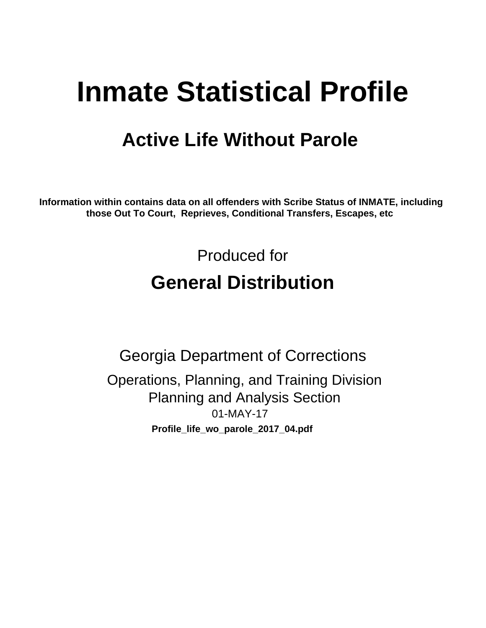# **Inmate Statistical Profile**

## **Active Life Without Parole**

Information within contains data on all offenders with Scribe Status of INMATE, including those Out To Court, Reprieves, Conditional Transfers, Escapes, etc

> Produced for **General Distribution**

**Georgia Department of Corrections** Operations, Planning, and Training Division **Planning and Analysis Section**  $01-MAY-17$ Profile\_life\_wo\_parole\_2017\_04.pdf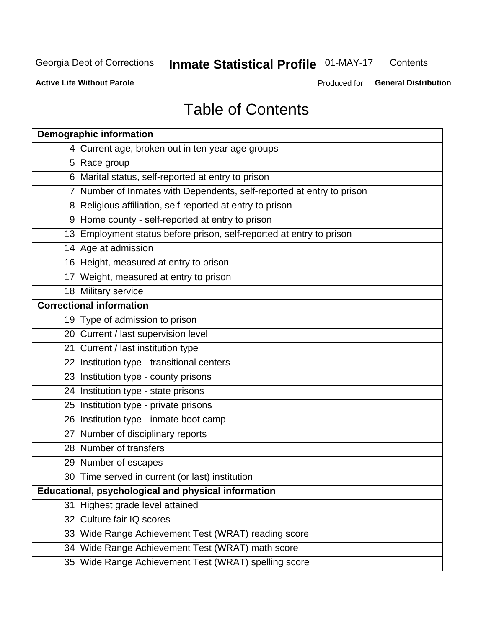#### **Inmate Statistical Profile 01-MAY-17** Contents

**Active Life Without Parole** 

Produced for General Distribution

## **Table of Contents**

|    | <b>Demographic information</b>                                        |
|----|-----------------------------------------------------------------------|
|    | 4 Current age, broken out in ten year age groups                      |
|    | 5 Race group                                                          |
|    | 6 Marital status, self-reported at entry to prison                    |
|    | 7 Number of Inmates with Dependents, self-reported at entry to prison |
|    | 8 Religious affiliation, self-reported at entry to prison             |
|    | 9 Home county - self-reported at entry to prison                      |
|    | 13 Employment status before prison, self-reported at entry to prison  |
|    | 14 Age at admission                                                   |
|    | 16 Height, measured at entry to prison                                |
|    | 17 Weight, measured at entry to prison                                |
|    | 18 Military service                                                   |
|    | <b>Correctional information</b>                                       |
|    | 19 Type of admission to prison                                        |
|    | 20 Current / last supervision level                                   |
|    | 21 Current / last institution type                                    |
|    | 22 Institution type - transitional centers                            |
|    | 23 Institution type - county prisons                                  |
|    | 24 Institution type - state prisons                                   |
|    | 25 Institution type - private prisons                                 |
|    | 26 Institution type - inmate boot camp                                |
|    | 27 Number of disciplinary reports                                     |
|    | 28 Number of transfers                                                |
|    | 29 Number of escapes                                                  |
|    | 30 Time served in current (or last) institution                       |
|    | Educational, psychological and physical information                   |
| 31 | Highest grade level attained                                          |
|    | 32 Culture fair IQ scores                                             |
|    | 33 Wide Range Achievement Test (WRAT) reading score                   |
|    | 34 Wide Range Achievement Test (WRAT) math score                      |
|    | 35 Wide Range Achievement Test (WRAT) spelling score                  |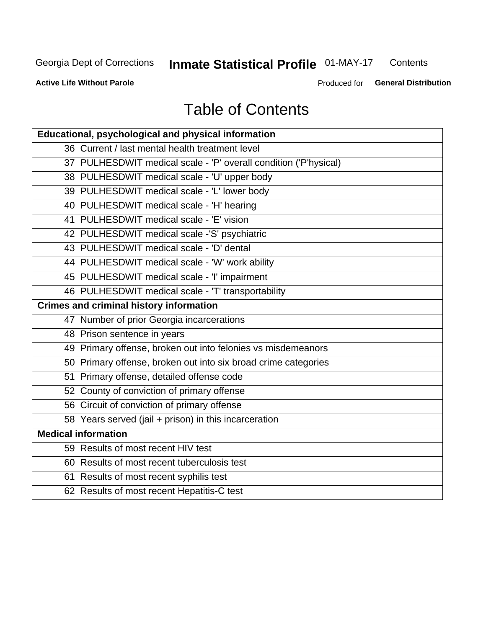#### **Inmate Statistical Profile 01-MAY-17** Contents

**Active Life Without Parole** 

Produced for General Distribution

## **Table of Contents**

| Educational, psychological and physical information              |
|------------------------------------------------------------------|
| 36 Current / last mental health treatment level                  |
| 37 PULHESDWIT medical scale - 'P' overall condition ('P'hysical) |
| 38 PULHESDWIT medical scale - 'U' upper body                     |
| 39 PULHESDWIT medical scale - 'L' lower body                     |
| 40 PULHESDWIT medical scale - 'H' hearing                        |
| 41 PULHESDWIT medical scale - 'E' vision                         |
| 42 PULHESDWIT medical scale -'S' psychiatric                     |
| 43 PULHESDWIT medical scale - 'D' dental                         |
| 44 PULHESDWIT medical scale - 'W' work ability                   |
| 45 PULHESDWIT medical scale - 'I' impairment                     |
| 46 PULHESDWIT medical scale - 'T' transportability               |
| <b>Crimes and criminal history information</b>                   |
| 47 Number of prior Georgia incarcerations                        |
| 48 Prison sentence in years                                      |
| 49 Primary offense, broken out into felonies vs misdemeanors     |
| 50 Primary offense, broken out into six broad crime categories   |
| 51 Primary offense, detailed offense code                        |
| 52 County of conviction of primary offense                       |
| 56 Circuit of conviction of primary offense                      |
| 58 Years served (jail + prison) in this incarceration            |
| <b>Medical information</b>                                       |
| 59 Results of most recent HIV test                               |
| 60 Results of most recent tuberculosis test                      |
| 61 Results of most recent syphilis test                          |
| 62 Results of most recent Hepatitis-C test                       |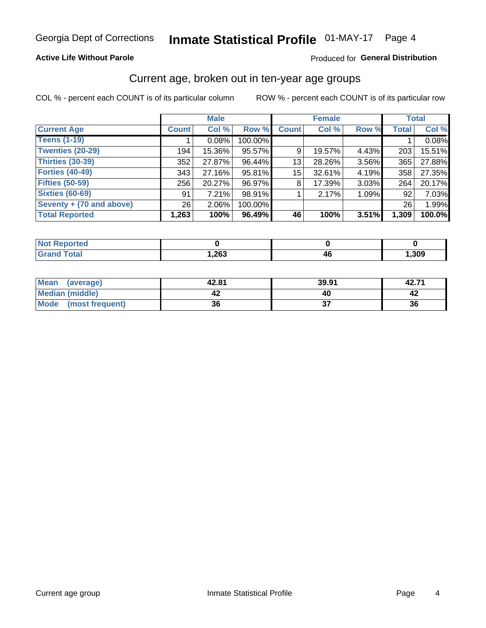#### **Active Life Without Parole**

#### Produced for General Distribution

### Current age, broken out in ten-year age groups

COL % - percent each COUNT is of its particular column

|                          |              | <b>Male</b> |         |                 | <b>Female</b> |          |              | <b>Total</b> |
|--------------------------|--------------|-------------|---------|-----------------|---------------|----------|--------------|--------------|
| <b>Current Age</b>       | <b>Count</b> | Col %       | Row %   | <b>Count</b>    | Col %         | Row %    | <b>Total</b> | Col %        |
| <b>Teens (1-19)</b>      |              | 0.08%       | 100.00% |                 |               |          |              | 0.08%        |
| <b>Twenties (20-29)</b>  | 194          | 15.36%      | 95.57%  | 9               | 19.57%        | 4.43%    | 203          | 15.51%       |
| Thirties (30-39)         | 352          | 27.87%      | 96.44%  | 13              | 28.26%        | $3.56\%$ | 365          | 27.88%       |
| <b>Forties (40-49)</b>   | 343          | 27.16%      | 95.81%  | 15 <sup>1</sup> | 32.61%        | 4.19%    | 358          | 27.35%       |
| <b>Fifties (50-59)</b>   | 256          | 20.27%      | 96.97%  | 8               | 17.39%        | $3.03\%$ | 264          | 20.17%       |
| <b>Sixties (60-69)</b>   | 91           | 7.21%       | 98.91%  |                 | 2.17%         | 1.09%    | 92           | 7.03%        |
| Seventy + (70 and above) | 26           | $2.06\%$    | 100.00% |                 |               |          | 26           | 1.99%        |
| <b>Total Reported</b>    | 1,263        | 100%        | 96.49%  | 46              | 100%          | 3.51%    | 1,309        | 100.0%       |

| <b><i>College Address</i></b> |      |      |
|-------------------------------|------|------|
| $f \wedge f \wedge f$         | ,263 | ,309 |

| Mean<br>(average)       | 42.81 | 39.91 | 42.71 |
|-------------------------|-------|-------|-------|
| Median (middle)         |       |       |       |
| Mode<br>(most frequent) | 36    |       | 36    |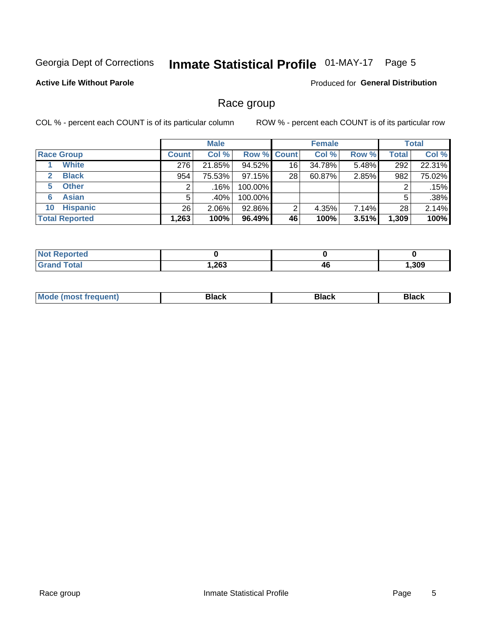#### **Inmate Statistical Profile 01-MAY-17** Page 5

#### **Active Life Without Parole**

Produced for General Distribution

### Race group

COL % - percent each COUNT is of its particular column

|                              | <b>Male</b>  |          |         | <b>Female</b>      |        |       | <b>Total</b> |        |
|------------------------------|--------------|----------|---------|--------------------|--------|-------|--------------|--------|
| <b>Race Group</b>            | <b>Count</b> | Col %    |         | <b>Row % Count</b> | Col %  | Row % | Total        | Col %  |
| <b>White</b>                 | 276          | 21.85%   | 94.52%  | 16                 | 34.78% | 5.48% | 292          | 22.31% |
| <b>Black</b><br>$\mathbf{2}$ | 954          | 75.53%   | 97.15%  | 28                 | 60.87% | 2.85% | 982          | 75.02% |
| <b>Other</b><br>5.           |              | .16%     | 100.00% |                    |        |       | 2            | .15%   |
| <b>Asian</b><br>6            | 5            | .40%     | 100.00% |                    |        |       | 5            | .38%   |
| <b>Hispanic</b><br>10        | 26           | $2.06\%$ | 92.86%  | 2                  | 4.35%  | 7.14% | 28           | 2.14%  |
| <b>Total Reported</b>        | 1,263        | 100%     | 96.49%  | 46                 | 100%   | 3.51% | 1,309        | 100%   |

| <b>ntea</b>       |      |    |      |
|-------------------|------|----|------|
| $T \cap f \cap I$ | ,263 | 4t | ,309 |

| маст |  | M |  |  |  |
|------|--|---|--|--|--|
|------|--|---|--|--|--|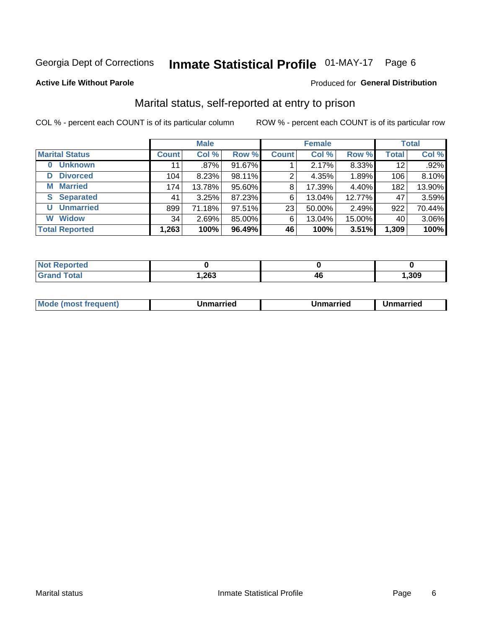## Inmate Statistical Profile 01-MAY-17 Page 6

#### **Active Life Without Parole**

#### Produced for General Distribution

### Marital status, self-reported at entry to prison

COL % - percent each COUNT is of its particular column

|                            | <b>Male</b>  |        |        | <b>Female</b> |        |        | <b>Total</b> |        |
|----------------------------|--------------|--------|--------|---------------|--------|--------|--------------|--------|
| <b>Marital Status</b>      | <b>Count</b> | Col %  | Row %  | <b>Count</b>  | Col %  | Row %  | <b>Total</b> | Col %  |
| <b>Unknown</b><br>$\bf{0}$ | 11           | .87%   | 91.67% |               | 2.17%  | 8.33%  | 12           | .92%   |
| <b>Divorced</b><br>D       | 104          | 8.23%  | 98.11% | 2             | 4.35%  | 1.89%  | 106          | 8.10%  |
| <b>Married</b><br>М        | 174          | 13.78% | 95.60% | 8             | 17.39% | 4.40%  | 182          | 13.90% |
| <b>Separated</b><br>S.     | 41           | 3.25%  | 87.23% | 6             | 13.04% | 12.77% | 47           | 3.59%  |
| <b>Unmarried</b><br>U      | 899          | 71.18% | 97.51% | 23            | 50.00% | 2.49%  | 922          | 70.44% |
| <b>Widow</b><br>W          | 34           | 2.69%  | 85.00% | 6             | 13.04% | 15.00% | 40           | 3.06%  |
| <b>Total Reported</b>      | 1,263        | 100%   | 96.49% | 46            | 100%   | 3.51%  | 1,309        | 100%   |

| <b>Not Repo</b><br>prted |       |          |       |
|--------------------------|-------|----------|-------|
| <b>Total</b>             | 263,، | лı<br>74 | , 309 |

|  | M | . | Unmarried | າmarried<br>_____ |
|--|---|---|-----------|-------------------|
|--|---|---|-----------|-------------------|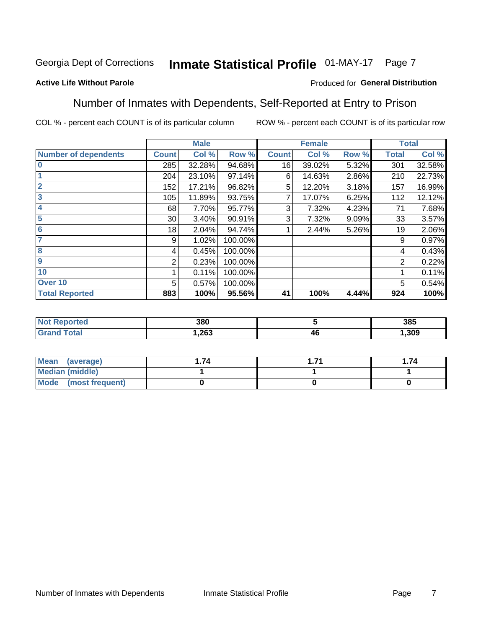#### Inmate Statistical Profile 01-MAY-17 Page 7

#### **Active Life Without Parole**

#### Produced for General Distribution

### Number of Inmates with Dependents, Self-Reported at Entry to Prison

COL % - percent each COUNT is of its particular column

|                             |              | <b>Male</b> |         |              | <b>Female</b> |       |              | <b>Total</b> |
|-----------------------------|--------------|-------------|---------|--------------|---------------|-------|--------------|--------------|
| <b>Number of dependents</b> | <b>Count</b> | Col %       | Row %   | <b>Count</b> | Col %         | Row % | <b>Total</b> | Col %        |
| $\bf{0}$                    | 285          | 32.28%      | 94.68%  | 16           | 39.02%        | 5.32% | 301          | 32.58%       |
|                             | 204          | 23.10%      | 97.14%  | 6            | 14.63%        | 2.86% | 210          | 22.73%       |
| $\overline{2}$              | 152          | 17.21%      | 96.82%  | 5            | 12.20%        | 3.18% | 157          | 16.99%       |
| 3                           | 105          | 11.89%      | 93.75%  |              | 17.07%        | 6.25% | 112          | 12.12%       |
| 4                           | 68           | 7.70%       | 95.77%  | 3            | 7.32%         | 4.23% | 71           | 7.68%        |
| 5                           | 30           | 3.40%       | 90.91%  | 3            | 7.32%         | 9.09% | 33           | 3.57%        |
| 6                           | 18           | 2.04%       | 94.74%  |              | 2.44%         | 5.26% | 19           | 2.06%        |
| 7                           | 9            | 1.02%       | 100.00% |              |               |       | 9            | 0.97%        |
| 8                           | 4            | 0.45%       | 100.00% |              |               |       | 4            | 0.43%        |
| $\boldsymbol{9}$            | 2            | 0.23%       | 100.00% |              |               |       | 2            | 0.22%        |
| 10                          |              | 0.11%       | 100.00% |              |               |       |              | 0.11%        |
| Over 10                     | 5            | 0.57%       | 100.00% |              |               |       | 5            | 0.54%        |
| <b>Total Reported</b>       | 883          | 100%        | 95.56%  | 41           | 100%          | 4.44% | 924          | 100%         |

| 380  |    | 385  |
|------|----|------|
| .263 | 4Ł | .309 |

| Mean (average)          | 74 | . 74 |
|-------------------------|----|------|
| <b>Median (middle)</b>  |    |      |
| Mode<br>(most frequent) |    |      |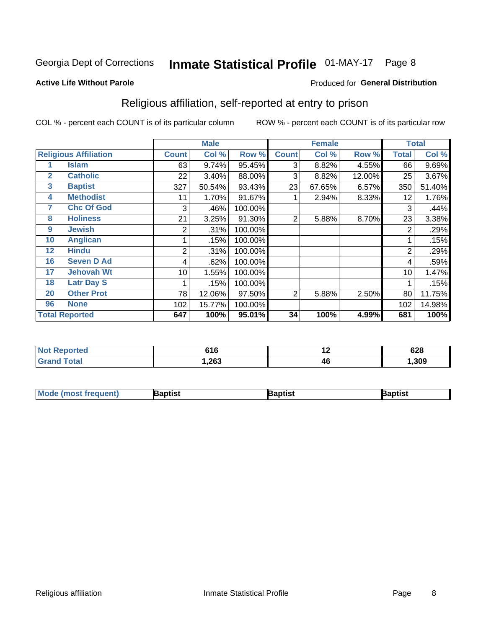#### **Inmate Statistical Profile 01-MAY-17** Page 8

#### **Active Life Without Parole**

#### Produced for General Distribution

## Religious affiliation, self-reported at entry to prison

COL % - percent each COUNT is of its particular column

|              |                              | <b>Male</b>  |        |         | <b>Female</b>  |        |        | <b>Total</b> |        |
|--------------|------------------------------|--------------|--------|---------|----------------|--------|--------|--------------|--------|
|              | <b>Religious Affiliation</b> | <b>Count</b> | Col %  | Row %   | <b>Count</b>   | Col %  | Row %  | Total        | Col %  |
|              | <b>Islam</b>                 | 63           | 9.74%  | 95.45%  | 3              | 8.82%  | 4.55%  | 66           | 9.69%  |
| $\mathbf{2}$ | <b>Catholic</b>              | 22           | 3.40%  | 88.00%  | 3              | 8.82%  | 12.00% | 25           | 3.67%  |
| 3            | <b>Baptist</b>               | 327          | 50.54% | 93.43%  | 23             | 67.65% | 6.57%  | 350          | 51.40% |
| 4            | <b>Methodist</b>             | 11           | 1.70%  | 91.67%  |                | 2.94%  | 8.33%  | 12           | 1.76%  |
| 7            | <b>Chc Of God</b>            | 3            | .46%   | 100.00% |                |        |        | 3            | .44%   |
| 8            | <b>Holiness</b>              | 21           | 3.25%  | 91.30%  | $\overline{2}$ | 5.88%  | 8.70%  | 23           | 3.38%  |
| 9            | <b>Jewish</b>                | 2            | .31%   | 100.00% |                |        |        | 2            | .29%   |
| 10           | <b>Anglican</b>              |              | .15%   | 100.00% |                |        |        |              | .15%   |
| 12           | <b>Hindu</b>                 | 2            | .31%   | 100.00% |                |        |        | 2            | .29%   |
| 16           | <b>Seven D Ad</b>            | 4            | .62%   | 100.00% |                |        |        | 4            | .59%   |
| 17           | <b>Jehovah Wt</b>            | 10           | 1.55%  | 100.00% |                |        |        | 10           | 1.47%  |
| 18           | <b>Latr Day S</b>            |              | .15%   | 100.00% |                |        |        |              | .15%   |
| 20           | <b>Other Prot</b>            | 78           | 12.06% | 97.50%  | 2              | 5.88%  | 2.50%  | 80           | 11.75% |
| 96           | <b>None</b>                  | 102          | 15.77% | 100.00% |                |        |        | 102          | 14.98% |
|              | <b>Total Reported</b>        | 647          | 100%   | 95.01%  | 34             | 100%   | 4.99%  | 681          | 100%   |

| rteo<br>$\sim$ | 61 C<br>/ I U | . . | 628  |
|----------------|---------------|-----|------|
|                | 1,263         | 46  | .309 |

| <b>Mode (most frequent)</b> | 3aptist | 3aptist | Baptist |
|-----------------------------|---------|---------|---------|
|-----------------------------|---------|---------|---------|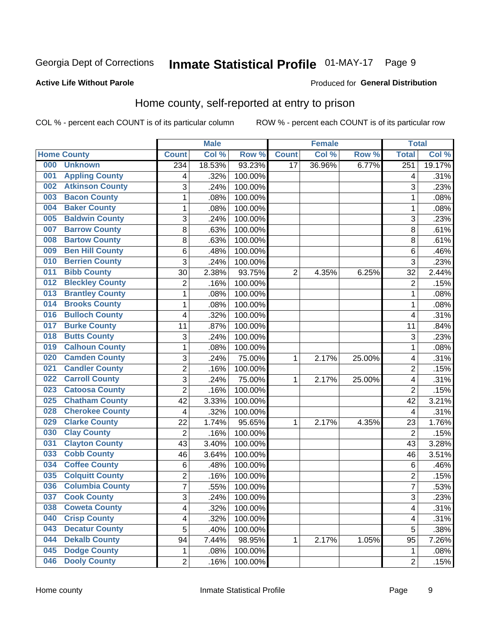## Inmate Statistical Profile 01-MAY-17 Page 9

#### **Active Life Without Parole**

#### Produced for General Distribution

### Home county, self-reported at entry to prison

COL % - percent each COUNT is of its particular column

|     |                        |                | <b>Male</b> |                  | <b>Female</b>   |        |        | <b>Total</b>     |        |
|-----|------------------------|----------------|-------------|------------------|-----------------|--------|--------|------------------|--------|
|     | <b>Home County</b>     | <b>Count</b>   | Col %       | Row <sup>%</sup> | <b>Count</b>    | Col %  | Row %  | <b>Total</b>     | Col %  |
| 000 | <b>Unknown</b>         | 234            | 18.53%      | 93.23%           | $\overline{17}$ | 36.96% | 6.77%  | $\overline{251}$ | 19.17% |
| 001 | <b>Appling County</b>  | 4              | .32%        | 100.00%          |                 |        |        | 4                | .31%   |
| 002 | <b>Atkinson County</b> | 3              | .24%        | 100.00%          |                 |        |        | 3                | .23%   |
| 003 | <b>Bacon County</b>    | $\mathbf 1$    | .08%        | 100.00%          |                 |        |        | 1                | .08%   |
| 004 | <b>Baker County</b>    | $\mathbf 1$    | .08%        | 100.00%          |                 |        |        | 1                | .08%   |
| 005 | <b>Baldwin County</b>  | 3              | .24%        | 100.00%          |                 |        |        | 3                | .23%   |
| 007 | <b>Barrow County</b>   | 8              | .63%        | 100.00%          |                 |        |        | 8                | .61%   |
| 008 | <b>Bartow County</b>   | 8              | .63%        | 100.00%          |                 |        |        | 8                | .61%   |
| 009 | <b>Ben Hill County</b> | 6              | .48%        | 100.00%          |                 |        |        | 6                | .46%   |
| 010 | <b>Berrien County</b>  | 3              | .24%        | 100.00%          |                 |        |        | 3                | .23%   |
| 011 | <b>Bibb County</b>     | 30             | 2.38%       | 93.75%           | 2               | 4.35%  | 6.25%  | 32               | 2.44%  |
| 012 | <b>Bleckley County</b> | $\overline{2}$ | .16%        | 100.00%          |                 |        |        | $\overline{2}$   | .15%   |
| 013 | <b>Brantley County</b> | $\mathbf{1}$   | .08%        | 100.00%          |                 |        |        | 1                | .08%   |
| 014 | <b>Brooks County</b>   | $\mathbf 1$    | .08%        | 100.00%          |                 |        |        | 1                | .08%   |
| 016 | <b>Bulloch County</b>  | 4              | .32%        | 100.00%          |                 |        |        | 4                | .31%   |
| 017 | <b>Burke County</b>    | 11             | .87%        | 100.00%          |                 |        |        | 11               | .84%   |
| 018 | <b>Butts County</b>    | 3              | .24%        | 100.00%          |                 |        |        | 3                | .23%   |
| 019 | <b>Calhoun County</b>  | $\mathbf 1$    | .08%        | 100.00%          |                 |        |        | 1                | .08%   |
| 020 | <b>Camden County</b>   | 3              | .24%        | 75.00%           | 1               | 2.17%  | 25.00% | 4                | .31%   |
| 021 | <b>Candler County</b>  | $\overline{2}$ | .16%        | 100.00%          |                 |        |        | $\overline{2}$   | .15%   |
| 022 | <b>Carroll County</b>  | 3              | .24%        | 75.00%           | 1               | 2.17%  | 25.00% | 4                | .31%   |
| 023 | <b>Catoosa County</b>  | $\overline{2}$ | .16%        | 100.00%          |                 |        |        | $\overline{2}$   | .15%   |
| 025 | <b>Chatham County</b>  | 42             | 3.33%       | 100.00%          |                 |        |        | 42               | 3.21%  |
| 028 | <b>Cherokee County</b> | 4              | .32%        | 100.00%          |                 |        |        | 4                | .31%   |
| 029 | <b>Clarke County</b>   | 22             | 1.74%       | 95.65%           | 1               | 2.17%  | 4.35%  | 23               | 1.76%  |
| 030 | <b>Clay County</b>     | $\overline{2}$ | .16%        | 100.00%          |                 |        |        | $\overline{2}$   | .15%   |
| 031 | <b>Clayton County</b>  | 43             | 3.40%       | 100.00%          |                 |        |        | 43               | 3.28%  |
| 033 | <b>Cobb County</b>     | 46             | 3.64%       | 100.00%          |                 |        |        | 46               | 3.51%  |
| 034 | <b>Coffee County</b>   | 6              | .48%        | 100.00%          |                 |        |        | 6                | .46%   |
| 035 | <b>Colquitt County</b> | $\overline{2}$ | .16%        | 100.00%          |                 |        |        | $\overline{2}$   | .15%   |
| 036 | <b>Columbia County</b> | $\overline{7}$ | .55%        | 100.00%          |                 |        |        | 7                | .53%   |
| 037 | <b>Cook County</b>     | 3              | .24%        | 100.00%          |                 |        |        | 3                | .23%   |
| 038 | <b>Coweta County</b>   | 4              | .32%        | 100.00%          |                 |        |        | 4                | .31%   |
| 040 | <b>Crisp County</b>    | 4              | .32%        | 100.00%          |                 |        |        | 4                | .31%   |
| 043 | <b>Decatur County</b>  | 5              | .40%        | 100.00%          |                 |        |        | 5                | .38%   |
| 044 | <b>Dekalb County</b>   | 94             | 7.44%       | 98.95%           | 1               | 2.17%  | 1.05%  | 95               | 7.26%  |
| 045 | <b>Dodge County</b>    | 1              | .08%        | 100.00%          |                 |        |        | 1                | .08%   |
| 046 | <b>Dooly County</b>    | $\overline{2}$ | .16%        | 100.00%          |                 |        |        | $\overline{2}$   | .15%   |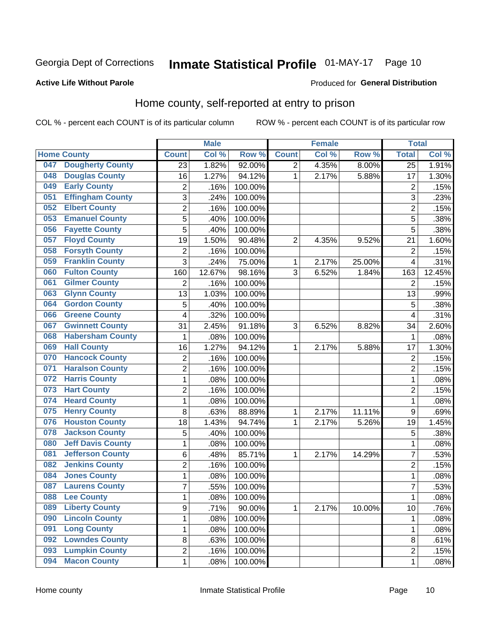## Inmate Statistical Profile 01-MAY-17 Page 10

#### **Active Life Without Parole**

#### Produced for General Distribution

## Home county, self-reported at entry to prison

COL % - percent each COUNT is of its particular column

|     |                          |                | <b>Male</b> |         |                | <b>Female</b> |        | <b>Total</b>    |        |
|-----|--------------------------|----------------|-------------|---------|----------------|---------------|--------|-----------------|--------|
|     | <b>Home County</b>       | <b>Count</b>   | Col %       | Row %   | <b>Count</b>   | Col %         | Row %  | <b>Total</b>    | Col %  |
| 047 | <b>Dougherty County</b>  | 23             | 1.82%       | 92.00%  | $\overline{2}$ | 4.35%         | 8.00%  | $\overline{25}$ | 1.91%  |
| 048 | <b>Douglas County</b>    | 16             | 1.27%       | 94.12%  | 1              | 2.17%         | 5.88%  | 17              | 1.30%  |
| 049 | <b>Early County</b>      | 2              | .16%        | 100.00% |                |               |        | $\overline{2}$  | .15%   |
| 051 | <b>Effingham County</b>  | 3              | .24%        | 100.00% |                |               |        | 3               | .23%   |
| 052 | <b>Elbert County</b>     | $\overline{c}$ | .16%        | 100.00% |                |               |        | $\overline{2}$  | .15%   |
| 053 | <b>Emanuel County</b>    | 5              | .40%        | 100.00% |                |               |        | 5               | .38%   |
| 056 | <b>Fayette County</b>    | 5              | .40%        | 100.00% |                |               |        | 5               | .38%   |
| 057 | <b>Floyd County</b>      | 19             | 1.50%       | 90.48%  | $\overline{2}$ | 4.35%         | 9.52%  | 21              | 1.60%  |
| 058 | <b>Forsyth County</b>    | $\overline{c}$ | .16%        | 100.00% |                |               |        | $\overline{2}$  | .15%   |
| 059 | <b>Franklin County</b>   | 3              | .24%        | 75.00%  | 1              | 2.17%         | 25.00% | $\overline{4}$  | .31%   |
| 060 | <b>Fulton County</b>     | 160            | 12.67%      | 98.16%  | 3              | 6.52%         | 1.84%  | 163             | 12.45% |
| 061 | <b>Gilmer County</b>     | $\overline{2}$ | .16%        | 100.00% |                |               |        | $\overline{2}$  | .15%   |
| 063 | <b>Glynn County</b>      | 13             | 1.03%       | 100.00% |                |               |        | 13              | .99%   |
| 064 | <b>Gordon County</b>     | 5              | .40%        | 100.00% |                |               |        | 5               | .38%   |
| 066 | <b>Greene County</b>     | 4              | .32%        | 100.00% |                |               |        | $\overline{4}$  | .31%   |
| 067 | <b>Gwinnett County</b>   | 31             | 2.45%       | 91.18%  | 3              | 6.52%         | 8.82%  | 34              | 2.60%  |
| 068 | <b>Habersham County</b>  | 1              | .08%        | 100.00% |                |               |        | 1               | .08%   |
| 069 | <b>Hall County</b>       | 16             | 1.27%       | 94.12%  | 1              | 2.17%         | 5.88%  | 17              | 1.30%  |
| 070 | <b>Hancock County</b>    | 2              | .16%        | 100.00% |                |               |        | $\overline{2}$  | .15%   |
| 071 | <b>Haralson County</b>   | $\overline{2}$ | .16%        | 100.00% |                |               |        | $\overline{2}$  | .15%   |
| 072 | <b>Harris County</b>     | $\mathbf 1$    | .08%        | 100.00% |                |               |        | 1               | .08%   |
| 073 | <b>Hart County</b>       | $\overline{2}$ | .16%        | 100.00% |                |               |        | $\overline{2}$  | .15%   |
| 074 | <b>Heard County</b>      | $\mathbf{1}$   | .08%        | 100.00% |                |               |        | 1               | .08%   |
| 075 | <b>Henry County</b>      | 8              | .63%        | 88.89%  | 1              | 2.17%         | 11.11% | 9               | .69%   |
| 076 | <b>Houston County</b>    | 18             | 1.43%       | 94.74%  | 1              | 2.17%         | 5.26%  | 19              | 1.45%  |
| 078 | <b>Jackson County</b>    | 5              | .40%        | 100.00% |                |               |        | 5               | .38%   |
| 080 | <b>Jeff Davis County</b> | $\mathbf 1$    | .08%        | 100.00% |                |               |        | 1               | .08%   |
| 081 | <b>Jefferson County</b>  | 6              | .48%        | 85.71%  | 1              | 2.17%         | 14.29% | $\overline{7}$  | .53%   |
| 082 | <b>Jenkins County</b>    | $\overline{c}$ | .16%        | 100.00% |                |               |        | $\overline{2}$  | .15%   |
| 084 | <b>Jones County</b>      | $\mathbf{1}$   | .08%        | 100.00% |                |               |        | 1               | .08%   |
| 087 | <b>Laurens County</b>    | $\overline{7}$ | .55%        | 100.00% |                |               |        | 7               | .53%   |
| 088 | <b>Lee County</b>        | 1              | .08%        | 100.00% |                |               |        | 1               | .08%   |
| 089 | <b>Liberty County</b>    | $\overline{9}$ | .71%        | 90.00%  | $\mathbf{1}$   | 2.17%         | 10.00% | 10              | .76%   |
| 090 | <b>Lincoln County</b>    | $\mathbf{1}$   | .08%        | 100.00% |                |               |        | 1               | .08%   |
| 091 | <b>Long County</b>       | $\mathbf{1}$   | .08%        | 100.00% |                |               |        | 1               | .08%   |
| 092 | <b>Lowndes County</b>    | 8              | .63%        | 100.00% |                |               |        | 8               | .61%   |
| 093 | <b>Lumpkin County</b>    | $\overline{2}$ | .16%        | 100.00% |                |               |        | $\overline{2}$  | .15%   |
| 094 | <b>Macon County</b>      | $\mathbf{1}$   | .08%        | 100.00% |                |               |        | 1               | .08%   |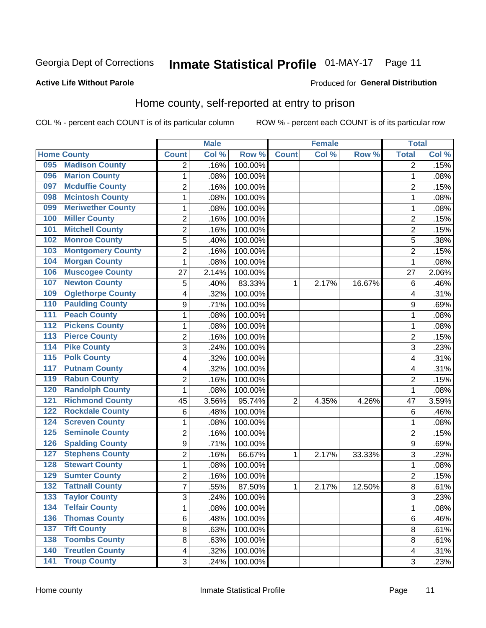## Inmate Statistical Profile 01-MAY-17 Page 11

#### **Active Life Without Parole**

#### Produced for General Distribution

### Home county, self-reported at entry to prison

COL % - percent each COUNT is of its particular column

|                  |                          |                          | <b>Male</b> |         |                | <b>Female</b> |        | <b>Total</b>   |       |
|------------------|--------------------------|--------------------------|-------------|---------|----------------|---------------|--------|----------------|-------|
|                  | <b>Home County</b>       | <b>Count</b>             | Col %       | Row %   | <b>Count</b>   | Col %         | Row %  | <b>Total</b>   | Col % |
| 095              | <b>Madison County</b>    | $\overline{2}$           | .16%        | 100.00% |                |               |        | 2              | .15%  |
| 096              | <b>Marion County</b>     | 1                        | .08%        | 100.00% |                |               |        | 1              | .08%  |
| 097              | <b>Mcduffie County</b>   | 2                        | .16%        | 100.00% |                |               |        | 2              | .15%  |
| 098              | <b>Mcintosh County</b>   | $\mathbf{1}$             | .08%        | 100.00% |                |               |        | 1              | .08%  |
| 099              | <b>Meriwether County</b> | $\mathbf{1}$             | .08%        | 100.00% |                |               |        | 1              | .08%  |
| 100              | <b>Miller County</b>     | $\overline{2}$           | .16%        | 100.00% |                |               |        | $\overline{2}$ | .15%  |
| 101              | <b>Mitchell County</b>   | $\overline{c}$           | .16%        | 100.00% |                |               |        | $\overline{c}$ | .15%  |
| 102              | <b>Monroe County</b>     | 5                        | .40%        | 100.00% |                |               |        | 5              | .38%  |
| 103              | <b>Montgomery County</b> | 2                        | .16%        | 100.00% |                |               |        | $\overline{c}$ | .15%  |
| 104              | <b>Morgan County</b>     | $\mathbf{1}$             | .08%        | 100.00% |                |               |        | 1              | .08%  |
| 106              | <b>Muscogee County</b>   | 27                       | 2.14%       | 100.00% |                |               |        | 27             | 2.06% |
| 107              | <b>Newton County</b>     | 5                        | .40%        | 83.33%  | 1              | 2.17%         | 16.67% | 6              | .46%  |
| 109              | <b>Oglethorpe County</b> | $\overline{\mathcal{A}}$ | .32%        | 100.00% |                |               |        | 4              | .31%  |
| 110              | <b>Paulding County</b>   | 9                        | .71%        | 100.00% |                |               |        | 9              | .69%  |
| 111              | <b>Peach County</b>      | $\mathbf{1}$             | .08%        | 100.00% |                |               |        | 1              | .08%  |
| 112              | <b>Pickens County</b>    | 1                        | .08%        | 100.00% |                |               |        | 1              | .08%  |
| 113              | <b>Pierce County</b>     | 2                        | .16%        | 100.00% |                |               |        | 2              | .15%  |
| 114              | <b>Pike County</b>       | 3                        | .24%        | 100.00% |                |               |        | 3              | .23%  |
| $\overline{115}$ | <b>Polk County</b>       | 4                        | .32%        | 100.00% |                |               |        | 4              | .31%  |
| 117              | <b>Putnam County</b>     | 4                        | .32%        | 100.00% |                |               |        | 4              | .31%  |
| 119              | <b>Rabun County</b>      | 2                        | .16%        | 100.00% |                |               |        | 2              | .15%  |
| 120              | <b>Randolph County</b>   | $\mathbf{1}$             | .08%        | 100.00% |                |               |        | 1              | .08%  |
| 121              | <b>Richmond County</b>   | 45                       | 3.56%       | 95.74%  | $\overline{2}$ | 4.35%         | 4.26%  | 47             | 3.59% |
| 122              | <b>Rockdale County</b>   | $\,6$                    | .48%        | 100.00% |                |               |        | 6              | .46%  |
| 124              | <b>Screven County</b>    | 1                        | .08%        | 100.00% |                |               |        | 1              | .08%  |
| 125              | <b>Seminole County</b>   | $\overline{2}$           | .16%        | 100.00% |                |               |        | $\overline{2}$ | .15%  |
| 126              | <b>Spalding County</b>   | $\mathsf g$              | .71%        | 100.00% |                |               |        | 9              | .69%  |
| 127              | <b>Stephens County</b>   | $\overline{2}$           | .16%        | 66.67%  | 1              | 2.17%         | 33.33% | 3              | .23%  |
| 128              | <b>Stewart County</b>    | 1                        | .08%        | 100.00% |                |               |        | 1              | .08%  |
| 129              | <b>Sumter County</b>     | 2                        | .16%        | 100.00% |                |               |        | $\overline{2}$ | .15%  |
| 132              | <b>Tattnall County</b>   | $\overline{7}$           | .55%        | 87.50%  | 1              | 2.17%         | 12.50% | 8              | .61%  |
| 133              | <b>Taylor County</b>     | 3                        | .24%        | 100.00% |                |               |        | 3              | .23%  |
| 134              | <b>Telfair County</b>    | $\mathbf{1}$             | .08%        | 100.00% |                |               |        | 1              | .08%  |
| 136              | <b>Thomas County</b>     | 6                        | .48%        | 100.00% |                |               |        | 6              | .46%  |
| 137              | <b>Tift County</b>       | 8                        | .63%        | 100.00% |                |               |        | 8              | .61%  |
| 138              | <b>Toombs County</b>     | 8                        | .63%        | 100.00% |                |               |        | 8              | .61%  |
| 140              | <b>Treutlen County</b>   | $\overline{4}$           | .32%        | 100.00% |                |               |        | 4              | .31%  |
| $\overline{141}$ | <b>Troup County</b>      | 3                        | .24%        | 100.00% |                |               |        | 3              | .23%  |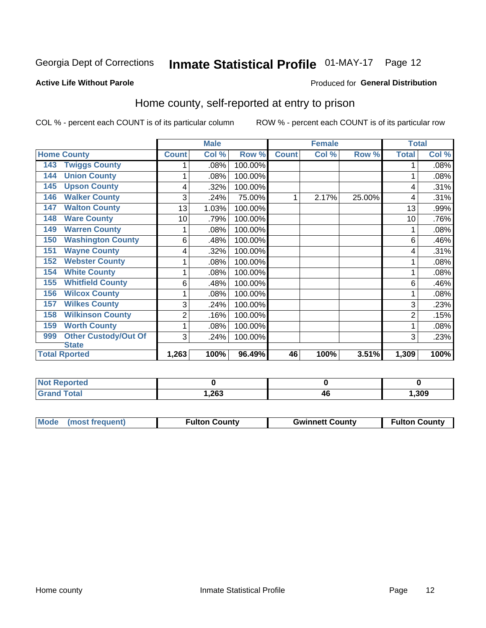## Inmate Statistical Profile 01-MAY-17 Page 12

#### **Active Life Without Parole**

#### Produced for General Distribution

### Home county, self-reported at entry to prison

COL % - percent each COUNT is of its particular column

|                                    |              | <b>Male</b> |         |              | <b>Female</b> |        | <b>Total</b> |       |
|------------------------------------|--------------|-------------|---------|--------------|---------------|--------|--------------|-------|
| <b>Home County</b>                 | <b>Count</b> | Col %       | Row %   | <b>Count</b> | Col %         | Row %  | <b>Total</b> | Col % |
| <b>Twiggs County</b><br>143        |              | .08%        | 100.00% |              |               |        |              | .08%  |
| <b>Union County</b><br>144         | 1            | .08%        | 100.00% |              |               |        |              | .08%  |
| <b>Upson County</b><br>145         | 4            | .32%        | 100.00% |              |               |        | 4            | .31%  |
| <b>Walker County</b><br>146        | 3            | .24%        | 75.00%  | 1            | 2.17%         | 25.00% | 4            | .31%  |
| <b>Walton County</b><br>147        | 13           | 1.03%       | 100.00% |              |               |        | 13           | .99%  |
| <b>Ware County</b><br>148          | 10           | .79%        | 100.00% |              |               |        | 10           | .76%  |
| <b>Warren County</b><br>149        | 1            | .08%        | 100.00% |              |               |        |              | .08%  |
| <b>Washington County</b><br>150    | 6            | .48%        | 100.00% |              |               |        | 6            | .46%  |
| <b>Wayne County</b><br>151         | 4            | .32%        | 100.00% |              |               |        | 4            | .31%  |
| <b>Webster County</b><br>152       | 1            | .08%        | 100.00% |              |               |        |              | .08%  |
| <b>White County</b><br>154         | 1            | .08%        | 100.00% |              |               |        |              | .08%  |
| <b>Whitfield County</b><br>155     | 6            | .48%        | 100.00% |              |               |        | 6            | .46%  |
| <b>Wilcox County</b><br>156        | 1            | .08%        | 100.00% |              |               |        |              | .08%  |
| <b>Wilkes County</b><br>157        | 3            | .24%        | 100.00% |              |               |        | 3            | .23%  |
| <b>Wilkinson County</b><br>158     | 2            | .16%        | 100.00% |              |               |        | 2            | .15%  |
| <b>Worth County</b><br>159         | 1            | .08%        | 100.00% |              |               |        |              | .08%  |
| <b>Other Custody/Out Of</b><br>999 | 3            | .24%        | 100.00% |              |               |        | 3            | .23%  |
| <b>State</b>                       |              |             |         |              |               |        |              |       |
| <b>Total Rported</b>               | 1,263        | 100%        | 96.49%  | 46           | 100%          | 3.51%  | 1,309        | 100%  |

| <b>Not Reported</b> |      |    |      |
|---------------------|------|----|------|
| <b>Total</b>        | ,263 | 4L | ,309 |

| Mode (most frequent)<br><b>Gwinnett County</b><br><b>Fulton County</b> |                      |
|------------------------------------------------------------------------|----------------------|
|                                                                        | <b>Fulton County</b> |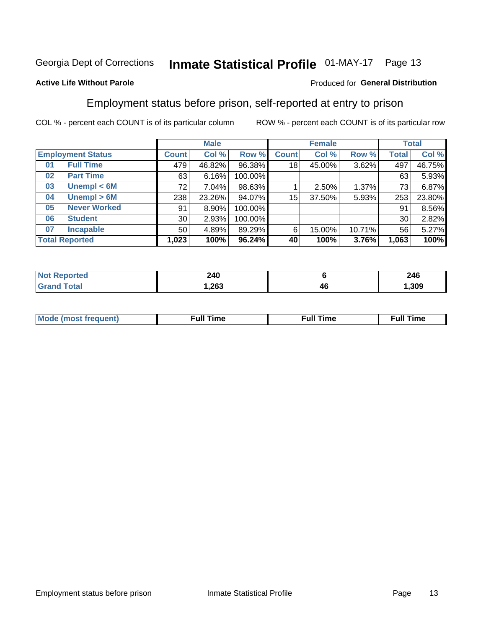## Inmate Statistical Profile 01-MAY-17 Page 13

#### **Active Life Without Parole**

#### Produced for General Distribution

### Employment status before prison, self-reported at entry to prison

COL % - percent each COUNT is of its particular column

|                          |                     | <b>Male</b>     |          |         |              | <b>Female</b> | <b>Total</b> |              |        |
|--------------------------|---------------------|-----------------|----------|---------|--------------|---------------|--------------|--------------|--------|
| <b>Employment Status</b> |                     | <b>Count</b>    | Col %    | Row %   | <b>Count</b> | Col %         | Row %        | <b>Total</b> | Col %  |
| 01                       | <b>Full Time</b>    | 479             | 46.82%   | 96.38%  | 18           | 45.00%        | 3.62%        | 497          | 46.75% |
| 02                       | <b>Part Time</b>    | 63              | 6.16%    | 100.00% |              |               |              | 63           | 5.93%  |
| 03                       | Unempl $<$ 6M       | 72              | $7.04\%$ | 98.63%  |              | 2.50%         | 1.37%        | 73           | 6.87%  |
| 04                       | Unempl > 6M         | 238             | 23.26%   | 94.07%  | 15           | 37.50%        | 5.93%        | 253          | 23.80% |
| 05                       | <b>Never Worked</b> | 91              | 8.90%    | 100.00% |              |               |              | 91           | 8.56%  |
| 06                       | <b>Student</b>      | 30 <sub>1</sub> | 2.93%    | 100.00% |              |               |              | 30           | 2.82%  |
| 07                       | <b>Incapable</b>    | 50 <sub>1</sub> | 4.89%    | 89.29%  | 6            | 15.00%        | 10.71%       | 56           | 5.27%  |
| <b>Total Reported</b>    |                     | 1,023           | 100%     | 96.24%  | 40           | 100%          | 3.76%        | 1,063        | 100%   |

| тес | 240    |    | 246<br>- - - |
|-----|--------|----|--------------|
|     | 263, ا | 46 | ,309         |

| Mc | ----<br>me<br>ш | nc<br>. |
|----|-----------------|---------|
|    |                 |         |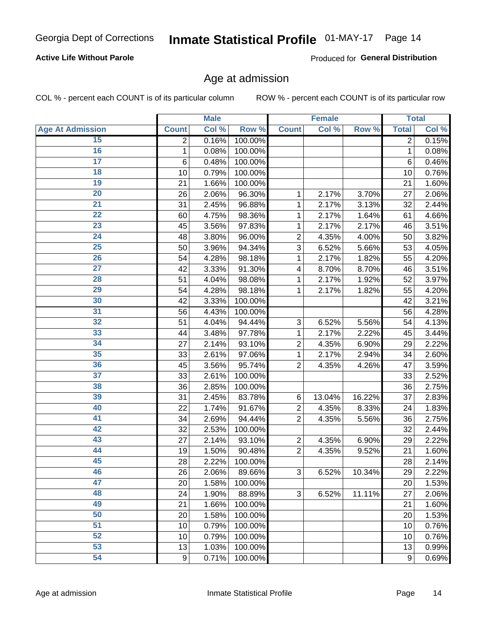#### **Active Life Without Parole**

Produced for General Distribution

### Age at admission

COL % - percent each COUNT is of its particular column

|                         |                 | <b>Male</b> |         |                | <b>Female</b> |        |              | <b>Total</b> |
|-------------------------|-----------------|-------------|---------|----------------|---------------|--------|--------------|--------------|
| <b>Age At Admission</b> | <b>Count</b>    | Col %       | Row %   | <b>Count</b>   | Col %         | Row %  | <b>Total</b> | Col %        |
| 15                      | 2               | 0.16%       | 100.00% |                |               |        | 2            | 0.15%        |
| 16                      | 1               | 0.08%       | 100.00% |                |               |        | 1            | 0.08%        |
| $\overline{17}$         | $6\phantom{1}6$ | 0.48%       | 100.00% |                |               |        | 6            | 0.46%        |
| 18                      | 10              | 0.79%       | 100.00% |                |               |        | 10           | 0.76%        |
| 19                      | 21              | 1.66%       | 100.00% |                |               |        | 21           | 1.60%        |
| $\overline{20}$         | 26              | 2.06%       | 96.30%  | 1              | 2.17%         | 3.70%  | 27           | 2.06%        |
| 21                      | 31              | 2.45%       | 96.88%  | 1              | 2.17%         | 3.13%  | 32           | 2.44%        |
| 22                      | 60              | 4.75%       | 98.36%  | 1              | 2.17%         | 1.64%  | 61           | 4.66%        |
| 23                      | 45              | 3.56%       | 97.83%  | 1              | 2.17%         | 2.17%  | 46           | 3.51%        |
| 24                      | 48              | 3.80%       | 96.00%  | $\overline{2}$ | 4.35%         | 4.00%  | 50           | 3.82%        |
| $\overline{25}$         | 50              | 3.96%       | 94.34%  | 3              | 6.52%         | 5.66%  | 53           | 4.05%        |
| 26                      | 54              | 4.28%       | 98.18%  | 1              | 2.17%         | 1.82%  | 55           | 4.20%        |
| $\overline{27}$         | 42              | 3.33%       | 91.30%  | 4              | 8.70%         | 8.70%  | 46           | 3.51%        |
| 28                      | 51              | 4.04%       | 98.08%  | 1              | 2.17%         | 1.92%  | 52           | 3.97%        |
| 29                      | 54              | 4.28%       | 98.18%  | 1              | 2.17%         | 1.82%  | 55           | 4.20%        |
| 30                      | 42              | 3.33%       | 100.00% |                |               |        | 42           | 3.21%        |
| $\overline{31}$         | 56              | 4.43%       | 100.00% |                |               |        | 56           | 4.28%        |
| 32                      | 51              | 4.04%       | 94.44%  | 3              | 6.52%         | 5.56%  | 54           | 4.13%        |
| 33                      | 44              | 3.48%       | 97.78%  | 1              | 2.17%         | 2.22%  | 45           | 3.44%        |
| 34                      | 27              | 2.14%       | 93.10%  | $\overline{2}$ | 4.35%         | 6.90%  | 29           | 2.22%        |
| 35                      | 33              | 2.61%       | 97.06%  | 1              | 2.17%         | 2.94%  | 34           | 2.60%        |
| 36                      | 45              | 3.56%       | 95.74%  | $\overline{2}$ | 4.35%         | 4.26%  | 47           | 3.59%        |
| $\overline{37}$         | 33              | 2.61%       | 100.00% |                |               |        | 33           | 2.52%        |
| 38                      | 36              | 2.85%       | 100.00% |                |               |        | 36           | 2.75%        |
| 39                      | 31              | 2.45%       | 83.78%  | 6              | 13.04%        | 16.22% | 37           | 2.83%        |
| 40                      | 22              | 1.74%       | 91.67%  | $\overline{2}$ | 4.35%         | 8.33%  | 24           | 1.83%        |
| 41                      | 34              | 2.69%       | 94.44%  | $\overline{2}$ | 4.35%         | 5.56%  | 36           | 2.75%        |
| 42                      | 32              | 2.53%       | 100.00% |                |               |        | 32           | 2.44%        |
| 43                      | 27              | 2.14%       | 93.10%  | $\overline{2}$ | 4.35%         | 6.90%  | 29           | 2.22%        |
| 44                      | 19              | 1.50%       | 90.48%  | $\overline{2}$ | 4.35%         | 9.52%  | 21           | 1.60%        |
| 45                      | 28              | 2.22%       | 100.00% |                |               |        | 28           | 2.14%        |
| 46                      | 26              | 2.06%       | 89.66%  | 3              | 6.52%         | 10.34% | 29           | 2.22%        |
| 47                      | 20              | 1.58%       | 100.00% |                |               |        | 20           | 1.53%        |
| 48                      | 24              | 1.90%       | 88.89%  | 3              | 6.52%         | 11.11% | 27           | 2.06%        |
| 49                      | 21              | 1.66%       | 100.00% |                |               |        | 21           | 1.60%        |
| 50                      | 20              | 1.58%       | 100.00% |                |               |        | 20           | 1.53%        |
| $\overline{51}$         | 10              | 0.79%       | 100.00% |                |               |        | 10           | 0.76%        |
| 52                      | 10              | 0.79%       | 100.00% |                |               |        | 10           | 0.76%        |
| 53                      | 13              | 1.03%       | 100.00% |                |               |        | 13           | 0.99%        |
| 54                      | 9               | 0.71%       | 100.00% |                |               |        | 9            | 0.69%        |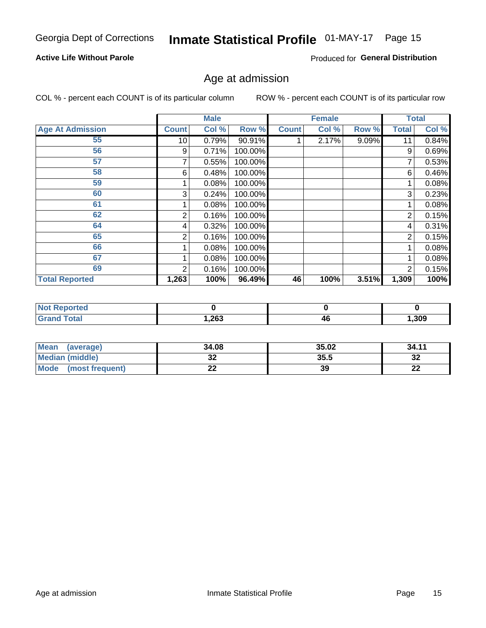## Inmate Statistical Profile 01-MAY-17 Page 15

#### **Active Life Without Parole**

Produced for General Distribution

### Age at admission

COL % - percent each COUNT is of its particular column

|                         |                 | <b>Male</b> |         |              | <b>Female</b> |       |                | <b>Total</b> |
|-------------------------|-----------------|-------------|---------|--------------|---------------|-------|----------------|--------------|
| <b>Age At Admission</b> | <b>Count</b>    | Col %       | Row %   | <b>Count</b> | Col %         | Row % | <b>Total</b>   | Col %        |
| 55                      | 10 <sup>1</sup> | 0.79%       | 90.91%  |              | 2.17%         | 9.09% | 11             | 0.84%        |
| 56                      | 9               | 0.71%       | 100.00% |              |               |       | 9              | 0.69%        |
| 57                      |                 | 0.55%       | 100.00% |              |               |       |                | 0.53%        |
| 58                      | 6               | 0.48%       | 100.00% |              |               |       | 6              | 0.46%        |
| 59                      |                 | 0.08%       | 100.00% |              |               |       |                | 0.08%        |
| 60                      | 3               | 0.24%       | 100.00% |              |               |       | 3              | 0.23%        |
| 61                      |                 | 0.08%       | 100.00% |              |               |       |                | 0.08%        |
| 62                      | 2               | 0.16%       | 100.00% |              |               |       | $\overline{2}$ | 0.15%        |
| 64                      | 4               | 0.32%       | 100.00% |              |               |       | 4              | 0.31%        |
| 65                      | 2               | 0.16%       | 100.00% |              |               |       | 2              | 0.15%        |
| 66                      |                 | 0.08%       | 100.00% |              |               |       |                | 0.08%        |
| 67                      |                 | 0.08%       | 100.00% |              |               |       |                | 0.08%        |
| 69                      | 2               | 0.16%       | 100.00% |              |               |       | 2              | 0.15%        |
| <b>Total Reported</b>   | 1,263           | 100%        | 96.49%  | 46           | 100%          | 3.51% | 1,309          | 100%         |

| <b>Not Reported</b>          |      |    |       |
|------------------------------|------|----|-------|
| <b>Total</b><br><b>Grand</b> | 263, | 4Ł | 1,309 |

| <b>Mean</b><br>(average) | 34.08      | 35.02 | 34.11   |
|--------------------------|------------|-------|---------|
| Median (middle)          | JZ         | 35.5  | ົ<br>34 |
| Mode<br>(most frequent)  | <u>. .</u> | 39    | ົ<br>LL |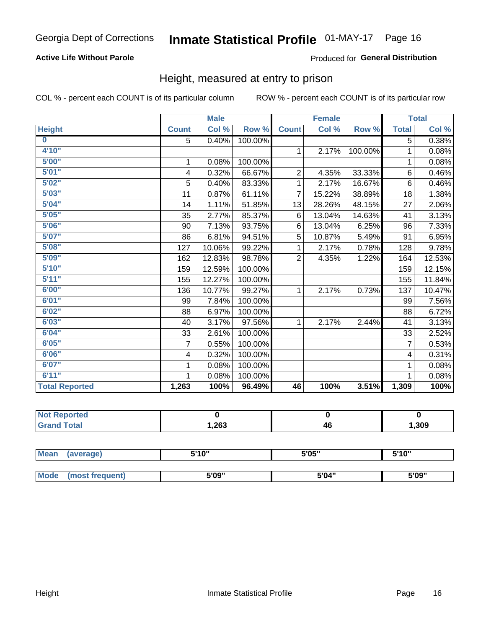#### **Active Life Without Parole**

#### Produced for General Distribution

### Height, measured at entry to prison

COL % - percent each COUNT is of its particular column

|                       |                | <b>Male</b> |         |                | <b>Female</b> |         |                | <b>Total</b> |
|-----------------------|----------------|-------------|---------|----------------|---------------|---------|----------------|--------------|
| <b>Height</b>         | <b>Count</b>   | Col %       | Row %   | <b>Count</b>   | Col %         | Row %   | <b>Total</b>   | Col %        |
| $\bf{0}$              | 5              | 0.40%       | 100.00% |                |               |         | 5              | 0.38%        |
| 4'10''                |                |             |         | $\mathbf{1}$   | 2.17%         | 100.00% | 1              | 0.08%        |
| 5'00''                | 1              | 0.08%       | 100.00% |                |               |         | 1              | 0.08%        |
| 5'01"                 | 4              | 0.32%       | 66.67%  | $\overline{2}$ | 4.35%         | 33.33%  | 6              | 0.46%        |
| 5'02"                 | 5              | 0.40%       | 83.33%  | 1              | 2.17%         | 16.67%  | $6\phantom{1}$ | 0.46%        |
| 5'03''                | 11             | 0.87%       | 61.11%  | $\overline{7}$ | 15.22%        | 38.89%  | 18             | 1.38%        |
| 5'04"                 | 14             | 1.11%       | 51.85%  | 13             | 28.26%        | 48.15%  | 27             | 2.06%        |
| 5'05"                 | 35             | 2.77%       | 85.37%  | 6              | 13.04%        | 14.63%  | 41             | 3.13%        |
| 5'06''                | 90             | 7.13%       | 93.75%  | 6              | 13.04%        | 6.25%   | 96             | 7.33%        |
| 5'07"                 | 86             | 6.81%       | 94.51%  | 5              | 10.87%        | 5.49%   | 91             | 6.95%        |
| 5'08''                | 127            | 10.06%      | 99.22%  | 1              | 2.17%         | 0.78%   | 128            | 9.78%        |
| 5'09''                | 162            | 12.83%      | 98.78%  | $\overline{2}$ | 4.35%         | 1.22%   | 164            | 12.53%       |
| 5'10''                | 159            | 12.59%      | 100.00% |                |               |         | 159            | 12.15%       |
| 5'11"                 | 155            | 12.27%      | 100.00% |                |               |         | 155            | 11.84%       |
| 6'00''                | 136            | 10.77%      | 99.27%  | 1.             | 2.17%         | 0.73%   | 137            | 10.47%       |
| 6'01''                | 99             | 7.84%       | 100.00% |                |               |         | 99             | 7.56%        |
| 6'02"                 | 88             | 6.97%       | 100.00% |                |               |         | 88             | 6.72%        |
| 6'03''                | 40             | 3.17%       | 97.56%  | $\mathbf{1}$   | 2.17%         | 2.44%   | 41             | 3.13%        |
| 6'04"                 | 33             | 2.61%       | 100.00% |                |               |         | 33             | 2.52%        |
| 6'05"                 | $\overline{7}$ | 0.55%       | 100.00% |                |               |         | $\overline{7}$ | 0.53%        |
| 6'06''                | 4              | 0.32%       | 100.00% |                |               |         | 4              | 0.31%        |
| 6'07''                | 1              | 0.08%       | 100.00% |                |               |         | 1              | 0.08%        |
| 6'11''                | 1              | 0.08%       | 100.00% |                |               |         |                | 0.08%        |
| <b>Total Reported</b> | 1,263          | 100%        | 96.49%  | 46             | 100%          | 3.51%   | 1,309          | 100%         |

| enorted     |      |    |       |
|-------------|------|----|-------|
| <b>otal</b> | ,263 | 46 | , 309 |

| <b>Mean</b> | (average)       | 5'10" | 5'05" | 5'10'' |  |
|-------------|-----------------|-------|-------|--------|--|
|             |                 |       |       |        |  |
| <b>Mode</b> | (most frequent) | 5'09" | 5'04" | 5'09"  |  |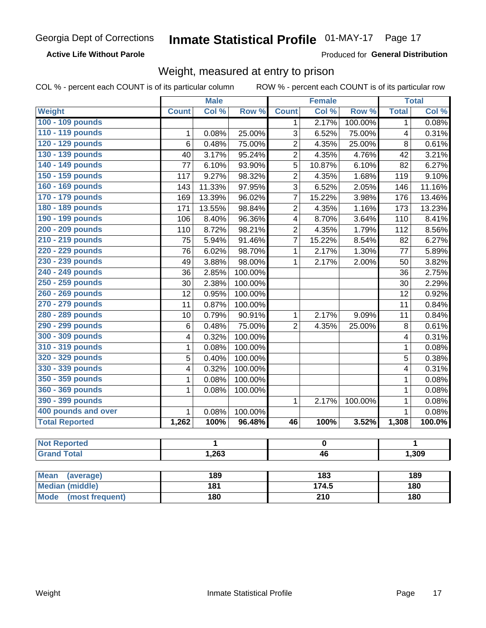**Active Life Without Parole** 

Produced for General Distribution

### Weight, measured at entry to prison

COL % - percent each COUNT is of its particular column

ROW % - percent each COUNT is of its particular row

|                          |                         | <b>Male</b> |         |                         | <b>Female</b>    |         |                | <b>Total</b> |
|--------------------------|-------------------------|-------------|---------|-------------------------|------------------|---------|----------------|--------------|
| <b>Weight</b>            | <b>Count</b>            | Col %       | Row %   | <b>Count</b>            | Col %            | Row %   | <b>Total</b>   | Col %        |
| 100 - 109 pounds         |                         |             |         | 1                       | 2.17%            | 100.00% | 1              | 0.08%        |
| 110 - 119 pounds         | 1                       | 0.08%       | 25.00%  | 3                       | 6.52%            | 75.00%  | 4              | 0.31%        |
| 120 - 129 pounds         | $6\phantom{1}6$         | 0.48%       | 75.00%  | $\overline{c}$          | 4.35%            | 25.00%  | 8              | 0.61%        |
| 130 - 139 pounds         | 40                      | 3.17%       | 95.24%  | $\overline{2}$          | 4.35%            | 4.76%   | 42             | 3.21%        |
| 140 - 149 pounds         | 77                      | 6.10%       | 93.90%  | 5                       | 10.87%           | 6.10%   | 82             | 6.27%        |
| 150 - 159 pounds         | 117                     | 9.27%       | 98.32%  | $\overline{2}$          | 4.35%            | 1.68%   | 119            | 9.10%        |
| 160 - 169 pounds         | 143                     | 11.33%      | 97.95%  | 3                       | 6.52%            | 2.05%   | 146            | 11.16%       |
| 170 - 179 pounds         | 169                     | 13.39%      | 96.02%  | $\overline{7}$          | 15.22%           | 3.98%   | 176            | 13.46%       |
| 180 - 189 pounds         | 171                     | 13.55%      | 98.84%  | $\overline{2}$          | 4.35%            | 1.16%   | 173            | 13.23%       |
| 190 - 199 pounds         | 106                     | 8.40%       | 96.36%  | $\overline{\mathbf{4}}$ | 8.70%            | 3.64%   | 110            | 8.41%        |
| 200 - 209 pounds         | 110                     | 8.72%       | 98.21%  | $\overline{2}$          | 4.35%            | 1.79%   | 112            | 8.56%        |
| 210 - 219 pounds         | 75                      | 5.94%       | 91.46%  | $\overline{7}$          | 15.22%           | 8.54%   | 82             | 6.27%        |
| 220 - 229 pounds         | 76                      | 6.02%       | 98.70%  | $\mathbf{1}$            | 2.17%            | 1.30%   | 77             | 5.89%        |
| 230 - 239 pounds         | 49                      | 3.88%       | 98.00%  | $\mathbf{1}$            | 2.17%            | 2.00%   | 50             | 3.82%        |
| 240 - 249 pounds         | 36                      | 2.85%       | 100.00% |                         |                  |         | 36             | 2.75%        |
| 250 - 259 pounds         | 30                      | 2.38%       | 100.00% |                         |                  |         | 30             | 2.29%        |
| 260 - 269 pounds         | 12                      | 0.95%       | 100.00% |                         |                  |         | 12             | 0.92%        |
| 270 - 279 pounds         | 11                      | 0.87%       | 100.00% |                         |                  |         | 11             | 0.84%        |
| 280 - 289 pounds         | 10                      | 0.79%       | 90.91%  | $\mathbf{1}$            | 2.17%            | 9.09%   | 11             | 0.84%        |
| 290 - 299 pounds         | $6\phantom{1}6$         | 0.48%       | 75.00%  | $\overline{2}$          | 4.35%            | 25.00%  | 8              | 0.61%        |
| 300 - 309 pounds         | 4                       | 0.32%       | 100.00% |                         |                  |         | 4              | 0.31%        |
| 310 - 319 pounds         | $\mathbf{1}$            | 0.08%       | 100.00% |                         |                  |         | 1              | 0.08%        |
| 320 - 329 pounds         | $\overline{5}$          | 0.40%       | 100.00% |                         |                  |         | 5              | 0.38%        |
| 330 - 339 pounds         | $\overline{\mathbf{4}}$ | 0.32%       | 100.00% |                         |                  |         | 4              | 0.31%        |
| 350 - 359 pounds         | 1                       | 0.08%       | 100.00% |                         |                  |         | 1              | 0.08%        |
| 360 - 369 pounds         | 1                       | 0.08%       | 100.00% |                         |                  |         | $\mathbf 1$    | 0.08%        |
| 390 - 399 pounds         |                         |             |         | $\mathbf{1}$            | 2.17%            | 100.00% | $\mathbf{1}$   | 0.08%        |
| 400 pounds and over      | $\mathbf{1}$            | 0.08%       | 100.00% |                         |                  |         | $\overline{1}$ | 0.08%        |
| <b>Total Reported</b>    | 1,262                   | 100%        | 96.48%  | 46                      | 100%             | 3.52%   | 1,308          | 100.0%       |
|                          |                         |             |         |                         |                  |         |                |              |
| <b>Not Reported</b>      |                         | 1           |         | $\pmb{0}$               |                  |         |                | 1            |
| <b>Grand Total</b>       |                         | 1,263       |         |                         | 46               |         |                | 1,309        |
|                          |                         |             |         |                         |                  |         |                |              |
| <b>Mean</b><br>(average) |                         | 189         |         |                         | $\overline{183}$ |         |                | 189          |
| <b>Median (middle)</b>   |                         | 181         |         |                         | 174.5            |         |                | 180          |

**Mode** 

(most frequent)

 $\overline{210}$ 

**180** 

 $180$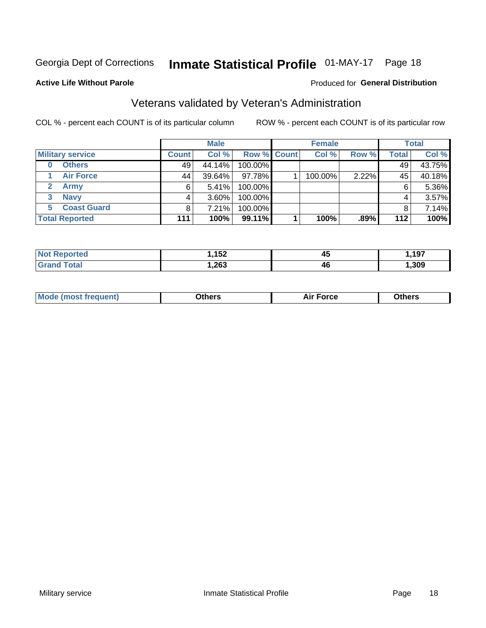## Inmate Statistical Profile 01-MAY-17 Page 18

#### **Active Life Without Parole**

#### Produced for General Distribution

## Veterans validated by Veteran's Administration

COL % - percent each COUNT is of its particular column

|                          |              | <b>Male</b> |                    | <b>Female</b> |       |              | <b>Total</b> |
|--------------------------|--------------|-------------|--------------------|---------------|-------|--------------|--------------|
| <b>Military service</b>  | <b>Count</b> | Col %       | <b>Row % Count</b> | Col %         | Row % | <b>Total</b> | Col %        |
| <b>Others</b><br>0       | 49           | 44.14%      | 100.00%            |               |       | 49           | 43.75%       |
| <b>Air Force</b>         | 44           | $39.64\%$   | 97.78%             | 100.00%       | 2.22% | 45           | 40.18%       |
| <b>Army</b>              | 6            | 5.41%       | 100.00%            |               |       | 6            | 5.36%        |
| <b>Navy</b><br>3         |              | $3.60\%$    | 100.00%            |               |       | 4            | 3.57%        |
| <b>Coast Guard</b><br>5. | 8            | 7.21%       | 100.00%            |               |       | 8            | 7.14%        |
| <b>Total Reported</b>    | 111          | 100%        | $99.11\%$          | 100%          | .89%  | 112          | 100%         |

|        | イドウ<br>$-$ | 45<br>$\overline{\phantom{a}}$ | 197, |
|--------|------------|--------------------------------|------|
| $\sim$ | ,263       | 46                             | .309 |

| <b>Moo.</b> |
|-------------|
|-------------|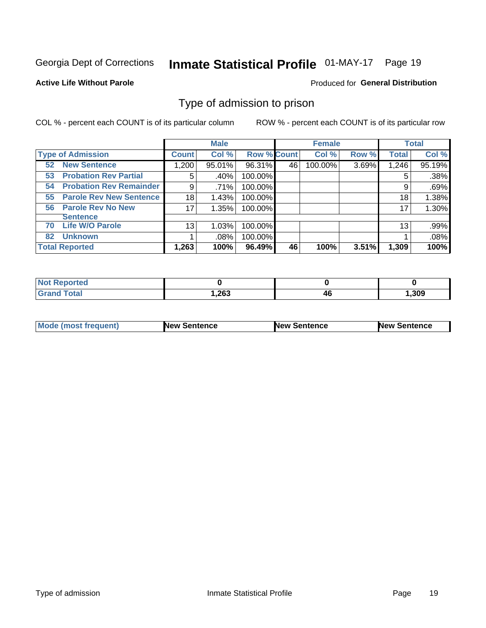## Inmate Statistical Profile 01-MAY-17 Page 19

#### **Active Life Without Parole**

#### Produced for General Distribution

### Type of admission to prison

COL % - percent each COUNT is of its particular column

|                                      |              | <b>Male</b> |                    |    | <b>Female</b> |       |              | <b>Total</b> |
|--------------------------------------|--------------|-------------|--------------------|----|---------------|-------|--------------|--------------|
| <b>Type of Admission</b>             | <b>Count</b> | Col %       | <b>Row % Count</b> |    | Col %         | Row % | <b>Total</b> | Col %        |
| <b>New Sentence</b><br>52            | 1,200        | 95.01%      | 96.31%             | 46 | 100.00%       | 3.69% | 1,246        | 95.19%       |
| <b>Probation Rev Partial</b><br>53   | 5            | .40%        | 100.00%            |    |               |       | 5            | .38%         |
| <b>Probation Rev Remainder</b><br>54 | 9            | .71%        | 100.00%            |    |               |       | 9            | .69%         |
| <b>Parole Rev New Sentence</b><br>55 | 18           | 1.43%       | 100.00%            |    |               |       | 18           | 1.38%        |
| <b>Parole Rev No New</b><br>56       | 17           | 1.35%       | 100.00%            |    |               |       | 17           | 1.30%        |
| <b>Sentence</b>                      |              |             |                    |    |               |       |              |              |
| <b>Life W/O Parole</b><br>70         | 13           | 1.03%       | 100.00%            |    |               |       | 13           | .99%         |
| <b>Unknown</b><br>82                 |              | .08%        | 100.00%            |    |               |       |              | .08%         |
| <b>Total Reported</b>                | 1,263        | 100%        | 96.49%             | 46 | 100%          | 3.51% | 1,309        | 100%         |

| <b>Not Reported</b>          |       |    |       |
|------------------------------|-------|----|-------|
| <b>Total</b><br><b>Grand</b> | 1,263 | 4u | , 309 |

| Mode (most frequent) | <b>New Sentence</b> | <b>New Sentence</b> | <b>New Sentence</b> |
|----------------------|---------------------|---------------------|---------------------|
|                      |                     |                     |                     |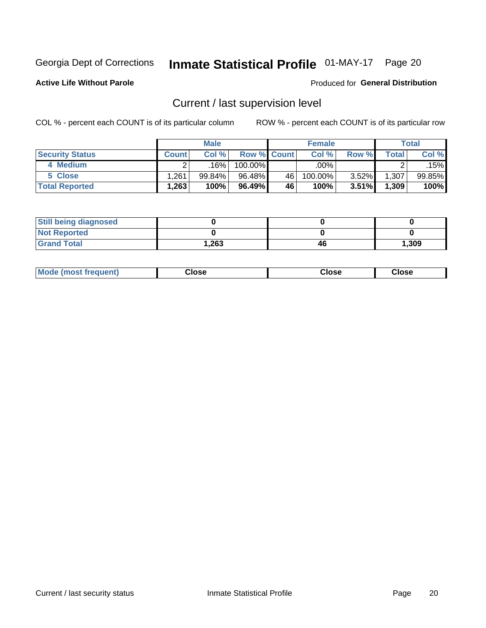## Inmate Statistical Profile 01-MAY-17 Page 20

**Active Life Without Parole** 

#### Produced for General Distribution

## Current / last supervision level

COL % - percent each COUNT is of its particular column

|                        |              | <b>Male</b> |                    |    | <b>Female</b> |       |       | <b>Total</b> |
|------------------------|--------------|-------------|--------------------|----|---------------|-------|-------|--------------|
| <b>Security Status</b> | <b>Count</b> | Col%        | <b>Row % Count</b> |    | Col %         | Row % | Total | Col %        |
| 4 Medium               |              | 16%         | 100.00%            |    | .00%          |       |       | .15%         |
| 5 Close                | ,261         | 99.84%      | 96.48%             | 46 | 100.00%       | 3.52% | 1,307 | 99.85%       |
| <b>Total Reported</b>  | .263         | 100%        | 96.49%             | 46 | 100%          | 3.51% | 1,309 | 100%         |

| <b>Still being diagnosed</b> |      |    |       |
|------------------------------|------|----|-------|
| <b>Not Reported</b>          |      |    |       |
| <b>Grand Total</b>           | .263 | 46 | 1,309 |

| <b>Mode (most frequent)</b> | Close | ∵lose | Close |
|-----------------------------|-------|-------|-------|
|                             |       |       |       |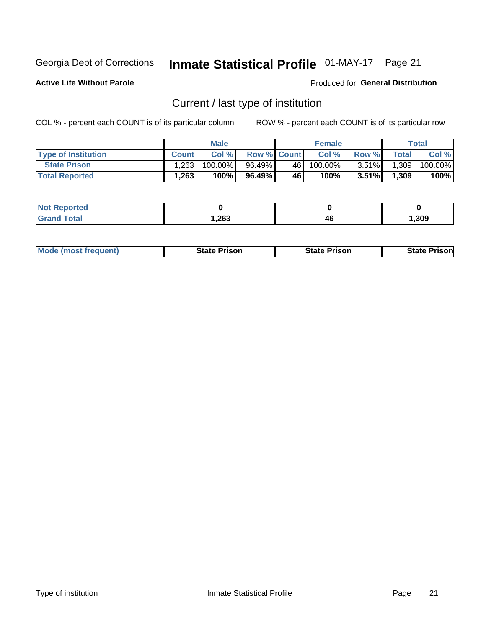## Inmate Statistical Profile 01-MAY-17 Page 21

**Active Life Without Parole** 

Produced for General Distribution

## Current / last type of institution

COL % - percent each COUNT is of its particular column

|                            |              | <b>Male</b> |                    |      | <b>Female</b> |          |              | <b>Total</b> |
|----------------------------|--------------|-------------|--------------------|------|---------------|----------|--------------|--------------|
| <b>Type of Institution</b> | <b>Count</b> | Col%        | <b>Row % Count</b> |      | Col %         | Row %    | <b>Total</b> | Col %        |
| <b>State Prison</b>        | 1,263        | $100.00\%$  | 96.49%             | 46   | 100.00%       | $3.51\%$ | 1,309        | 100.00%      |
| <b>Total Reported</b>      | 1,263        | 100%        | 96.49%             | 46 ' | $100\%$ .     | $3.51\%$ | 1,309        | 100%         |

| τeα |      |    |      |
|-----|------|----|------|
| .   | ,263 | 46 | ,309 |

| <b>Mode (most frequent)</b> | State Prison | <b>State Prison</b> | State<br>⊦Prisonl |
|-----------------------------|--------------|---------------------|-------------------|
|                             |              |                     |                   |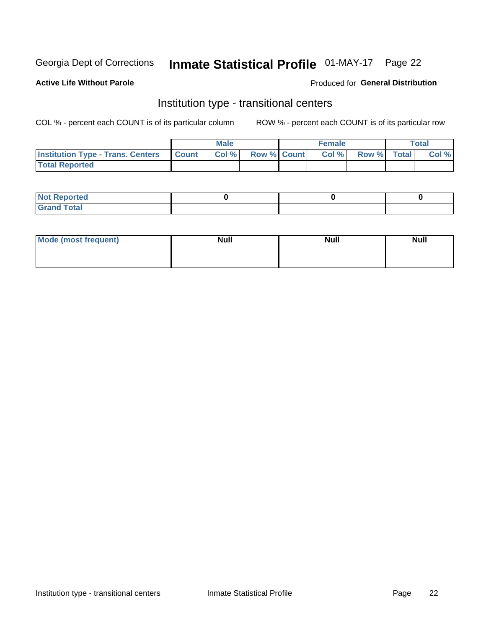## Inmate Statistical Profile 01-MAY-17 Page 22

#### **Active Life Without Parole**

#### Produced for General Distribution

## Institution type - transitional centers

COL % - percent each COUNT is of its particular column

|                                                | <b>Male</b> |                    | <b>Female</b> |             | <b>Total</b> |
|------------------------------------------------|-------------|--------------------|---------------|-------------|--------------|
| <b>Institution Type - Trans. Centers Count</b> | CoI%        | <b>Row % Count</b> | Col % l       | Row % Total | Col %        |
| <b>Total Reported</b>                          |             |                    |               |             |              |

| <b>Reported</b><br><b>NOT</b><br>$\sim$            |  |  |
|----------------------------------------------------|--|--|
| $f$ $f \circ f \circ f$<br>$C = 1$<br><b>TULAI</b> |  |  |

| Mode (most frequent) | <b>Null</b> | <b>Null</b> | <b>Null</b> |
|----------------------|-------------|-------------|-------------|
|                      |             |             |             |
|                      |             |             |             |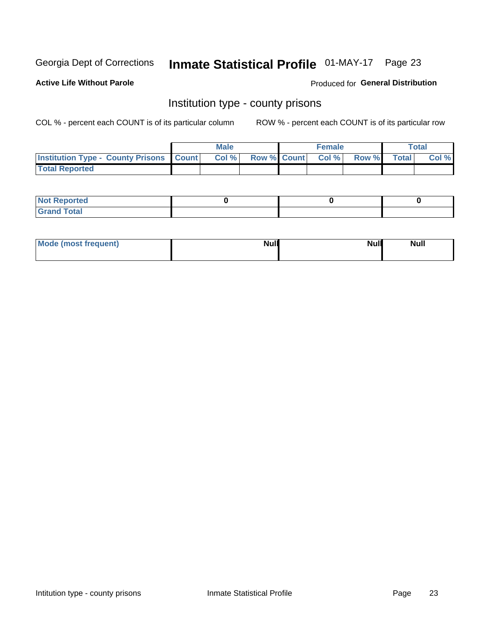## Inmate Statistical Profile 01-MAY-17 Page 23

**Active Life Without Parole** 

Produced for General Distribution

### Institution type - county prisons

COL % - percent each COUNT is of its particular column

|                                                    | <b>Male</b> |       |  | <b>Female</b> |                          |             | <b>Total</b> |       |
|----------------------------------------------------|-------------|-------|--|---------------|--------------------------|-------------|--------------|-------|
| <b>Institution Type - County Prisons   Count  </b> |             | Col % |  |               | <b>Row % Count Col %</b> | Row % Total |              | Col % |
| <b>Total Reported</b>                              |             |       |  |               |                          |             |              |       |

| : Reported<br><b>NOT</b>          |  |  |
|-----------------------------------|--|--|
| <b>Total</b><br>$C$ ren<br>______ |  |  |

| Mode (most frequent) | <b>Null</b> | <b>Null</b><br><b>Null</b> |
|----------------------|-------------|----------------------------|
|                      |             |                            |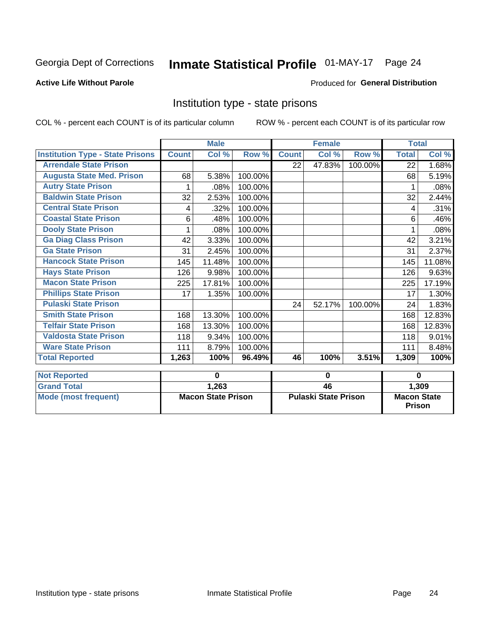## Inmate Statistical Profile 01-MAY-17 Page 24

#### **Active Life Without Parole**

#### **Produced for General Distribution**

### Institution type - state prisons

|                                         | <b>Male</b>               |        |         | <b>Female</b>               |        |          | <b>Total</b>                        |        |
|-----------------------------------------|---------------------------|--------|---------|-----------------------------|--------|----------|-------------------------------------|--------|
| <b>Institution Type - State Prisons</b> | <b>Count</b>              | Col %  | Row %   | <b>Count</b>                | Col %  | Row %    | <b>Total</b>                        | Col %  |
| <b>Arrendale State Prison</b>           |                           |        |         | 22                          | 47.83% | 100.00%  | 22                                  | 1.68%  |
| <b>Augusta State Med. Prison</b>        | 68                        | 5.38%  | 100.00% |                             |        |          | 68                                  | 5.19%  |
| <b>Autry State Prison</b>               |                           | .08%   | 100.00% |                             |        |          |                                     | .08%   |
| <b>Baldwin State Prison</b>             | 32                        | 2.53%  | 100.00% |                             |        |          | 32                                  | 2.44%  |
| <b>Central State Prison</b>             | 4                         | .32%   | 100.00% |                             |        |          | 4                                   | .31%   |
| <b>Coastal State Prison</b>             | 6                         | .48%   | 100.00% |                             |        |          | 6                                   | .46%   |
| <b>Dooly State Prison</b>               | 1                         | .08%   | 100.00% |                             |        |          | 1                                   | .08%   |
| <b>Ga Diag Class Prison</b>             | 42                        | 3.33%  | 100.00% |                             |        |          | 42                                  | 3.21%  |
| <b>Ga State Prison</b>                  | 31                        | 2.45%  | 100.00% |                             |        |          | 31                                  | 2.37%  |
| <b>Hancock State Prison</b>             | 145                       | 11.48% | 100.00% |                             |        |          | 145                                 | 11.08% |
| <b>Hays State Prison</b>                | 126                       | 9.98%  | 100.00% |                             |        |          | 126                                 | 9.63%  |
| <b>Macon State Prison</b>               | 225                       | 17.81% | 100.00% |                             |        |          | 225                                 | 17.19% |
| <b>Phillips State Prison</b>            | 17                        | 1.35%  | 100.00% |                             |        |          | 17                                  | 1.30%  |
| <b>Pulaski State Prison</b>             |                           |        |         | 24                          | 52.17% | 100.00%  | 24                                  | 1.83%  |
| <b>Smith State Prison</b>               | 168                       | 13.30% | 100.00% |                             |        |          | 168                                 | 12.83% |
| <b>Telfair State Prison</b>             | 168                       | 13.30% | 100.00% |                             |        |          | 168                                 | 12.83% |
| <b>Valdosta State Prison</b>            | 118                       | 9.34%  | 100.00% |                             |        |          | 118                                 | 9.01%  |
| <b>Ware State Prison</b>                | 111                       | 8.79%  | 100.00% |                             |        |          | 111                                 | 8.48%  |
| <b>Total Reported</b>                   | 1,263                     | 100%   | 96.49%  | 46                          | 100%   | 3.51%    | 1,309                               | 100%   |
| <b>Not Reported</b>                     | 0                         |        | 0       |                             |        | $\bf{0}$ |                                     |        |
| <b>Grand Total</b>                      |                           | 1,263  |         | 46                          |        |          |                                     | 1,309  |
| <b>Mode (most frequent)</b>             | <b>Macon State Prison</b> |        |         | <b>Pulaski State Prison</b> |        |          | <b>Macon State</b><br><b>Prison</b> |        |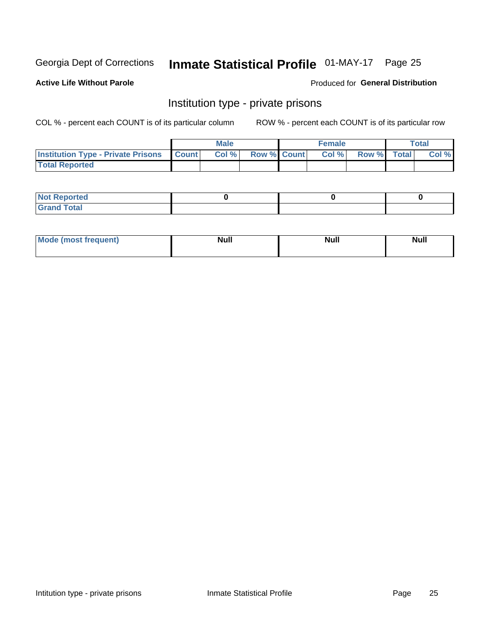## Inmate Statistical Profile 01-MAY-17 Page 25

**Active Life Without Parole** 

#### Produced for General Distribution

### Institution type - private prisons

COL % - percent each COUNT is of its particular column

|                                                 | <b>Male</b> |       |                    | <b>Female</b> |       |             | Total |       |
|-------------------------------------------------|-------------|-------|--------------------|---------------|-------|-------------|-------|-------|
| <b>Institution Type - Private Prisons Count</b> |             | Col % | <b>Row % Count</b> |               | Col % | Row % Total |       | Col % |
| <b>Total Reported</b>                           |             |       |                    |               |       |             |       |       |

| Not Reported           |  |  |
|------------------------|--|--|
| <b>Cotal</b><br>______ |  |  |

| <b>Mo</b><br>frequent) | <b>Null</b> | <b>Null</b> | . . I *<br><b>IVUII</b> |
|------------------------|-------------|-------------|-------------------------|
|                        |             |             |                         |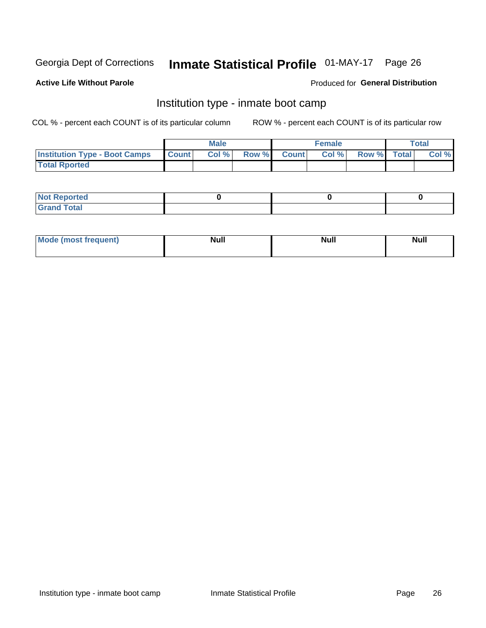## Inmate Statistical Profile 01-MAY-17 Page 26

#### **Active Life Without Parole**

#### Produced for General Distribution

## Institution type - inmate boot camp

COL % - percent each COUNT is of its particular column

|                                      | <b>Male</b>  |       |               |              | <b>Female</b> | <b>Total</b> |  |       |
|--------------------------------------|--------------|-------|---------------|--------------|---------------|--------------|--|-------|
| <b>Institution Type - Boot Camps</b> | <b>Count</b> | Col % | <b>Row %I</b> | <b>Count</b> | Col %         | Row % Total  |  | Col % |
| <b>Total Rported</b>                 |              |       |               |              |               |              |  |       |

| <b>Not Reported</b>            |  |  |
|--------------------------------|--|--|
| <b>Total</b><br>C <sub>r</sub> |  |  |

| Mod<br>uamo | Nul.<br>$- - - - - -$ | <b>Null</b> | <br>uu.<br>------ |
|-------------|-----------------------|-------------|-------------------|
|             |                       |             |                   |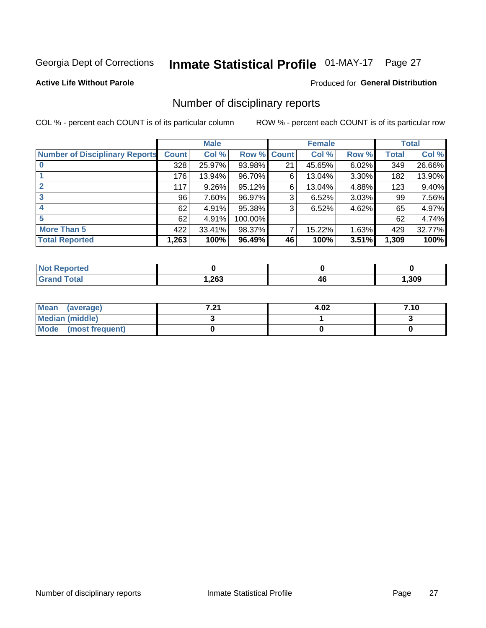## Inmate Statistical Profile 01-MAY-17 Page 27

#### **Active Life Without Parole**

#### Produced for General Distribution

### Number of disciplinary reports

COL % - percent each COUNT is of its particular column

|                                       | <b>Male</b>  |          |         | <b>Female</b> |        |       | <b>Total</b> |        |
|---------------------------------------|--------------|----------|---------|---------------|--------|-------|--------------|--------|
| <b>Number of Disciplinary Reports</b> | <b>Count</b> | Col %    | Row %   | <b>Count</b>  | Col %  | Row % | Total        | Col %  |
|                                       | 328          | 25.97%   | 93.98%  | 21            | 45.65% | 6.02% | 349          | 26.66% |
|                                       | 176          | 13.94%   | 96.70%  | 6             | 13.04% | 3.30% | 182          | 13.90% |
| 2                                     | 117          | $9.26\%$ | 95.12%  | 6             | 13.04% | 4.88% | 123          | 9.40%  |
| 3                                     | 96           | 7.60%    | 96.97%  | 3             | 6.52%  | 3.03% | 99           | 7.56%  |
|                                       | 62           | 4.91%    | 95.38%  | 3             | 6.52%  | 4.62% | 65           | 4.97%  |
| 5                                     | 62           | 4.91%    | 100.00% |               |        |       | 62           | 4.74%  |
| <b>More Than 5</b>                    | 422          | 33.41%   | 98.37%  | 7             | 15.22% | 1.63% | 429          | 32.77% |
| <b>Total Reported</b>                 | 1,263        | 100%     | 96.49%  | 46            | 100%   | 3.51% | 1,309        | 100%   |

| NO<br>тео |      |    |      |
|-----------|------|----|------|
| Гоtal     | ,263 | 40 | ,309 |

| Mean (average)       | 7.01<br>$\sim$ | 4.02 | 7.10 |
|----------------------|----------------|------|------|
| Median (middle)      |                |      |      |
| Mode (most frequent) |                |      |      |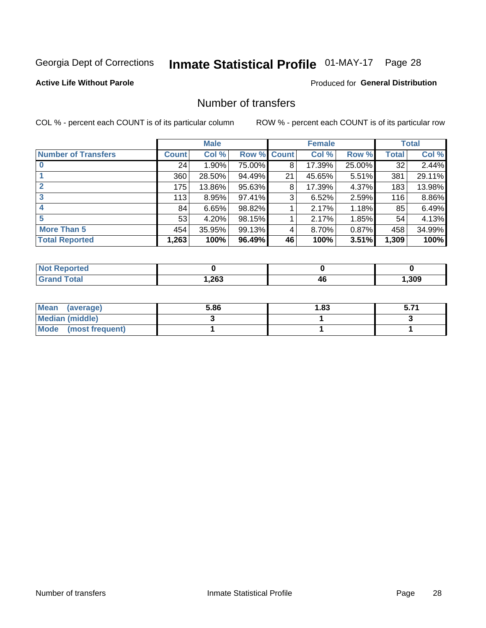## Inmate Statistical Profile 01-MAY-17 Page 28

#### **Active Life Without Parole**

#### **Produced for General Distribution**

## Number of transfers

COL % - percent each COUNT is of its particular column

|                            |         | <b>Male</b> |        |              | <b>Female</b> |        |              | <b>Total</b> |
|----------------------------|---------|-------------|--------|--------------|---------------|--------|--------------|--------------|
| <b>Number of Transfers</b> | Count l | Col %       | Row %  | <b>Count</b> | Col %         | Row %  | <b>Total</b> | Col %        |
|                            | 24      | $1.90\%$    | 75.00% | 8            | 17.39%        | 25.00% | 32           | 2.44%        |
|                            | 360     | 28.50%      | 94.49% | 21           | 45.65%        | 5.51%  | 381          | 29.11%       |
| 2                          | 175     | 13.86%      | 95.63% | 8            | 17.39%        | 4.37%  | 183          | 13.98%       |
| 3                          | 113     | 8.95%       | 97.41% | 3            | 6.52%         | 2.59%  | 116          | 8.86%        |
|                            | 84      | 6.65%       | 98.82% |              | 2.17%         | 1.18%  | 85           | 6.49%        |
| 5                          | 53      | 4.20%       | 98.15% |              | 2.17%         | 1.85%  | 54           | 4.13%        |
| <b>More Than 5</b>         | 454     | 35.95%      | 99.13% | 4            | 8.70%         | 0.87%  | 458          | 34.99%       |
| <b>Total Reported</b>      | 1,263   | 100%        | 96.49% | 46           | 100%          | 3.51%  | 1,309        | 100%         |

| orted<br>NO  |      |            |       |
|--------------|------|------------|-------|
| <b>Total</b> | ,263 | ,,,<br>- 2 | , 309 |

| Mean (average)       | 5.86 | 1.83 | 5.71 |
|----------------------|------|------|------|
| Median (middle)      |      |      |      |
| Mode (most frequent) |      |      |      |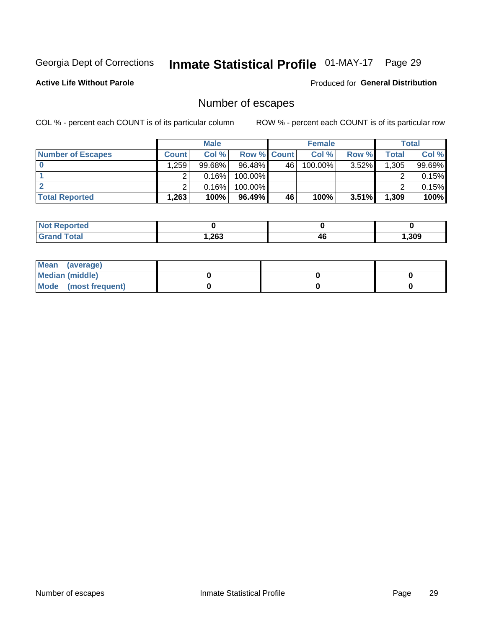## Inmate Statistical Profile 01-MAY-17 Page 29

**Active Life Without Parole** 

**Produced for General Distribution** 

## Number of escapes

COL % - percent each COUNT is of its particular column

|                          |              | <b>Male</b> |                    |    | <b>Female</b> |          |       | Total  |
|--------------------------|--------------|-------------|--------------------|----|---------------|----------|-------|--------|
| <b>Number of Escapes</b> | <b>Count</b> | Col %       | <b>Row % Count</b> |    | Col %         | Row %    | Total | Col %  |
|                          | .259         | $99.68\%$   | 96.48%             | 46 | $100.00\%$    | $3.52\%$ | 1,305 | 99.69% |
|                          |              | 0.16%       | 100.00%            |    |               |          |       | 0.15%  |
|                          |              | 0.16%       | 100.00%            |    |               |          |       | 0.15%  |
| <b>Total Reported</b>    | .263         | 100%        | $96.49\%$          | 46 | 100%          | $3.51\%$ | 1,309 | 100%   |

| <b>eported</b><br><b>NOT</b> |       |    |       |
|------------------------------|-------|----|-------|
| <b>Total</b>                 | 1,263 | 4t | , 309 |

| Mean (average)         |  |  |
|------------------------|--|--|
| <b>Median (middle)</b> |  |  |
| Mode (most frequent)   |  |  |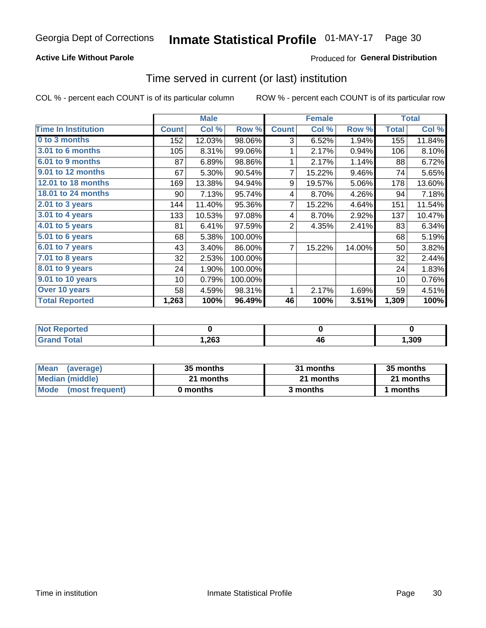#### **Active Life Without Parole**

### **Produced for General Distribution**

### Time served in current (or last) institution

COL % - percent each COUNT is of its particular column

|                            |              | <b>Male</b> |         |                | <b>Female</b> |        |              | <b>Total</b> |
|----------------------------|--------------|-------------|---------|----------------|---------------|--------|--------------|--------------|
| <b>Time In Institution</b> | <b>Count</b> | Col %       | Row %   | <b>Count</b>   | Col %         | Row %  | <b>Total</b> | Col %        |
| 0 to 3 months              | 152          | 12.03%      | 98.06%  | 3              | 6.52%         | 1.94%  | 155          | 11.84%       |
| <b>3.01 to 6 months</b>    | 105          | 8.31%       | 99.06%  | 1              | 2.17%         | 0.94%  | 106          | 8.10%        |
| 6.01 to 9 months           | 87           | 6.89%       | 98.86%  | 1              | 2.17%         | 1.14%  | 88           | 6.72%        |
| 9.01 to 12 months          | 67           | 5.30%       | 90.54%  | 7              | 15.22%        | 9.46%  | 74           | 5.65%        |
| <b>12.01 to 18 months</b>  | 169          | 13.38%      | 94.94%  | 9              | 19.57%        | 5.06%  | 178          | 13.60%       |
| <b>18.01 to 24 months</b>  | 90           | 7.13%       | 95.74%  | 4              | 8.70%         | 4.26%  | 94           | 7.18%        |
| $2.01$ to 3 years          | 144          | 11.40%      | 95.36%  | 7              | 15.22%        | 4.64%  | 151          | 11.54%       |
| 3.01 to 4 years            | 133          | 10.53%      | 97.08%  | 4              | 8.70%         | 2.92%  | 137          | 10.47%       |
| $4.01$ to 5 years          | 81           | 6.41%       | 97.59%  | $\overline{2}$ | 4.35%         | 2.41%  | 83           | 6.34%        |
| 5.01 to 6 years            | 68           | 5.38%       | 100.00% |                |               |        | 68           | 5.19%        |
| 6.01 to 7 years            | 43           | 3.40%       | 86.00%  | 7              | 15.22%        | 14.00% | 50           | 3.82%        |
| $7.01$ to 8 years          | 32           | 2.53%       | 100.00% |                |               |        | 32           | 2.44%        |
| 8.01 to 9 years            | 24           | 1.90%       | 100.00% |                |               |        | 24           | 1.83%        |
| 9.01 to 10 years           | 10           | 0.79%       | 100.00% |                |               |        | 10           | 0.76%        |
| Over 10 years              | 58           | 4.59%       | 98.31%  | 1              | 2.17%         | 1.69%  | 59           | 4.51%        |
| <b>Total Reported</b>      | 1,263        | 100%        | 96.49%  | 46             | 100%          | 3.51%  | 1,309        | 100%         |

| <b>ported</b><br><b>NOT</b> |      |          |       |
|-----------------------------|------|----------|-------|
| $C0 + c2$                   | ,263 | ЛC<br>יי | 1,309 |

| <b>Mean</b><br>(average) | 35 months | 31 months | 35 months |
|--------------------------|-----------|-----------|-----------|
| Median (middle)          | 21 months | 21 months | 21 months |
| Mode (most frequent)     | 0 months  | 3 months  | 1 months  |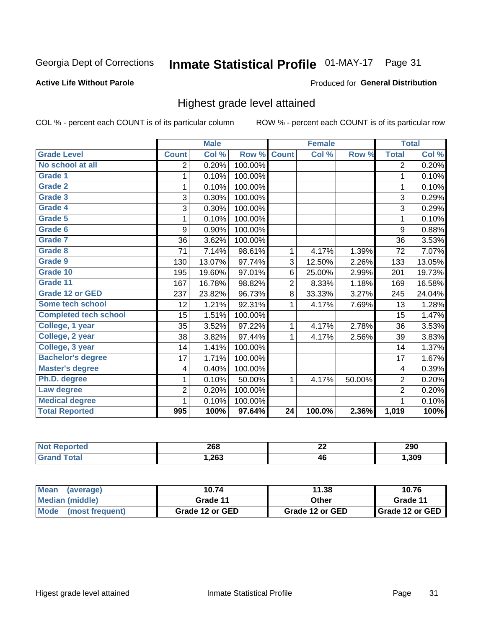## Inmate Statistical Profile 01-MAY-17 Page 31

#### **Active Life Without Parole**

#### Produced for General Distribution

### Highest grade level attained

COL % - percent each COUNT is of its particular column

|                              |                         | <b>Male</b> |         |                 | <b>Female</b> |        |                         | <b>Total</b> |
|------------------------------|-------------------------|-------------|---------|-----------------|---------------|--------|-------------------------|--------------|
| <b>Grade Level</b>           | <b>Count</b>            | Col %       | Row %   | <b>Count</b>    | Col %         | Row %  | <b>Total</b>            | Col %        |
| No school at all             | 2                       | 0.20%       | 100.00% |                 |               |        | 2                       | 0.20%        |
| Grade 1                      | 1                       | 0.10%       | 100.00% |                 |               |        | 1                       | 0.10%        |
| <b>Grade 2</b>               | 1                       | 0.10%       | 100.00% |                 |               |        | $\mathbf 1$             | 0.10%        |
| Grade 3                      | 3                       | 0.30%       | 100.00% |                 |               |        | 3                       | 0.29%        |
| <b>Grade 4</b>               | 3                       | 0.30%       | 100.00% |                 |               |        | 3                       | 0.29%        |
| Grade 5                      | 1                       | 0.10%       | 100.00% |                 |               |        | 1                       | 0.10%        |
| Grade 6                      | 9                       | 0.90%       | 100.00% |                 |               |        | 9                       | 0.88%        |
| <b>Grade 7</b>               | 36                      | 3.62%       | 100.00% |                 |               |        | 36                      | 3.53%        |
| Grade 8                      | 71                      | 7.14%       | 98.61%  | 1               | 4.17%         | 1.39%  | 72                      | 7.07%        |
| Grade 9                      | 130                     | 13.07%      | 97.74%  | 3               | 12.50%        | 2.26%  | 133                     | 13.05%       |
| Grade 10                     | 195                     | 19.60%      | 97.01%  | 6               | 25.00%        | 2.99%  | 201                     | 19.73%       |
| Grade 11                     | 167                     | 16.78%      | 98.82%  | $\overline{2}$  | 8.33%         | 1.18%  | 169                     | 16.58%       |
| <b>Grade 12 or GED</b>       | 237                     | 23.82%      | 96.73%  | 8               | 33.33%        | 3.27%  | 245                     | 24.04%       |
| Some tech school             | 12                      | 1.21%       | 92.31%  | 1               | 4.17%         | 7.69%  | 13                      | 1.28%        |
| <b>Completed tech school</b> | 15                      | 1.51%       | 100.00% |                 |               |        | 15                      | 1.47%        |
| College, 1 year              | 35                      | 3.52%       | 97.22%  | 1               | 4.17%         | 2.78%  | 36                      | 3.53%        |
| College, 2 year              | 38                      | 3.82%       | 97.44%  | 1               | 4.17%         | 2.56%  | 39                      | 3.83%        |
| College, 3 year              | 14                      | 1.41%       | 100.00% |                 |               |        | 14                      | 1.37%        |
| <b>Bachelor's degree</b>     | 17                      | 1.71%       | 100.00% |                 |               |        | 17                      | 1.67%        |
| <b>Master's degree</b>       | $\overline{\mathbf{4}}$ | 0.40%       | 100.00% |                 |               |        | $\overline{\mathbf{4}}$ | 0.39%        |
| Ph.D. degree                 | 1                       | 0.10%       | 50.00%  | 1               | 4.17%         | 50.00% | $\overline{2}$          | 0.20%        |
| Law degree                   | $\overline{2}$          | 0.20%       | 100.00% |                 |               |        | $\overline{2}$          | 0.20%        |
| <b>Medical degree</b>        | 1                       | 0.10%       | 100.00% |                 |               |        | 1                       | 0.10%        |
| <b>Total Reported</b>        | 995                     | 100%        | 97.64%  | $\overline{24}$ | 100.0%        | 2.36%  | 1,019                   | 100%         |

| TEO | 268  | ne.<br>▵▴ | 290  |
|-----|------|-----------|------|
|     | ,263 | 46        | ,309 |

| <b>Mean</b><br>(average) | 10.74           | 11.38           | 10.76             |
|--------------------------|-----------------|-----------------|-------------------|
| Median (middle)          | Grade 11        | Other           | Grade 11          |
| Mode<br>(most frequent)  | Grade 12 or GED | Grade 12 or GED | I Grade 12 or GED |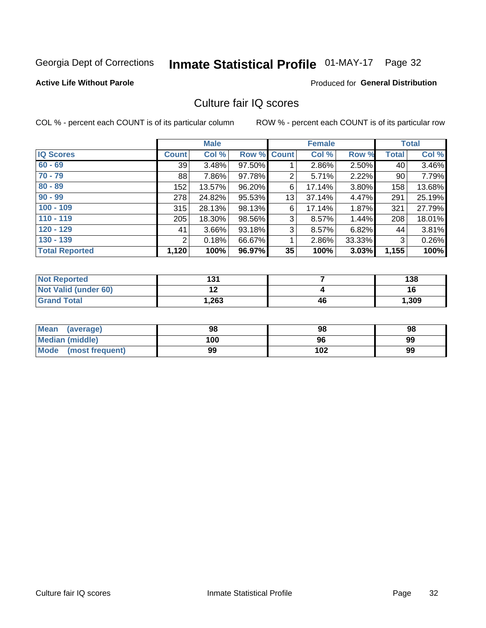## Inmate Statistical Profile 01-MAY-17 Page 32

#### **Active Life Without Parole**

#### **Produced for General Distribution**

## Culture fair IQ scores

COL % - percent each COUNT is of its particular column

|                       | <b>Male</b>     |        | <b>Female</b>      |    |        | <b>Total</b> |              |        |
|-----------------------|-----------------|--------|--------------------|----|--------|--------------|--------------|--------|
| <b>IQ Scores</b>      | <b>Count</b>    | Col %  | <b>Row % Count</b> |    | Col %  | Row %        | <b>Total</b> | Col %  |
| $60 - 69$             | 39 <sub>1</sub> | 3.48%  | 97.50%             |    | 2.86%  | 2.50%        | 40           | 3.46%  |
| $70 - 79$             | 88              | 7.86%  | 97.78%             | 2  | 5.71%  | 2.22%        | 90           | 7.79%  |
| $80 - 89$             | 152             | 13.57% | 96.20%             | 6  | 17.14% | $3.80\%$     | 158          | 13.68% |
| $90 - 99$             | 278             | 24.82% | 95.53%             | 13 | 37.14% | 4.47%        | 291          | 25.19% |
| $100 - 109$           | 315             | 28.13% | 98.13%             | 6  | 17.14% | 1.87%        | 321          | 27.79% |
| $110 - 119$           | 205             | 18.30% | 98.56%             | 3  | 8.57%  | 1.44%        | 208          | 18.01% |
| $120 - 129$           | 41              | 3.66%  | 93.18%             | 3  | 8.57%  | 6.82%        | 44           | 3.81%  |
| $130 - 139$           | 2               | 0.18%  | 66.67%             | 1  | 2.86%  | 33.33%       | 3            | 0.26%  |
| <b>Total Reported</b> | 1,120           | 100%   | 96.97%             | 35 | 100%   | 3.03%        | 1,155        | 100%   |

| <b>Not Reported</b>         | 121<br>ו טו |    | 138   |
|-----------------------------|-------------|----|-------|
| <b>Not Valid (under 60)</b> | . .<br>. .  |    | 16    |
| <b>Grand Total</b>          | .263        | 46 | 1,309 |

| <b>Mean</b><br>(average) | 98  | 98  | 98 |
|--------------------------|-----|-----|----|
| Median (middle)          | 100 | 96  | 99 |
| Mode (most frequent)     | 99  | 102 | 99 |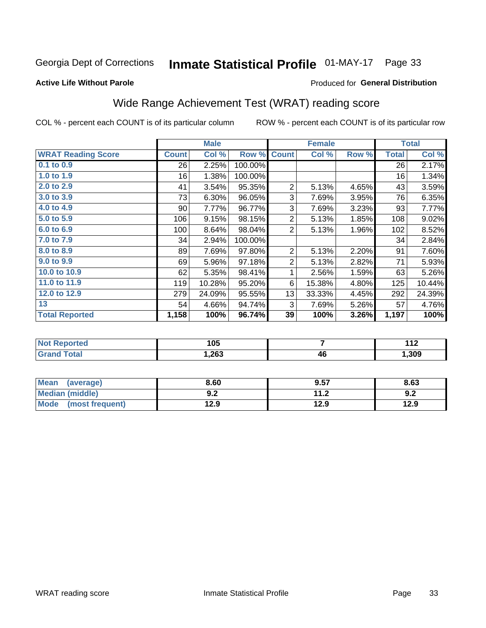## Inmate Statistical Profile 01-MAY-17 Page 33

#### **Active Life Without Parole**

#### Produced for General Distribution

## Wide Range Achievement Test (WRAT) reading score

COL % - percent each COUNT is of its particular column

| <b>WRAT Reading Score</b> |              | <b>Male</b> |         |                | <b>Female</b> | <b>Total</b> |              |        |
|---------------------------|--------------|-------------|---------|----------------|---------------|--------------|--------------|--------|
|                           | <b>Count</b> | Col %       | Row %   | <b>Count</b>   | Col %         | Row %        | <b>Total</b> | Col %  |
| $0.1$ to $0.9$            | 26           | 2.25%       | 100.00% |                |               |              | 26           | 2.17%  |
| 1.0 to 1.9                | 16           | 1.38%       | 100.00% |                |               |              | 16           | 1.34%  |
| 2.0 to 2.9                | 41           | 3.54%       | 95.35%  | $\overline{2}$ | 5.13%         | 4.65%        | 43           | 3.59%  |
| 3.0 to 3.9                | 73           | 6.30%       | 96.05%  | 3              | 7.69%         | 3.95%        | 76           | 6.35%  |
| 4.0 to 4.9                | 90           | 7.77%       | 96.77%  | 3              | 7.69%         | 3.23%        | 93           | 7.77%  |
| 5.0 to 5.9                | 106          | 9.15%       | 98.15%  | $\overline{2}$ | 5.13%         | 1.85%        | 108          | 9.02%  |
| 6.0 to 6.9                | 100          | 8.64%       | 98.04%  | $\overline{2}$ | 5.13%         | 1.96%        | 102          | 8.52%  |
| 7.0 to 7.9                | 34           | 2.94%       | 100.00% |                |               |              | 34           | 2.84%  |
| 8.0 to 8.9                | 89           | 7.69%       | 97.80%  | $\overline{2}$ | 5.13%         | 2.20%        | 91           | 7.60%  |
| 9.0 to 9.9                | 69           | 5.96%       | 97.18%  | $\overline{2}$ | 5.13%         | 2.82%        | 71           | 5.93%  |
| 10.0 to 10.9              | 62           | 5.35%       | 98.41%  | 1              | 2.56%         | 1.59%        | 63           | 5.26%  |
| 11.0 to 11.9              | 119          | 10.28%      | 95.20%  | 6              | 15.38%        | 4.80%        | 125          | 10.44% |
| 12.0 to 12.9              | 279          | 24.09%      | 95.55%  | 13             | 33.33%        | 4.45%        | 292          | 24.39% |
| 13                        | 54           | 4.66%       | 94.74%  | 3              | 7.69%         | 5.26%        | 57           | 4.76%  |
| <b>Total Reported</b>     | 1,158        | 100%        | 96.74%  | 39             | 100%          | 3.26%        | 1,197        | 100%   |

| <b>Not Reported</b> | 105   |    | $\overline{A}$<br>. |
|---------------------|-------|----|---------------------|
| Total               | .,263 | 46 | , 309               |

| <b>Mean</b><br>(average) | 8.60       | 9.57        | 8.63 |
|--------------------------|------------|-------------|------|
| Median (middle)          | י ה<br>J.Z | 11 J<br>1.Z | 9.2  |
| Mode<br>(most frequent)  | 12.9       | 12.9        | 12.9 |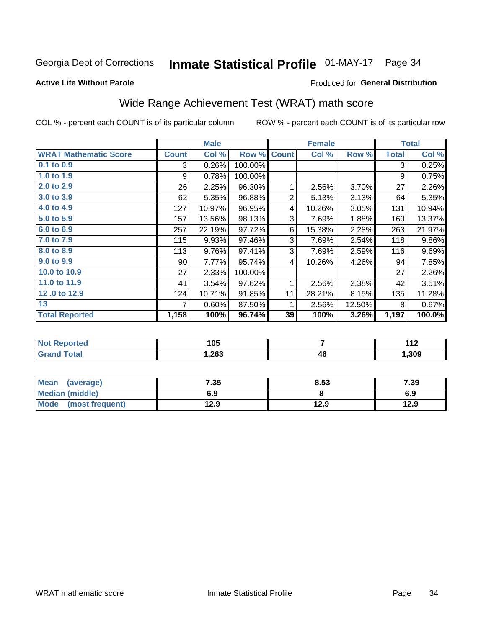#### **Inmate Statistical Profile 01-MAY-17** Page 34

#### **Active Life Without Parole**

#### Produced for General Distribution

## Wide Range Achievement Test (WRAT) math score

COL % - percent each COUNT is of its particular column

|                              | <b>Male</b>     |        |         |                | <b>Female</b> | <b>Total</b> |              |          |
|------------------------------|-----------------|--------|---------|----------------|---------------|--------------|--------------|----------|
| <b>WRAT Mathematic Score</b> | <b>Count</b>    | Col %  | Row %   | <b>Count</b>   | Col %         | Row %        | <b>Total</b> | Col %    |
| $0.1$ to $0.9$               | 3               | 0.26%  | 100.00% |                |               |              | 3            | 0.25%    |
| 1.0 to 1.9                   | 9               | 0.78%  | 100.00% |                |               |              | 9            | 0.75%    |
| 2.0 to 2.9                   | 26              | 2.25%  | 96.30%  | 1              | 2.56%         | 3.70%        | 27           | 2.26%    |
| 3.0 to 3.9                   | 62              | 5.35%  | 96.88%  | $\overline{2}$ | 5.13%         | 3.13%        | 64           | 5.35%    |
| 4.0 to 4.9                   | 127             | 10.97% | 96.95%  | 4              | 10.26%        | 3.05%        | 131          | 10.94%   |
| 5.0 to 5.9                   | 157             | 13.56% | 98.13%  | 3              | 7.69%         | 1.88%        | 160          | 13.37%   |
| $6.0$ to $6.9$               | 257             | 22.19% | 97.72%  | 6              | 15.38%        | 2.28%        | 263          | 21.97%   |
| 7.0 to 7.9                   | 115             | 9.93%  | 97.46%  | 3              | 7.69%         | 2.54%        | 118          | $9.86\%$ |
| 8.0 to 8.9                   | 113             | 9.76%  | 97.41%  | 3              | 7.69%         | 2.59%        | 116          | 9.69%    |
| 9.0 to 9.9                   | 90 <sub>1</sub> | 7.77%  | 95.74%  | 4              | 10.26%        | 4.26%        | 94           | 7.85%    |
| 10.0 to 10.9                 | 27              | 2.33%  | 100.00% |                |               |              | 27           | 2.26%    |
| 11.0 to 11.9                 | 41              | 3.54%  | 97.62%  | 1              | 2.56%         | 2.38%        | 42           | 3.51%    |
| 12.0 to 12.9                 | 124             | 10.71% | 91.85%  | 11             | 28.21%        | 8.15%        | 135          | 11.28%   |
| 13                           |                 | 0.60%  | 87.50%  | 1              | 2.56%         | 12.50%       | 8            | 0.67%    |
| <b>Total Reported</b>        | 1,158           | 100%   | 96.74%  | 39             | 100%          | 3.26%        | 1,197        | 100.0%   |

| . <eportea< th=""><th>105</th><th></th><th><math>\sim</math><br/>.</th></eportea<> | 105   |    | $\sim$<br>. |
|------------------------------------------------------------------------------------|-------|----|-------------|
| 'otal                                                                              | 1,263 | 46 | ,309        |

| <b>Mean</b><br>(average) | 7.35 | 8.53 | 7.39 |
|--------------------------|------|------|------|
| Median (middle)          | 6.9  |      | 6.9  |
| Mode<br>(most frequent)  | l2.9 | 12.9 | 12.9 |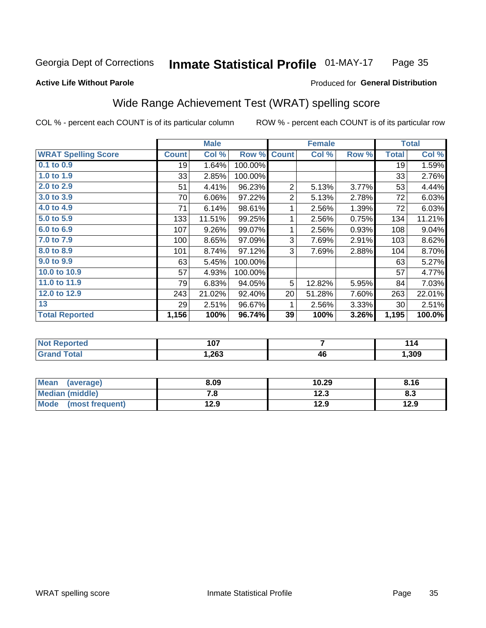#### Inmate Statistical Profile 01-MAY-17 Page 35

#### **Active Life Without Parole**

#### Produced for General Distribution

## Wide Range Achievement Test (WRAT) spelling score

COL % - percent each COUNT is of its particular column

|                            |              | <b>Male</b> |         | <b>Female</b>  |        |       | <b>Total</b> |        |
|----------------------------|--------------|-------------|---------|----------------|--------|-------|--------------|--------|
| <b>WRAT Spelling Score</b> | <b>Count</b> | Col %       | Row %   | <b>Count</b>   | Col %  | Row % | <b>Total</b> | Col %  |
| $0.1$ to $0.9$             | 19           | 1.64%       | 100.00% |                |        |       | 19           | 1.59%  |
| 1.0 to 1.9                 | 33           | 2.85%       | 100.00% |                |        |       | 33           | 2.76%  |
| 2.0 to 2.9                 | 51           | 4.41%       | 96.23%  | $\overline{2}$ | 5.13%  | 3.77% | 53           | 4.44%  |
| 3.0 to 3.9                 | 70           | 6.06%       | 97.22%  | $\overline{2}$ | 5.13%  | 2.78% | 72           | 6.03%  |
| 4.0 to 4.9                 | 71           | 6.14%       | 98.61%  | 1              | 2.56%  | 1.39% | 72           | 6.03%  |
| 5.0 to 5.9                 | 133          | 11.51%      | 99.25%  | 1              | 2.56%  | 0.75% | 134          | 11.21% |
| 6.0 to 6.9                 | 107          | 9.26%       | 99.07%  | 1              | 2.56%  | 0.93% | 108          | 9.04%  |
| 7.0 to 7.9                 | 100          | 8.65%       | 97.09%  | 3              | 7.69%  | 2.91% | 103          | 8.62%  |
| 8.0 to 8.9                 | 101          | 8.74%       | 97.12%  | 3              | 7.69%  | 2.88% | 104          | 8.70%  |
| 9.0 to 9.9                 | 63           | 5.45%       | 100.00% |                |        |       | 63           | 5.27%  |
| 10.0 to 10.9               | 57           | 4.93%       | 100.00% |                |        |       | 57           | 4.77%  |
| 11.0 to 11.9               | 79           | 6.83%       | 94.05%  | 5              | 12.82% | 5.95% | 84           | 7.03%  |
| 12.0 to 12.9               | 243          | 21.02%      | 92.40%  | 20             | 51.28% | 7.60% | 263          | 22.01% |
| 13                         | 29           | 2.51%       | 96.67%  | 1              | 2.56%  | 3.33% | 30           | 2.51%  |
| <b>Total Reported</b>      | 1,156        | 100%        | 96.74%  | 39             | 100%   | 3.26% | 1,195        | 100.0% |

| <b>Not Reported</b>   | 107  |    | 114  |
|-----------------------|------|----|------|
| <b>Total</b><br>Grand | 263, | 46 | ,309 |

| <b>Mean</b><br>(average) | 8.09 | 10.29 | 8.16 |
|--------------------------|------|-------|------|
| Median (middle)          | . о  | 12.3  | ი.ა  |
| Mode<br>(most frequent)  | 12.9 | 12.9  | 12.9 |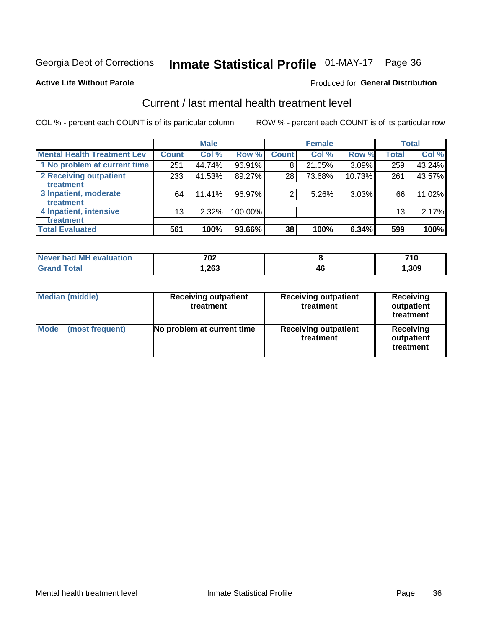## Inmate Statistical Profile 01-MAY-17 Page 36

#### **Active Life Without Parole**

#### **Produced for General Distribution**

## Current / last mental health treatment level

COL % - percent each COUNT is of its particular column

|                                    |              | <b>Male</b> |           |              | <b>Female</b> |        |                 | <b>Total</b> |
|------------------------------------|--------------|-------------|-----------|--------------|---------------|--------|-----------------|--------------|
| <b>Mental Health Treatment Lev</b> | <b>Count</b> | Col%        | Row %     | <b>Count</b> | Col %         | Row %  | Total           | Col %        |
| 1 No problem at current time       | 251          | 44.74%      | $96.91\%$ | 8            | 21.05%        | 3.09%  | 259             | 43.24%       |
| 2 Receiving outpatient             | 233          | 41.53%      | 89.27%    | 28           | 73.68%        | 10.73% | 261             | 43.57%       |
| <b>Treatment</b>                   |              |             |           |              |               |        |                 |              |
| 3 Inpatient, moderate              | 64           | 11.41%      | 96.97%    | 2            | 5.26%         | 3.03%  | 66              | 11.02%       |
| Treatment                          |              |             |           |              |               |        |                 |              |
| 4 Inpatient, intensive             | 13           | $2.32\%$    | 100.00%   |              |               |        | 13 <sub>1</sub> | 2.17%        |
| <b>Treatment</b>                   |              |             |           |              |               |        |                 |              |
| <b>Total Evaluated</b>             | 561          | 100%        | 93.66%    | 38           | 100%          | 6.34%  | 599             | 100%         |

| Never had MH evaluation | 702    |    | 710  |
|-------------------------|--------|----|------|
| Total                   | 263. ا | 46 | ,309 |

| <b>Median (middle)</b>         | <b>Receiving outpatient</b><br>treatment | <b>Receiving outpatient</b><br>treatment | <b>Receiving</b><br>outpatient<br>treatment |  |
|--------------------------------|------------------------------------------|------------------------------------------|---------------------------------------------|--|
| <b>Mode</b><br>(most frequent) | No problem at current time               | <b>Receiving outpatient</b><br>treatment | <b>Receiving</b><br>outpatient<br>treatment |  |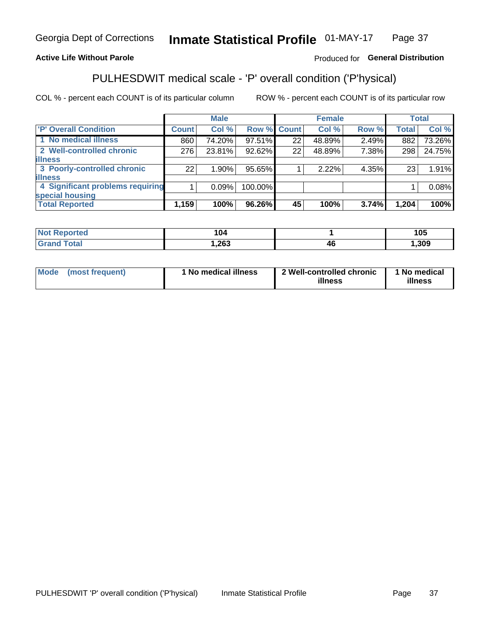#### Inmate Statistical Profile 01-MAY-17 Page 37

#### **Active Life Without Parole**

#### Produced for General Distribution

## PULHESDWIT medical scale - 'P' overall condition ('P'hysical)

COL % - percent each COUNT is of its particular column

|                                  |              | <b>Male</b> |             |    | <b>Female</b> |       |              | <b>Total</b> |
|----------------------------------|--------------|-------------|-------------|----|---------------|-------|--------------|--------------|
| 'P' Overall Condition            | <b>Count</b> | Col %       | Row % Count |    | Col %         | Row % | <b>Total</b> | Col %        |
| 1 No medical illness             | 860          | 74.20%      | 97.51%      | 22 | 48.89%        | 2.49% | 882          | 73.26%       |
| 2 Well-controlled chronic        | 276          | 23.81%      | 92.62%      | 22 | 48.89%        | 7.38% | 298          | 24.75%       |
| <b>lillness</b>                  |              |             |             |    |               |       |              |              |
| 3 Poorly-controlled chronic      | 22           | 1.90%       | 95.65%      |    | 2.22%         | 4.35% | 23           | 1.91%        |
| <b>illness</b>                   |              |             |             |    |               |       |              |              |
| 4 Significant problems requiring |              | 0.09%       | 100.00%     |    |               |       |              | 0.08%        |
| special housing                  |              |             |             |    |               |       |              |              |
| <b>Total Reported</b>            | 1,159        | 100%        | 96.26%      | 45 | 100%          | 3.74% | 1,204        | 100%         |

| , Uʻ<br>___   |                    | 1 N F<br>טע |
|---------------|--------------------|-------------|
| 262<br>. د0∠, | $\mathbf{u}$<br>41 | .309        |

| <b>Mode</b> | (most frequent) | 1 No medical illness | 2 Well-controlled chronic<br>illness | 1 No medical<br>illness |
|-------------|-----------------|----------------------|--------------------------------------|-------------------------|
|-------------|-----------------|----------------------|--------------------------------------|-------------------------|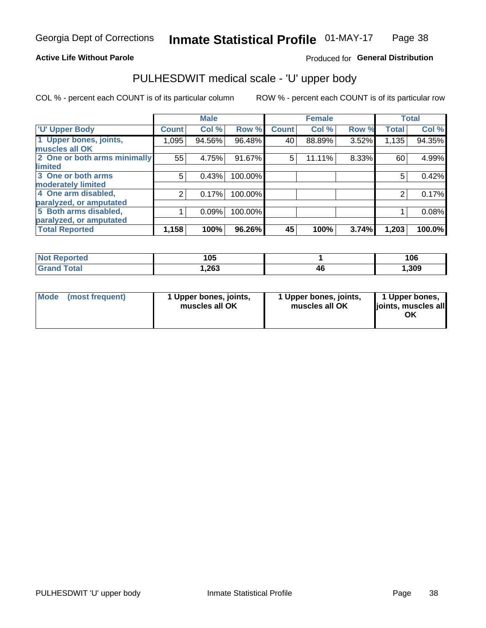#### **Active Life Without Parole**

#### Produced for General Distribution

## PULHESDWIT medical scale - 'U' upper body

COL % - percent each COUNT is of its particular column

|                              |              | <b>Male</b> |         |              | <b>Female</b> |       |              | <b>Total</b> |
|------------------------------|--------------|-------------|---------|--------------|---------------|-------|--------------|--------------|
| <b>'U' Upper Body</b>        | <b>Count</b> | Col %       | Row %   | <b>Count</b> | Col %         | Row % | <b>Total</b> | Col %        |
| 1 Upper bones, joints,       | 1,095        | 94.56%      | 96.48%  | 40           | 88.89%        | 3.52% | 1,135        | 94.35%       |
| muscles all OK               |              |             |         |              |               |       |              |              |
| 2 One or both arms minimally | 55           | 4.75%       | 91.67%  | 5            | 11.11%        | 8.33% | 60           | 4.99%        |
| limited                      |              |             |         |              |               |       |              |              |
| 3 One or both arms           | 5            | 0.43%       | 100.00% |              |               |       | 5            | 0.42%        |
| moderately limited           |              |             |         |              |               |       |              |              |
| 4 One arm disabled,          | 2            | 0.17%       | 100.00% |              |               |       | 2            | 0.17%        |
| paralyzed, or amputated      |              |             |         |              |               |       |              |              |
| 5 Both arms disabled,        |              | 0.09%       | 100.00% |              |               |       |              | 0.08%        |
| paralyzed, or amputated      |              |             |         |              |               |       |              |              |
| <b>Total Reported</b>        | 1,158        | 100%        | 96.26%  | 45           | 100%          | 3.74% | 1,203        | 100.0%       |

| <b>Not Reported</b>          | 105   |    | 106   |
|------------------------------|-------|----|-------|
| <b>Total</b><br><b>Grand</b> | 1,263 | 4Ł | , 309 |

| Mode<br>(most frequent) | 1 Upper bones, joints,<br>muscles all OK | 1 Upper bones, joints,<br>muscles all OK | 1 Upper bones,<br>joints, muscles all<br>ΟK |
|-------------------------|------------------------------------------|------------------------------------------|---------------------------------------------|
|-------------------------|------------------------------------------|------------------------------------------|---------------------------------------------|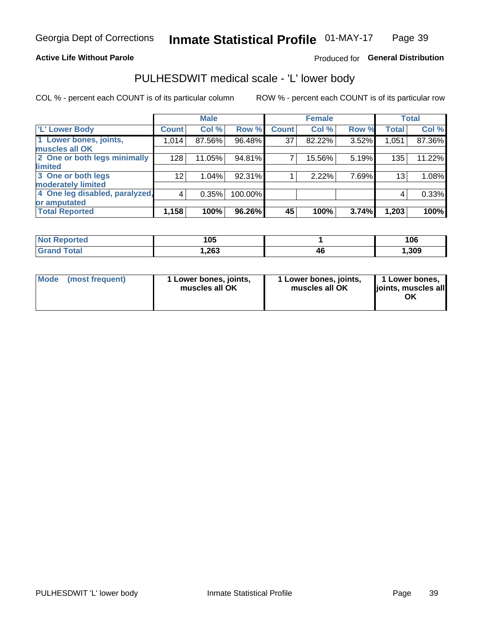#### **Active Life Without Parole**

#### Produced for General Distribution

## PULHESDWIT medical scale - 'L' lower body

COL % - percent each COUNT is of its particular column

|                                |                 | <b>Male</b> |           |              | <b>Female</b> |       |                 | <b>Total</b> |
|--------------------------------|-----------------|-------------|-----------|--------------|---------------|-------|-----------------|--------------|
| 'L' Lower Body                 | <b>Count</b>    | Col %       | Row %     | <b>Count</b> | Col %         | Row % | <b>Total</b>    | Col %        |
| 1 Lower bones, joints,         | 1,014           | 87.56%      | $96.48\%$ | 37           | 82.22%        | 3.52% | 1,051           | 87.36%       |
| muscles all OK                 |                 |             |           |              |               |       |                 |              |
| 2 One or both legs minimally   | 128             | 11.05%      | 94.81%    | 7            | 15.56%        | 5.19% | 135             | 11.22%       |
| limited                        |                 |             |           |              |               |       |                 |              |
| 3 One or both legs             | 12 <sub>2</sub> | 1.04%       | 92.31%    |              | 2.22%         | 7.69% | 13 <sub>1</sub> | 1.08%        |
| moderately limited             |                 |             |           |              |               |       |                 |              |
| 4 One leg disabled, paralyzed, | $\overline{4}$  | 0.35%       | 100.00%   |              |               |       | 4               | 0.33%        |
| or amputated                   |                 |             |           |              |               |       |                 |              |
| <b>Total Reported</b>          | 1,158           | 100%        | 96.26%    | 45           | 100%          | 3.74% | 1,203           | 100%         |

| <b>Not Reported</b> | 105  |    | 106  |
|---------------------|------|----|------|
| <b>Total</b>        | ,263 | тv | ,309 |

| Mode | (most frequent) | 1 Lower bones, joints,<br>muscles all OK | 1 Lower bones, joints,<br>muscles all OK | 1 Lower bones,<br>ljoints, muscles all<br>OK |
|------|-----------------|------------------------------------------|------------------------------------------|----------------------------------------------|
|------|-----------------|------------------------------------------|------------------------------------------|----------------------------------------------|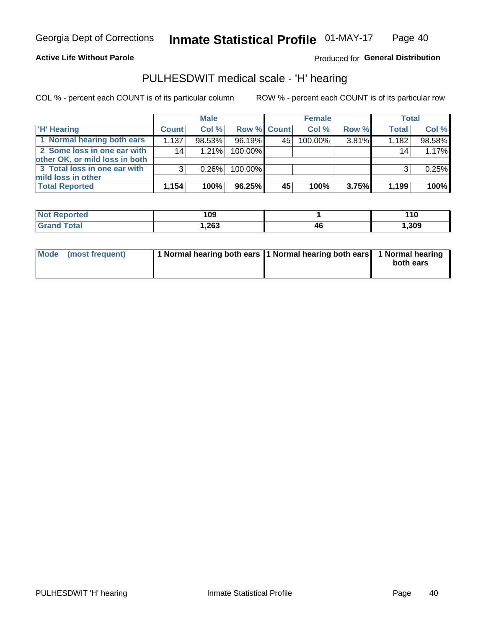#### **Active Life Without Parole**

Produced for General Distribution

### PULHESDWIT medical scale - 'H' hearing

COL % - percent each COUNT is of its particular column

|                                                               |              | <b>Male</b> |             |    | <b>Female</b> |       | <b>Total</b> |        |
|---------------------------------------------------------------|--------------|-------------|-------------|----|---------------|-------|--------------|--------|
| <b>H'</b> Hearing                                             | <b>Count</b> | Col %       | Row % Count |    | Col%          | Row % | <b>Total</b> | Col %  |
| 1 Normal hearing both ears                                    | 1,137        | 98.53%      | 96.19%      | 45 | 100.00%       | 3.81% | 1,182        | 98.58% |
| 2 Some loss in one ear with<br>other OK, or mild loss in both | 14           | 1.21%       | 100.00%     |    |               |       | 14           | 1.17%  |
| 3 Total loss in one ear with<br>mild loss in other            | 3            | 0.26%       | 100.00%     |    |               |       | 3            | 0.25%  |
| <b>Total Reported</b>                                         | 1,154        | 100%        | 96.25%      | 45 | 100%          | 3.75% | 1,199        | 100%   |

| <b>Not</b><br><b>Reported</b> | 109   |     | . .<br><u>. . 0</u> |
|-------------------------------|-------|-----|---------------------|
| Total                         | 1,263 | -46 | 1,309               |

| Mode (most frequent) | 1 Normal hearing both ears 1 Normal hearing both ears 1 Normal hearing | both ears |
|----------------------|------------------------------------------------------------------------|-----------|
|                      |                                                                        |           |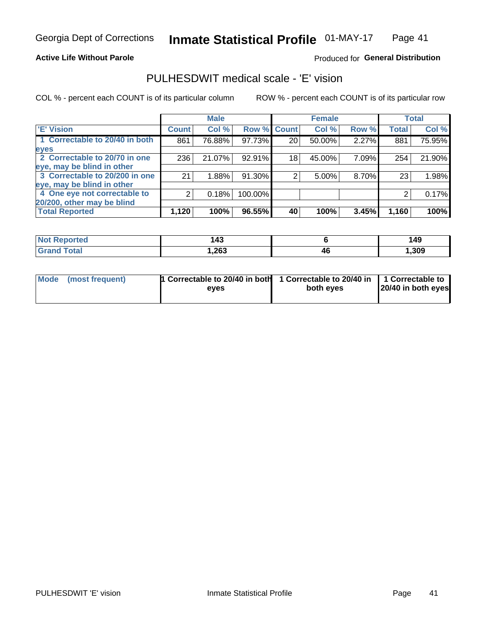#### **Active Life Without Parole**

#### Produced for General Distribution

### PULHESDWIT medical scale - 'E' vision

COL % - percent each COUNT is of its particular column

|                                |              | <b>Male</b> |             |    | <b>Female</b> |       |              | <b>Total</b> |
|--------------------------------|--------------|-------------|-------------|----|---------------|-------|--------------|--------------|
| <b>E' Vision</b>               | <b>Count</b> | Col %       | Row % Count |    | Col %         | Row % | <b>Total</b> | Col %        |
| 1 Correctable to 20/40 in both | 861          | 76.88%      | 97.73%      | 20 | 50.00%        | 2.27% | 881          | 75.95%       |
| eyes                           |              |             |             |    |               |       |              |              |
| 2 Correctable to 20/70 in one  | 236          | 21.07%      | 92.91%      | 18 | 45.00%        | 7.09% | 254          | 21.90%       |
| eye, may be blind in other     |              |             |             |    |               |       |              |              |
| 3 Correctable to 20/200 in one | 21           | 1.88%       | 91.30%      |    | 5.00%         | 8.70% | 23           | 1.98%        |
| eye, may be blind in other     |              |             |             |    |               |       |              |              |
| 4 One eye not correctable to   | 2            | 0.18%       | 100.00%     |    |               |       |              | 0.17%        |
| 20/200, other may be blind     |              |             |             |    |               |       |              |              |
| <b>Total Reported</b>          | 1,120        | 100%        | 96.55%      | 40 | 100%          | 3.45% | 1,160        | 100%         |

| <b>Not Reported</b>   | $\Lambda$<br>. |    | 149  |
|-----------------------|----------------|----|------|
| <b>Total</b><br>Grand | ,263           | 46 | ,309 |

| Mode (most frequent) | 1 Correctable to 20/40 in both<br>eves | 1 Correctable to 20/40 in   1 Correctable to<br>both eyes | 20/40 in both eyes |  |
|----------------------|----------------------------------------|-----------------------------------------------------------|--------------------|--|
|                      |                                        |                                                           |                    |  |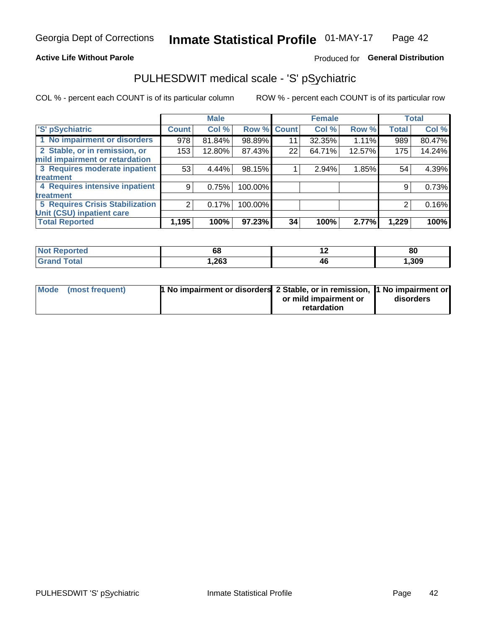#### **Active Life Without Parole**

#### Produced for General Distribution

## PULHESDWIT medical scale - 'S' pSychiatric

COL % - percent each COUNT is of its particular column

|                                 |              | <b>Male</b> |         |             | <b>Female</b> |        |              | <b>Total</b> |
|---------------------------------|--------------|-------------|---------|-------------|---------------|--------|--------------|--------------|
| 'S' pSychiatric                 | <b>Count</b> | Col %       |         | Row % Count | Col %         | Row %  | <b>Total</b> | Col %        |
| 1 No impairment or disorders    | 978          | 81.84%      | 98.89%  | 11          | 32.35%        | 1.11%  | 989          | 80.47%       |
| 2 Stable, or in remission, or   | 153          | 12.80%      | 87.43%  | 22          | 64.71%        | 12.57% | 175          | 14.24%       |
| mild impairment or retardation  |              |             |         |             |               |        |              |              |
| 3 Requires moderate inpatient   | 53           | 4.44%       | 98.15%  |             | 2.94%         | 1.85%  | 54           | 4.39%        |
| <b>treatment</b>                |              |             |         |             |               |        |              |              |
| 4 Requires intensive inpatient  | 9            | 0.75%       | 100.00% |             |               |        | 9            | 0.73%        |
| <b>treatment</b>                |              |             |         |             |               |        |              |              |
| 5 Requires Crisis Stabilization | 2            | 0.17%       | 100.00% |             |               |        | 2            | 0.16%        |
| Unit (CSU) inpatient care       |              |             |         |             |               |        |              |              |
| <b>Total Reported</b>           | 1,195        | 100%        | 97.23%  | 34          | 100%          | 2.77%  | 1,229        | 100%         |

| <b>Not Reported</b> | oc   |    | 80    |
|---------------------|------|----|-------|
| <b>Grand Total</b>  | ,263 | 40 | 1,309 |

| Mode (most frequent) | <b>1 No impairment or disorders</b> 2 Stable, or in remission, 11 No impairment or |                       |           |
|----------------------|------------------------------------------------------------------------------------|-----------------------|-----------|
|                      |                                                                                    | or mild impairment or | disorders |
|                      |                                                                                    | retardation           |           |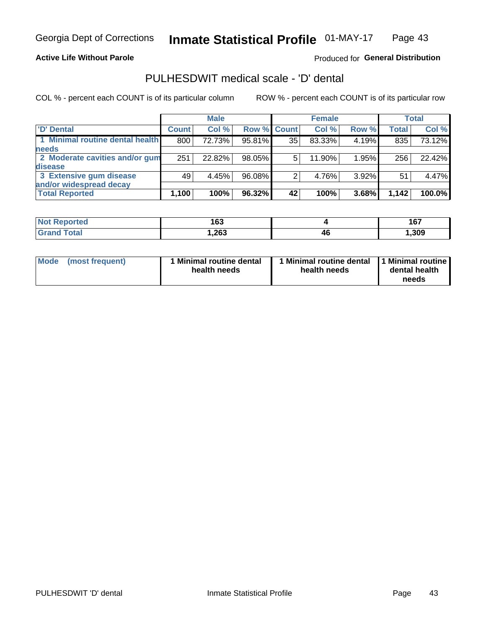#### **Active Life Without Parole**

#### Produced for General Distribution

## PULHESDWIT medical scale - 'D' dental

COL % - percent each COUNT is of its particular column

|                                 |              | <b>Male</b> |                    |    | <b>Female</b> |       |              | Total  |
|---------------------------------|--------------|-------------|--------------------|----|---------------|-------|--------------|--------|
| 'D' Dental                      | <b>Count</b> | Col %       | <b>Row % Count</b> |    | Col %         | Row % | <b>Total</b> | Col %  |
| 1 Minimal routine dental health | 800          | 72.73%      | 95.81%             | 35 | 83.33%        | 4.19% | 835          | 73.12% |
| <b>needs</b>                    |              |             |                    |    |               |       |              |        |
| 2 Moderate cavities and/or gum  | 251          | 22.82%      | 98.05%             | 5  | 11.90%        | 1.95% | 256          | 22.42% |
| disease                         |              |             |                    |    |               |       |              |        |
| 3 Extensive gum disease         | 49           | 4.45%       | 96.08%             |    | 4.76%         | 3.92% | 51           | 4.47%  |
| and/or widespread decay         |              |             |                    |    |               |       |              |        |
| <b>Total Reported</b>           | 1,100        | 100%        | 96.32%             | 42 | 100%          | 3.68% | 1,142        | 100.0% |

| meo<br><b>N</b> | 163  |    | "<br>יטו |
|-----------------|------|----|----------|
| Гоtal           | ,263 | 40 | 309,     |

| <b>Mode</b><br>(most frequent) | <b>Minimal routine dental</b><br>health needs | l Minimal routine dental<br>health needs | 1 Minimal routine<br>dental health<br>needs |
|--------------------------------|-----------------------------------------------|------------------------------------------|---------------------------------------------|
|--------------------------------|-----------------------------------------------|------------------------------------------|---------------------------------------------|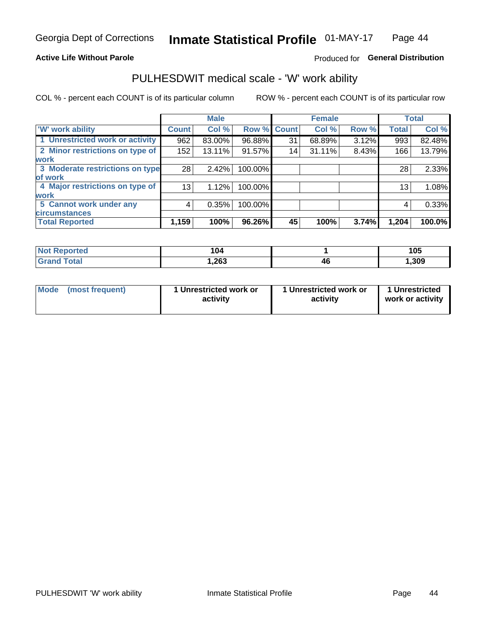#### **Active Life Without Parole**

#### Produced for General Distribution

### PULHESDWIT medical scale - 'W' work ability

COL % - percent each COUNT is of its particular column

|                                 |              | <b>Male</b> |         |             | <b>Female</b> |       |              | <b>Total</b> |
|---------------------------------|--------------|-------------|---------|-------------|---------------|-------|--------------|--------------|
| <b>W' work ability</b>          | <b>Count</b> | Col %       |         | Row % Count | Col %         | Row % | <b>Total</b> | Col %        |
| 1 Unrestricted work or activity | 962          | 83.00%      | 96.88%  | 31          | 68.89%        | 3.12% | 993          | 82.48%       |
| 2 Minor restrictions on type of | 152          | 13.11%      | 91.57%  | 14          | 31.11%        | 8.43% | 166          | 13.79%       |
| <b>work</b>                     |              |             |         |             |               |       |              |              |
| 3 Moderate restrictions on type | 28           | 2.42%       | 100.00% |             |               |       | 28           | 2.33%        |
| lof work                        |              |             |         |             |               |       |              |              |
| 4 Major restrictions on type of | 13           | 1.12%       | 100.00% |             |               |       | 13           | 1.08%        |
| <b>work</b>                     |              |             |         |             |               |       |              |              |
| 5 Cannot work under any         | 4            | 0.35%       | 100.00% |             |               |       | 4            | 0.33%        |
| <b>circumstances</b>            |              |             |         |             |               |       |              |              |
| <b>Total Reported</b>           | 1,159        | 100%        | 96.26%  | 45          | 100%          | 3.74% | 1,204        | 100.0%       |

| <b>Not Reported</b>         | 104    |    | 105   |
|-----------------------------|--------|----|-------|
| <b>Total</b><br><b>Cron</b> | 263, ا | 4t | , 309 |

| Mode (most frequent) | 1 Unrestricted work or | 1 Unrestricted work or | 1 Unrestricted   |
|----------------------|------------------------|------------------------|------------------|
|                      | activity               | activity               | work or activity |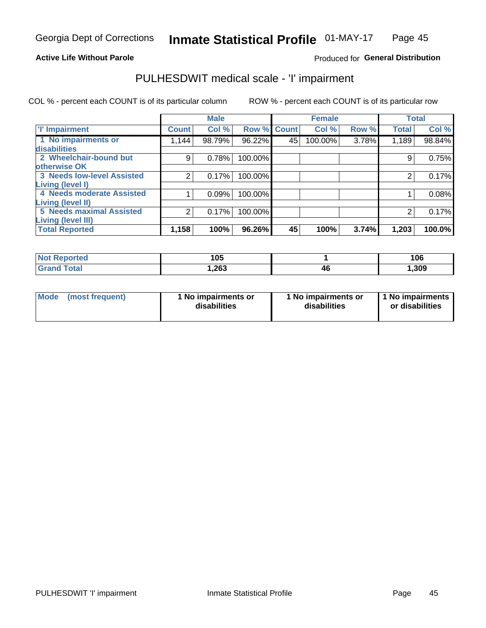#### **Active Life Without Parole**

#### Produced for General Distribution

### PULHESDWIT medical scale - 'I' impairment

|                                                              |              | <b>Male</b> |             |    | <b>Female</b> |       |              | <b>Total</b> |
|--------------------------------------------------------------|--------------|-------------|-------------|----|---------------|-------|--------------|--------------|
| <b>T' Impairment</b>                                         | <b>Count</b> | Col %       | Row % Count |    | Col %         | Row % | <b>Total</b> | Col %        |
| 1 No impairments or<br>disabilities                          | 1,144        | 98.79%      | 96.22%      | 45 | 100.00%       | 3.78% | 1,189        | 98.84%       |
| 2 Wheelchair-bound but                                       | 9            | 0.78%       | 100.00%     |    |               |       | 9            | 0.75%        |
| otherwise OK<br><b>3 Needs low-level Assisted</b>            |              | 0.17%       | 100.00%     |    |               |       |              | 0.17%        |
| Living (level I)<br>4 Needs moderate Assisted                |              | 0.09%       | 100.00%     |    |               |       |              | 0.08%        |
| Living (level II)                                            |              |             |             |    |               |       |              |              |
| <b>5 Needs maximal Assisted</b><br><b>Living (level III)</b> | 2            | 0.17%       | 100.00%     |    |               |       |              | 0.17%        |
| <b>Total Reported</b>                                        | 1,158        | 100%        | 96.26%      | 45 | 100%          | 3.74% | 1,203        | 100.0%       |

| Reported     | 105  |   | 106   |
|--------------|------|---|-------|
| <b>Total</b> | ,263 | ю | 1,309 |

| Mode | (most frequent) | 1 No impairments or<br>disabilities | 1 No impairments or<br>disabilities | 1 No impairments<br>or disabilities |
|------|-----------------|-------------------------------------|-------------------------------------|-------------------------------------|
|------|-----------------|-------------------------------------|-------------------------------------|-------------------------------------|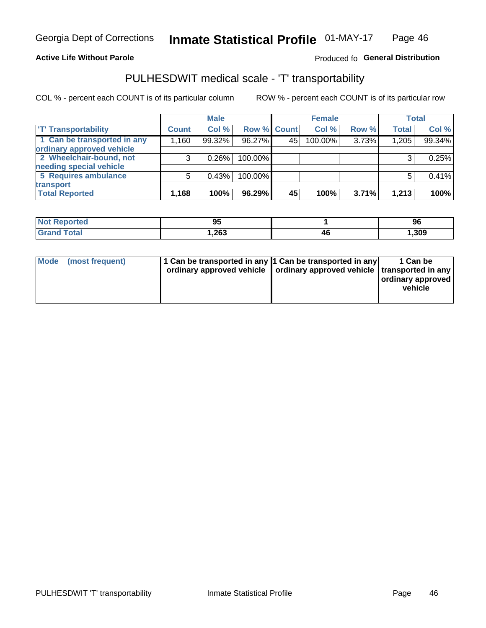#### **Active Life Without Parole**

#### Produced fo General Distribution

## PULHESDWIT medical scale - 'T' transportability

COL % - percent each COUNT is of its particular column

|                             |              | <b>Male</b> |             |     | <b>Female</b> |       |              | <b>Total</b> |
|-----------------------------|--------------|-------------|-------------|-----|---------------|-------|--------------|--------------|
| <b>T' Transportability</b>  | <b>Count</b> | Col %       | Row % Count |     | Col %         | Row % | <b>Total</b> | Col %        |
| 1 Can be transported in any | 1,160        | 99.32%      | 96.27%      | 45' | 100.00%       | 3.73% | 1,205        | 99.34%       |
| ordinary approved vehicle   |              |             |             |     |               |       |              |              |
| 2 Wheelchair-bound, not     |              | 0.26%       | 100.00%     |     |               |       |              | 0.25%        |
| needing special vehicle     |              |             |             |     |               |       |              |              |
| 5 Requires ambulance        |              | 0.43%       | 100.00%     |     |               |       |              | 0.41%        |
| transport                   |              |             |             |     |               |       |              |              |
| <b>Total Reported</b>       | 1,168        | 100%        | 96.29%      | 45  | 100%          | 3.71% | 1,213        | 100%         |

| тео | 95   |    | 96    |
|-----|------|----|-------|
|     | ,263 | 4Ł | 1,309 |

| <b>Mode</b> | (most frequent) | 1 Can be transported in any 1 Can be transported in any | ordinary approved vehicle   ordinary approved vehicle   transported in any | 1 Can be<br>  ordinary approved<br>vehicle |
|-------------|-----------------|---------------------------------------------------------|----------------------------------------------------------------------------|--------------------------------------------|
|             |                 |                                                         |                                                                            |                                            |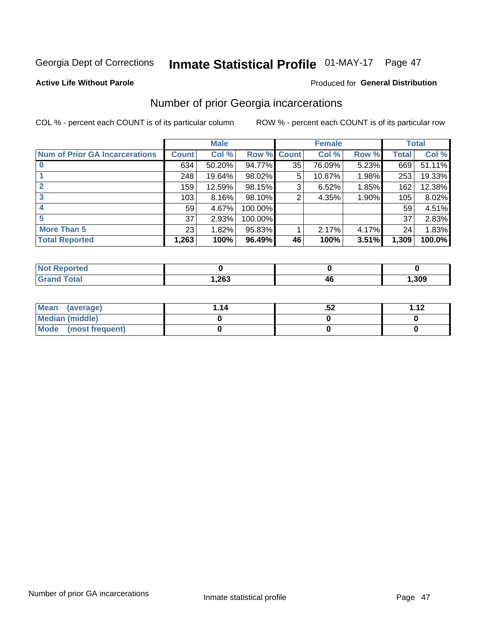## Inmate Statistical Profile 01-MAY-17 Page 47

#### **Active Life Without Parole**

#### Produced for General Distribution

### Number of prior Georgia incarcerations

COL % - percent each COUNT is of its particular column

|                                       |       | <b>Male</b> |             |    | <b>Female</b> |       |       | <b>Total</b> |
|---------------------------------------|-------|-------------|-------------|----|---------------|-------|-------|--------------|
| <b>Num of Prior GA Incarcerations</b> | Count | Col %       | Row % Count |    | Col %         | Row % | Total | Col %        |
| $\bf{0}$                              | 634   | 50.20%      | 94.77%      | 35 | 76.09%        | 5.23% | 669   | 51.11%       |
|                                       | 248   | 19.64%      | $98.02\%$   | 5  | 10.87%        | 1.98% | 253   | 19.33%       |
|                                       | 159   | 12.59%      | 98.15%      | 3  | 6.52%         | 1.85% | 162   | 12.38%       |
| 3                                     | 103   | 8.16%       | 98.10%      | 2  | 4.35%         | 1.90% | 105   | 8.02%        |
| 4                                     | 59    | 4.67%       | 100.00%     |    |               |       | 59    | 4.51%        |
| 5                                     | 37    | 2.93%       | 100.00%     |    |               |       | 37    | 2.83%        |
| <b>More Than 5</b>                    | 23    | 1.82%       | 95.83%      |    | 2.17%         | 4.17% | 24    | 1.83%        |
| <b>Total Reported</b>                 | 1,263 | 100%        | 96.49%      | 46 | 100%          | 3.51% | 1,309 | 100.0%       |

| orted<br><b>NI</b>               |                      |    |      |
|----------------------------------|----------------------|----|------|
| <b>Total</b><br>$\mathbf{v}$ and | <b>nep</b><br>د∪∡, . | 41 | ,309 |

| Mean (average)       | 1.14 | .JZ | 112 |
|----------------------|------|-----|-----|
| Median (middle)      |      |     |     |
| Mode (most frequent) |      |     |     |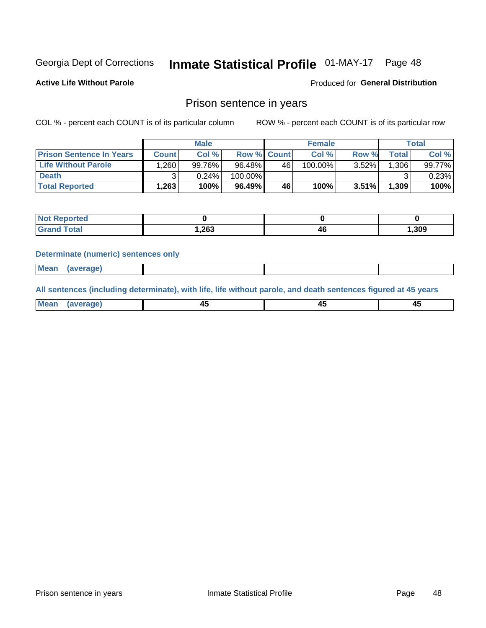## Inmate Statistical Profile 01-MAY-17 Page 48

**Active Life Without Parole** 

Produced for General Distribution

### Prison sentence in years

COL % - percent each COUNT is of its particular column

ROW % - percent each COUNT is of its particular row

|                                 |              | <b>Male</b> |                    |    | <b>Female</b> |          |             | Total  |
|---------------------------------|--------------|-------------|--------------------|----|---------------|----------|-------------|--------|
| <b>Prison Sentence In Years</b> | <b>Count</b> | Col %       | <b>Row % Count</b> |    | Col %         | Row %    | $\tau$ otal | Col %  |
| <b>Life Without Parole</b>      | .260         | 99.76%      | 96.48%             | 46 | 100.00%       | $3.52\%$ | .306        | 99.77% |
| <b>Death</b>                    | າ            | 0.24%       | 100.00%            |    |               |          |             | 0.23%  |
| <b>Total Reported</b>           | 263. ا       | 100%        | 96.49%             | 46 | 100%          | $3.51\%$ | 1,309       | 100%   |

| <b>rted</b> |       |    |       |
|-------------|-------|----|-------|
| 'otal       | 1,263 | 46 | , 309 |

#### **Determinate (numeric) sentences only**

| ' Mea<br><b>Service</b> A<br>ЯМА. |  |  |  |
|-----------------------------------|--|--|--|
|                                   |  |  |  |

All sentences (including determinate), with life, life without parole, and death sentences figured at 45 years

| l Mea<br>'апе<br>.<br> | ᠇<br>$\sim$ | $\sim$ |  |
|------------------------|-------------|--------|--|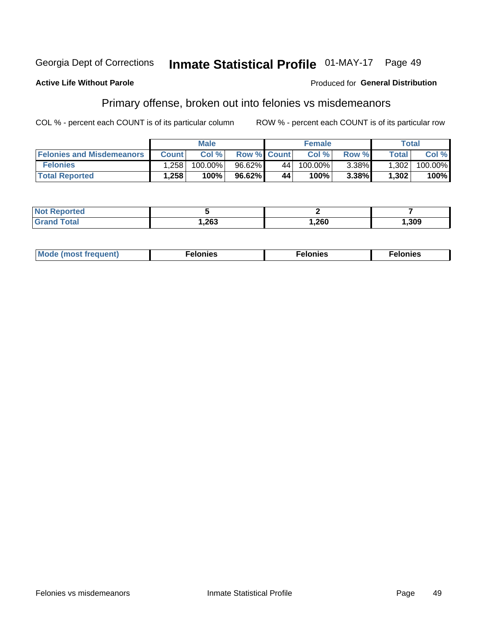#### **Georgia Dept of Corrections** Inmate Statistical Profile 01-MAY-17 Page 49

#### **Active Life Without Parole**

#### Produced for General Distribution

### Primary offense, broken out into felonies vs misdemeanors

COL % - percent each COUNT is of its particular column

|                                  |              | <b>Male</b> |                    |                 | <b>Female</b> |          |              | Total   |
|----------------------------------|--------------|-------------|--------------------|-----------------|---------------|----------|--------------|---------|
| <b>Felonies and Misdemeanors</b> | <b>Count</b> | Col%        | <b>Row % Count</b> |                 | Col%          | Row %    | <b>Total</b> | Col %   |
| <b>Felonies</b>                  | .258         | 100.00%     | 96.62%             | 44 <sup>1</sup> | $100.00\%$    | $3.38\%$ | 1,302        | 100.00% |
| <b>Total Reported</b>            | .258         | 100%        | 96.62%             | 44              | 100%          | 3.38%    | 1,302        | 100%    |

| <b>Not Reported</b>   |       |      |      |
|-----------------------|-------|------|------|
| Total<br><b>Grand</b> | 1,263 | ,260 | ,309 |

| <b>Mode</b><br>frequent)<br>nies<br>≧ (most tr.<br>. | onies<br>. | lonies<br>ею<br>____ |
|------------------------------------------------------|------------|----------------------|
|------------------------------------------------------|------------|----------------------|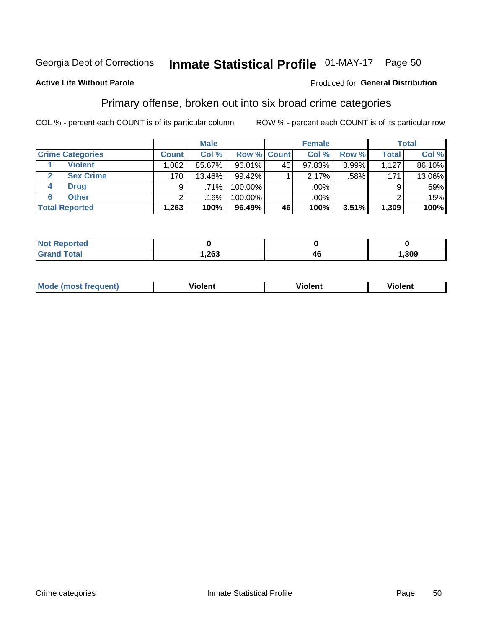## Inmate Statistical Profile 01-MAY-17 Page 50

#### **Active Life Without Parole**

#### Produced for General Distribution

### Primary offense, broken out into six broad crime categories

COL % - percent each COUNT is of its particular column

|                         |              | <b>Male</b> |         |                    | <b>Female</b> |          |              | <b>Total</b> |
|-------------------------|--------------|-------------|---------|--------------------|---------------|----------|--------------|--------------|
| <b>Crime Categories</b> | <b>Count</b> | Col %       |         | <b>Row % Count</b> | Col %         | Row %    | <b>Total</b> | Col %        |
| <b>Violent</b>          | 1,082        | 85.67%      | 96.01%  | 45                 | 97.83%        | $3.99\%$ | 1,127        | 86.10%       |
| <b>Sex Crime</b><br>2   | 170          | 13.46%      | 99.42%  |                    | 2.17%         | .58%     | 171          | 13.06%       |
| <b>Drug</b><br>4        | 9            | $.71\%$     | 100.00% |                    | .00%          |          | 9            | $.69\%$      |
| <b>Other</b><br>6       | 2            | .16%        | 100.00% |                    | .00%          |          | ົ            | .15%         |
| <b>Total Reported</b>   | 1,263        | 100%        | 96.49%  | 46                 | 100%          | $3.51\%$ | 1,309        | 100%         |

| τeα<br>NO |        |       |  |
|-----------|--------|-------|--|
|           | 263, ا | , 309 |  |

| <b>Mode (most frequent)</b> | <br>'iolent | Violent | --<br><b>Violent</b> |
|-----------------------------|-------------|---------|----------------------|
|                             |             |         |                      |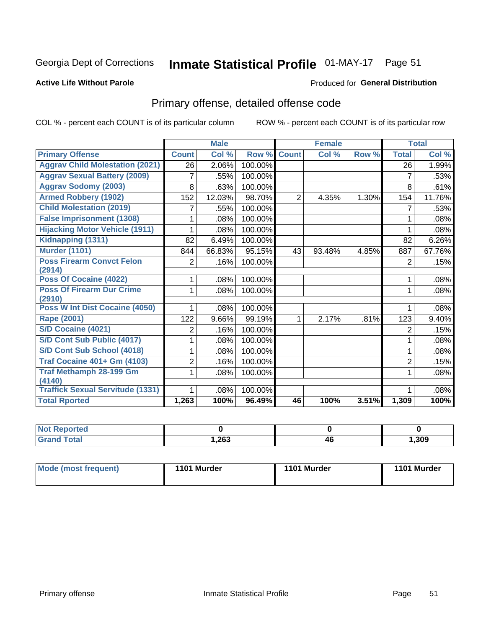## Inmate Statistical Profile 01-MAY-17 Page 51

#### **Active Life Without Parole**

#### Produced for General Distribution

## Primary offense, detailed offense code

COL % - percent each COUNT is of its particular column

|                                            |                | <b>Male</b> |         |                | <b>Female</b> |       |                | <b>Total</b> |
|--------------------------------------------|----------------|-------------|---------|----------------|---------------|-------|----------------|--------------|
| <b>Primary Offense</b>                     | <b>Count</b>   | Col %       | Row %   | <b>Count</b>   | Col %         | Row % | <b>Total</b>   | Col %        |
| <b>Aggrav Child Molestation (2021)</b>     | 26             | 2.06%       | 100.00% |                |               |       | 26             | 1.99%        |
| <b>Aggrav Sexual Battery (2009)</b>        | 7              | .55%        | 100.00% |                |               |       | 7              | .53%         |
| <b>Aggrav Sodomy (2003)</b>                | 8              | .63%        | 100.00% |                |               |       | 8              | .61%         |
| <b>Armed Robbery (1902)</b>                | 152            | 12.03%      | 98.70%  | $\overline{2}$ | 4.35%         | 1.30% | 154            | 11.76%       |
| <b>Child Molestation (2019)</b>            |                | .55%        | 100.00% |                |               |       | 7              | .53%         |
| <b>False Imprisonment (1308)</b>           |                | .08%        | 100.00% |                |               |       | 1              | .08%         |
| <b>Hijacking Motor Vehicle (1911)</b>      |                | .08%        | 100.00% |                |               |       |                | .08%         |
| Kidnapping (1311)                          | 82             | 6.49%       | 100.00% |                |               |       | 82             | 6.26%        |
| <b>Murder (1101)</b>                       | 844            | 66.83%      | 95.15%  | 43             | 93.48%        | 4.85% | 887            | 67.76%       |
| <b>Poss Firearm Convct Felon</b>           | $\overline{2}$ | .16%        | 100.00% |                |               |       | 2              | .15%         |
| (2914)                                     |                |             |         |                |               |       |                |              |
| Poss Of Cocaine (4022)                     |                | .08%        | 100.00% |                |               |       | 1              | .08%         |
| <b>Poss Of Firearm Dur Crime</b><br>(2910) | 1              | .08%        | 100.00% |                |               |       | 1              | .08%         |
| Poss W Int Dist Cocaine (4050)             |                | .08%        | 100.00% |                |               |       |                | .08%         |
| Rape (2001)                                | 122            | 9.66%       | 99.19%  | 1              | 2.17%         | .81%  | 123            | 9.40%        |
| S/D Cocaine (4021)                         | 2              | .16%        | 100.00% |                |               |       | $\overline{2}$ | .15%         |
| S/D Cont Sub Public (4017)                 |                | .08%        | 100.00% |                |               |       | 1              | .08%         |
| S/D Cont Sub School (4018)                 |                | .08%        | 100.00% |                |               |       | 1              | .08%         |
| <b>Traf Cocaine 401+ Gm (4103)</b>         | 2              | .16%        | 100.00% |                |               |       | $\overline{2}$ | .15%         |
| <b>Traf Methamph 28-199 Gm</b>             | 1              | .08%        | 100.00% |                |               |       | 1              | .08%         |
| (4140)                                     |                |             |         |                |               |       |                |              |
| <b>Traffick Sexual Servitude (1331)</b>    |                | .08%        | 100.00% |                |               |       | 1              | .08%         |
| <b>Total Rported</b>                       | 1,263          | 100%        | 96.49%  | 46             | 100%          | 3.51% | 1,309          | 100%         |

| чтес |            |    |       |
|------|------------|----|-------|
|      | つよ?<br>ט∡, | 46 | 1,309 |

| Mode (most frequent) | 1101 Murder | 1101 Murder | 1101 Murder |
|----------------------|-------------|-------------|-------------|
|                      |             |             |             |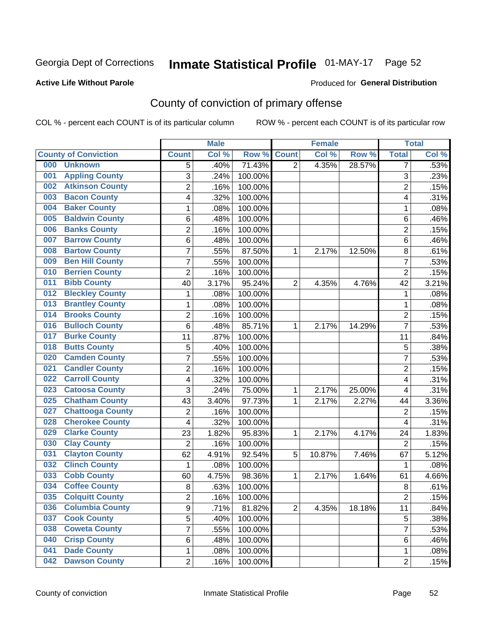## Inmate Statistical Profile 01-MAY-17 Page 52

#### **Active Life Without Parole**

#### Produced for General Distribution

## County of conviction of primary offense

COL % - percent each COUNT is of its particular column

|     |                             |                         | <b>Male</b> |         |                | <b>Female</b> |        |                         | <b>Total</b> |
|-----|-----------------------------|-------------------------|-------------|---------|----------------|---------------|--------|-------------------------|--------------|
|     | <b>County of Conviction</b> | <b>Count</b>            | Col %       | Row %   | <b>Count</b>   | Col %         | Row %  | <b>Total</b>            | Col %        |
| 000 | <b>Unknown</b>              | 5                       | .40%        | 71.43%  | $\overline{2}$ | 4.35%         | 28.57% | 7                       | .53%         |
| 001 | <b>Appling County</b>       | 3                       | .24%        | 100.00% |                |               |        | 3                       | .23%         |
| 002 | <b>Atkinson County</b>      | $\overline{2}$          | .16%        | 100.00% |                |               |        | $\overline{c}$          | .15%         |
| 003 | <b>Bacon County</b>         | 4                       | .32%        | 100.00% |                |               |        | 4                       | .31%         |
| 004 | <b>Baker County</b>         | 1                       | .08%        | 100.00% |                |               |        | 1                       | .08%         |
| 005 | <b>Baldwin County</b>       | $\,6$                   | .48%        | 100.00% |                |               |        | 6                       | .46%         |
| 006 | <b>Banks County</b>         | $\overline{2}$          | .16%        | 100.00% |                |               |        | $\overline{2}$          | .15%         |
| 007 | <b>Barrow County</b>        | 6                       | .48%        | 100.00% |                |               |        | $\,6$                   | .46%         |
| 008 | <b>Bartow County</b>        | $\overline{7}$          | .55%        | 87.50%  | 1              | 2.17%         | 12.50% | 8                       | .61%         |
| 009 | <b>Ben Hill County</b>      | $\overline{7}$          | .55%        | 100.00% |                |               |        | $\overline{7}$          | .53%         |
| 010 | <b>Berrien County</b>       | $\overline{2}$          | .16%        | 100.00% |                |               |        | $\overline{2}$          | .15%         |
| 011 | <b>Bibb County</b>          | 40                      | 3.17%       | 95.24%  | $\overline{2}$ | 4.35%         | 4.76%  | 42                      | 3.21%        |
| 012 | <b>Bleckley County</b>      | 1                       | .08%        | 100.00% |                |               |        | $\mathbf 1$             | .08%         |
| 013 | <b>Brantley County</b>      | $\mathbf 1$             | .08%        | 100.00% |                |               |        | $\mathbf 1$             | .08%         |
| 014 | <b>Brooks County</b>        | $\overline{2}$          | .16%        | 100.00% |                |               |        | $\overline{2}$          | .15%         |
| 016 | <b>Bulloch County</b>       | $\,6$                   | .48%        | 85.71%  | 1              | 2.17%         | 14.29% | $\overline{7}$          | .53%         |
| 017 | <b>Burke County</b>         | 11                      | .87%        | 100.00% |                |               |        | 11                      | .84%         |
| 018 | <b>Butts County</b>         | 5                       | .40%        | 100.00% |                |               |        | 5                       | .38%         |
| 020 | <b>Camden County</b>        | $\overline{7}$          | .55%        | 100.00% |                |               |        | $\overline{7}$          | .53%         |
| 021 | <b>Candler County</b>       | $\overline{2}$          | .16%        | 100.00% |                |               |        | $\overline{2}$          | .15%         |
| 022 | <b>Carroll County</b>       | 4                       | .32%        | 100.00% |                |               |        | $\overline{\mathbf{4}}$ | .31%         |
| 023 | <b>Catoosa County</b>       | 3                       | .24%        | 75.00%  | $\mathbf{1}$   | 2.17%         | 25.00% | $\overline{\mathbf{4}}$ | .31%         |
| 025 | <b>Chatham County</b>       | 43                      | 3.40%       | 97.73%  | 1              | 2.17%         | 2.27%  | 44                      | 3.36%        |
| 027 | <b>Chattooga County</b>     | $\overline{2}$          | .16%        | 100.00% |                |               |        | $\overline{2}$          | .15%         |
| 028 | <b>Cherokee County</b>      | 4                       | .32%        | 100.00% |                |               |        | $\overline{\mathbf{4}}$ | .31%         |
| 029 | <b>Clarke County</b>        | 23                      | 1.82%       | 95.83%  | 1              | 2.17%         | 4.17%  | 24                      | 1.83%        |
| 030 | <b>Clay County</b>          | $\overline{2}$          | .16%        | 100.00% |                |               |        | $\overline{2}$          | .15%         |
| 031 | <b>Clayton County</b>       | 62                      | 4.91%       | 92.54%  | 5              | 10.87%        | 7.46%  | 67                      | 5.12%        |
| 032 | <b>Clinch County</b>        | 1                       | .08%        | 100.00% |                |               |        | $\mathbf{1}$            | .08%         |
| 033 | <b>Cobb County</b>          | 60                      | 4.75%       | 98.36%  | 1              | 2.17%         | 1.64%  | 61                      | 4.66%        |
| 034 | <b>Coffee County</b>        | 8                       | .63%        | 100.00% |                |               |        | 8                       | .61%         |
| 035 | <b>Colquitt County</b>      | $\overline{\mathbf{c}}$ | .16%        | 100.00% |                |               |        | 2                       | .15%         |
| 036 | <b>Columbia County</b>      | 9                       | .71%        | 81.82%  | $\overline{2}$ | 4.35%         | 18.18% | 11                      | .84%         |
| 037 | <b>Cook County</b>          | $\overline{5}$          | .40%        | 100.00% |                |               |        | 5                       | .38%         |
| 038 | <b>Coweta County</b>        | 7                       | .55%        | 100.00% |                |               |        | $\overline{7}$          | .53%         |
| 040 | <b>Crisp County</b>         | 6                       | .48%        | 100.00% |                |               |        | 6                       | .46%         |
| 041 | <b>Dade County</b>          | 1                       | .08%        | 100.00% |                |               |        | 1                       | .08%         |
| 042 | <b>Dawson County</b>        | $\overline{2}$          | .16%        | 100.00% |                |               |        | $\overline{2}$          | .15%         |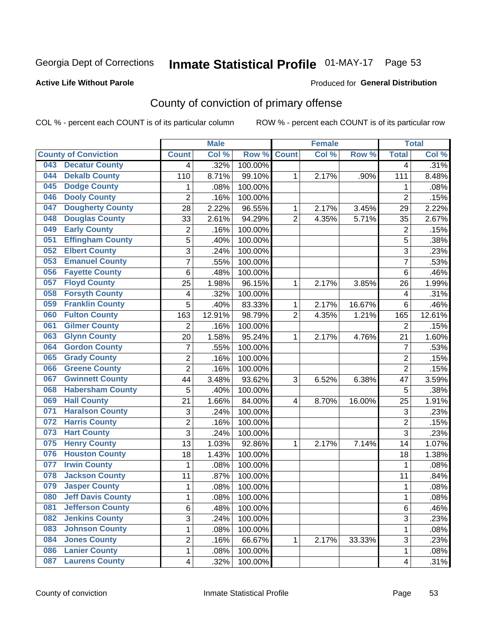## Inmate Statistical Profile 01-MAY-17 Page 53

#### **Active Life Without Parole**

#### Produced for General Distribution

## County of conviction of primary offense

COL % - percent each COUNT is of its particular column

|                                 |                           | <b>Male</b> |         |                | <b>Female</b> |        |                           | <b>Total</b> |
|---------------------------------|---------------------------|-------------|---------|----------------|---------------|--------|---------------------------|--------------|
| <b>County of Conviction</b>     | <b>Count</b>              | Col %       | Row %   | <b>Count</b>   | Col %         | Row %  | <b>Total</b>              | Col %        |
| <b>Decatur County</b><br>043    | 4                         | .32%        | 100.00% |                |               |        | 4                         | .31%         |
| <b>Dekalb County</b><br>044     | 110                       | 8.71%       | 99.10%  | 1              | 2.17%         | .90%   | 111                       | 8.48%        |
| <b>Dodge County</b><br>045      | 1                         | .08%        | 100.00% |                |               |        | 1                         | .08%         |
| <b>Dooly County</b><br>046      | $\overline{2}$            | .16%        | 100.00% |                |               |        | $\overline{2}$            | .15%         |
| <b>Dougherty County</b><br>047  | 28                        | 2.22%       | 96.55%  | 1              | 2.17%         | 3.45%  | 29                        | 2.22%        |
| <b>Douglas County</b><br>048    | 33                        | 2.61%       | 94.29%  | $\overline{2}$ | 4.35%         | 5.71%  | 35                        | 2.67%        |
| <b>Early County</b><br>049      | $\overline{c}$            | .16%        | 100.00% |                |               |        | $\overline{2}$            | .15%         |
| <b>Effingham County</b><br>051  | 5                         | .40%        | 100.00% |                |               |        | $\overline{5}$            | .38%         |
| <b>Elbert County</b><br>052     | 3                         | .24%        | 100.00% |                |               |        | 3                         | .23%         |
| <b>Emanuel County</b><br>053    | $\overline{7}$            | .55%        | 100.00% |                |               |        | $\overline{7}$            | .53%         |
| <b>Fayette County</b><br>056    | $\,6$                     | .48%        | 100.00% |                |               |        | 6                         | .46%         |
| <b>Floyd County</b><br>057      | 25                        | 1.98%       | 96.15%  | 1              | 2.17%         | 3.85%  | 26                        | 1.99%        |
| <b>Forsyth County</b><br>058    | 4                         | .32%        | 100.00% |                |               |        | 4                         | .31%         |
| <b>Franklin County</b><br>059   | 5                         | .40%        | 83.33%  | $\mathbf{1}$   | 2.17%         | 16.67% | 6                         | .46%         |
| <b>Fulton County</b><br>060     | 163                       | 12.91%      | 98.79%  | $\overline{2}$ | 4.35%         | 1.21%  | 165                       | 12.61%       |
| <b>Gilmer County</b><br>061     | $\overline{2}$            | .16%        | 100.00% |                |               |        | $\overline{2}$            | .15%         |
| <b>Glynn County</b><br>063      | 20                        | 1.58%       | 95.24%  | 1              | 2.17%         | 4.76%  | 21                        | 1.60%        |
| <b>Gordon County</b><br>064     | $\overline{7}$            | .55%        | 100.00% |                |               |        | $\overline{7}$            | .53%         |
| <b>Grady County</b><br>065      | $\overline{c}$            | .16%        | 100.00% |                |               |        | $\overline{2}$            | .15%         |
| <b>Greene County</b><br>066     | $\overline{2}$            | .16%        | 100.00% |                |               |        | $\overline{2}$            | .15%         |
| <b>Gwinnett County</b><br>067   | 44                        | 3.48%       | 93.62%  | 3              | 6.52%         | 6.38%  | 47                        | 3.59%        |
| <b>Habersham County</b><br>068  | 5                         | .40%        | 100.00% |                |               |        | 5                         | .38%         |
| <b>Hall County</b><br>069       | 21                        | 1.66%       | 84.00%  | 4              | 8.70%         | 16.00% | 25                        | 1.91%        |
| <b>Haralson County</b><br>071   | $\ensuremath{\mathsf{3}}$ | .24%        | 100.00% |                |               |        | $\ensuremath{\mathsf{3}}$ | .23%         |
| <b>Harris County</b><br>072     | $\overline{c}$            | .16%        | 100.00% |                |               |        | $\overline{2}$            | .15%         |
| <b>Hart County</b><br>073       | 3                         | .24%        | 100.00% |                |               |        | 3                         | .23%         |
| <b>Henry County</b><br>075      | 13                        | 1.03%       | 92.86%  | 1              | 2.17%         | 7.14%  | 14                        | 1.07%        |
| <b>Houston County</b><br>076    | 18                        | 1.43%       | 100.00% |                |               |        | 18                        | 1.38%        |
| <b>Irwin County</b><br>077      | $\mathbf{1}$              | .08%        | 100.00% |                |               |        | 1                         | .08%         |
| <b>Jackson County</b><br>078    | 11                        | .87%        | 100.00% |                |               |        | 11                        | .84%         |
| <b>Jasper County</b><br>079     | 1                         | .08%        | 100.00% |                |               |        | 1                         | .08%         |
| <b>Jeff Davis County</b><br>080 | 1                         | .08%        | 100.00% |                |               |        | 1                         | .08%         |
| <b>Jefferson County</b><br>081  | 6                         | .48%        | 100.00% |                |               |        | 6                         | .46%         |
| <b>Jenkins County</b><br>082    | 3                         | .24%        | 100.00% |                |               |        | 3                         | .23%         |
| <b>Johnson County</b><br>083    | 1                         | .08%        | 100.00% |                |               |        | 1                         | .08%         |
| <b>Jones County</b><br>084      | $\overline{c}$            | .16%        | 66.67%  | 1              | 2.17%         | 33.33% | 3                         | .23%         |
| <b>Lanier County</b><br>086     | 1                         | .08%        | 100.00% |                |               |        | 1                         | .08%         |
| <b>Laurens County</b><br>087    | $\overline{\mathbf{4}}$   | .32%        | 100.00% |                |               |        | 4                         | .31%         |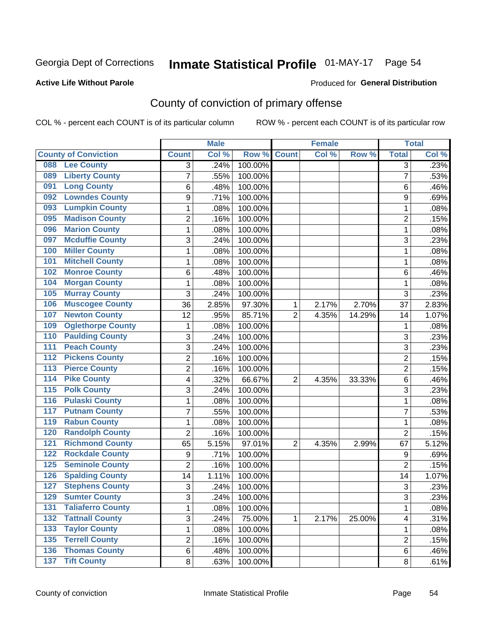## Inmate Statistical Profile 01-MAY-17 Page 54

#### **Active Life Without Parole**

#### Produced for General Distribution

## County of conviction of primary offense

COL % - percent each COUNT is of its particular column

|                                            |                | <b>Male</b> |         |                | <b>Female</b> |        |                | <b>Total</b> |
|--------------------------------------------|----------------|-------------|---------|----------------|---------------|--------|----------------|--------------|
| <b>County of Conviction</b>                | <b>Count</b>   | Col %       | Row %   | <b>Count</b>   | Col %         | Row %  | <b>Total</b>   | Col %        |
| <b>Lee County</b><br>088                   | 3              | .24%        | 100.00% |                |               |        | $\overline{3}$ | .23%         |
| <b>Liberty County</b><br>089               | 7              | .55%        | 100.00% |                |               |        | $\overline{7}$ | .53%         |
| <b>Long County</b><br>091                  | 6              | .48%        | 100.00% |                |               |        | 6              | .46%         |
| <b>Lowndes County</b><br>092               | 9              | .71%        | 100.00% |                |               |        | 9              | .69%         |
| <b>Lumpkin County</b><br>093               | 1              | .08%        | 100.00% |                |               |        | $\mathbf{1}$   | .08%         |
| <b>Madison County</b><br>095               | $\overline{2}$ | .16%        | 100.00% |                |               |        | $\overline{2}$ | .15%         |
| <b>Marion County</b><br>096                | 1              | .08%        | 100.00% |                |               |        | 1              | .08%         |
| <b>Mcduffie County</b><br>097              | 3              | .24%        | 100.00% |                |               |        | 3              | .23%         |
| <b>Miller County</b><br>100                | 1              | .08%        | 100.00% |                |               |        | $\mathbf{1}$   | .08%         |
| <b>Mitchell County</b><br>101              | 1              | .08%        | 100.00% |                |               |        | $\mathbf{1}$   | .08%         |
| <b>Monroe County</b><br>102                | 6              | .48%        | 100.00% |                |               |        | 6              | .46%         |
| <b>Morgan County</b><br>104                | 1              | .08%        | 100.00% |                |               |        | $\mathbf{1}$   | .08%         |
| <b>Murray County</b><br>105                | 3              | .24%        | 100.00% |                |               |        | 3              | .23%         |
| <b>Muscogee County</b><br>106              | 36             | 2.85%       | 97.30%  | 1              | 2.17%         | 2.70%  | 37             | 2.83%        |
| <b>Newton County</b><br>107                | 12             | .95%        | 85.71%  | $\overline{2}$ | 4.35%         | 14.29% | 14             | 1.07%        |
| <b>Oglethorpe County</b><br>109            | 1              | .08%        | 100.00% |                |               |        | 1              | .08%         |
| <b>Paulding County</b><br>110              | 3              | .24%        | 100.00% |                |               |        | 3              | .23%         |
| <b>Peach County</b><br>111                 | 3              | .24%        | 100.00% |                |               |        | 3              | .23%         |
| <b>Pickens County</b><br>$\overline{112}$  | 2              | .16%        | 100.00% |                |               |        | $\overline{2}$ | .15%         |
| <b>Pierce County</b><br>113                | $\overline{2}$ | .16%        | 100.00% |                |               |        | $\overline{2}$ | .15%         |
| <b>Pike County</b><br>114                  | 4              | .32%        | 66.67%  | $\overline{2}$ | 4.35%         | 33.33% | 6              | .46%         |
| 115<br><b>Polk County</b>                  | 3              | .24%        | 100.00% |                |               |        | 3              | .23%         |
| <b>Pulaski County</b><br>$\overline{116}$  | 1              | .08%        | 100.00% |                |               |        | $\mathbf{1}$   | .08%         |
| <b>Putnam County</b><br>117                | 7              | .55%        | 100.00% |                |               |        | $\overline{7}$ | .53%         |
| <b>Rabun County</b><br>119                 | 1              | .08%        | 100.00% |                |               |        | 1              | .08%         |
| <b>Randolph County</b><br>120              | $\overline{2}$ | .16%        | 100.00% |                |               |        | $\overline{2}$ | .15%         |
| <b>Richmond County</b><br>121              | 65             | 5.15%       | 97.01%  | 2              | 4.35%         | 2.99%  | 67             | 5.12%        |
| <b>Rockdale County</b><br>122              | 9              | .71%        | 100.00% |                |               |        | 9              | .69%         |
| <b>Seminole County</b><br>125              | 2              | .16%        | 100.00% |                |               |        | $\overline{2}$ | .15%         |
| <b>Spalding County</b><br>126              | 14             | 1.11%       | 100.00% |                |               |        | 14             | 1.07%        |
| <b>Stephens County</b><br>127              | 3              | .24%        | 100.00% |                |               |        | 3              | .23%         |
| <b>Sumter County</b><br>129                | 3              | .24%        | 100.00% |                |               |        | 3              | .23%         |
| <b>Taliaferro County</b><br>131            | 1              | .08%        | 100.00% |                |               |        | $\mathbf{1}$   | .08%         |
| <b>Tattnall County</b><br>$\overline{132}$ | 3              | .24%        | 75.00%  | 1              | 2.17%         | 25.00% | 4              | .31%         |
| <b>Taylor County</b><br>133                | 1              | .08%        | 100.00% |                |               |        | 1              | .08%         |
| <b>Terrell County</b><br>135               | $\overline{2}$ | .16%        | 100.00% |                |               |        | $\overline{c}$ | .15%         |
| <b>136 Thomas County</b>                   | 6              | .48%        | 100.00% |                |               |        | 6              | .46%         |
| 137 Tift County                            | 8              | .63%        | 100.00% |                |               |        | 8              | .61%         |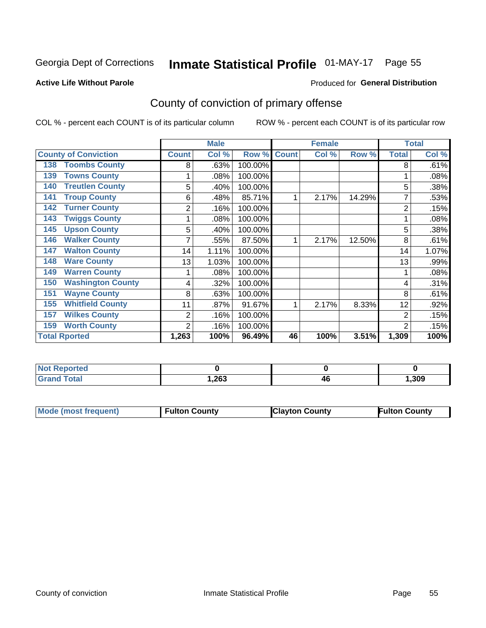## Inmate Statistical Profile 01-MAY-17 Page 55

#### **Active Life Without Parole**

#### **Produced for General Distribution**

## County of conviction of primary offense

COL % - percent each COUNT is of its particular column

|                                 |              | <b>Male</b> |         |              | <b>Female</b> |        | <b>Total</b>   |       |
|---------------------------------|--------------|-------------|---------|--------------|---------------|--------|----------------|-------|
| <b>County of Conviction</b>     | <b>Count</b> | Col %       | Row %   | <b>Count</b> | Col %         | Row %  | <b>Total</b>   | Col % |
| <b>Toombs County</b><br>138     | 8            | .63%        | 100.00% |              |               |        | 8              | .61%  |
| <b>Towns County</b><br>139      |              | .08%        | 100.00% |              |               |        |                | .08%  |
| <b>Treutlen County</b><br>140   | 5            | .40%        | 100.00% |              |               |        | 5              | .38%  |
| <b>Troup County</b><br>141      | 6            | .48%        | 85.71%  |              | 2.17%         | 14.29% | 7              | .53%  |
| <b>Turner County</b><br>142     | 2            | .16%        | 100.00% |              |               |        | $\overline{2}$ | .15%  |
| <b>Twiggs County</b><br>143     |              | .08%        | 100.00% |              |               |        |                | .08%  |
| <b>Upson County</b><br>145      | 5            | .40%        | 100.00% |              |               |        | 5              | .38%  |
| <b>Walker County</b><br>146     |              | .55%        | 87.50%  |              | 2.17%         | 12.50% | 8              | .61%  |
| <b>Walton County</b><br>147     | 14           | 1.11%       | 100.00% |              |               |        | 14             | 1.07% |
| <b>Ware County</b><br>148       | 13           | 1.03%       | 100.00% |              |               |        | 13             | .99%  |
| <b>Warren County</b><br>149     |              | .08%        | 100.00% |              |               |        |                | .08%  |
| <b>Washington County</b><br>150 | 4            | .32%        | 100.00% |              |               |        | 4              | .31%  |
| <b>Wayne County</b><br>151      | 8            | .63%        | 100.00% |              |               |        | 8              | .61%  |
| <b>Whitfield County</b><br>155  | 11           | .87%        | 91.67%  | 1            | 2.17%         | 8.33%  | 12             | .92%  |
| <b>Wilkes County</b><br>157     | 2            | .16%        | 100.00% |              |               |        | $\overline{2}$ | .15%  |
| <b>Worth County</b><br>159      | 2            | .16%        | 100.00% |              |               |        | 2              | .15%  |
| <b>Total Rported</b>            | 1,263        | 100%        | 96.49%  | 46           | 100%          | 3.51%  | 1,309          | 100%  |

| <b>Reported</b><br>NOT.<br>$\sim$ |      |    |      |
|-----------------------------------|------|----|------|
| <b>Total</b>                      | ,263 | 4t | ,309 |

| <b>Mode (most frequent)</b> | <b>Fulton County</b> | <b>Clayton County</b> | <b>Fulton County</b> |
|-----------------------------|----------------------|-----------------------|----------------------|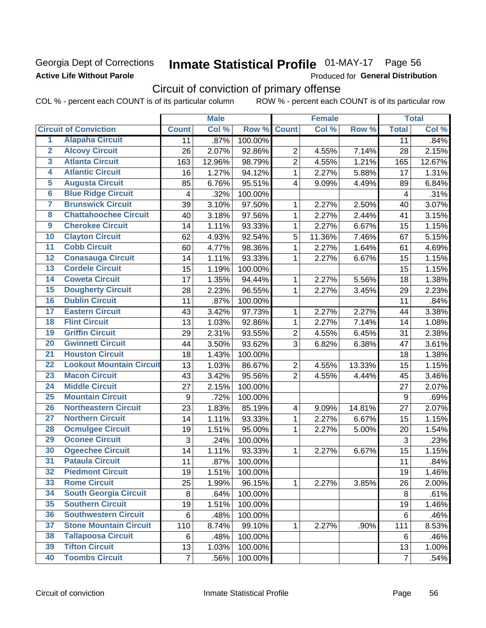### **Georgia Dept of Corrections Active Life Without Parole**

## Inmate Statistical Profile 01-MAY-17 Page 56

Produced for General Distribution

## Circuit of conviction of primary offense

|                         |                                 |                | <b>Male</b> |         | <b>Female</b>           |        |        | <b>Total</b>   |        |
|-------------------------|---------------------------------|----------------|-------------|---------|-------------------------|--------|--------|----------------|--------|
|                         | <b>Circuit of Conviction</b>    | <b>Count</b>   | Col %       | Row %   | <b>Count</b>            | Col %  | Row %  | <b>Total</b>   | Col %  |
| 1                       | <b>Alapaha Circuit</b>          | 11             | .87%        | 100.00% |                         |        |        | 11             | .84%   |
| $\overline{2}$          | <b>Alcovy Circuit</b>           | 26             | 2.07%       | 92.86%  | $\overline{2}$          | 4.55%  | 7.14%  | 28             | 2.15%  |
| $\overline{\mathbf{3}}$ | <b>Atlanta Circuit</b>          | 163            | 12.96%      | 98.79%  | $\overline{2}$          | 4.55%  | 1.21%  | 165            | 12.67% |
| 4                       | <b>Atlantic Circuit</b>         | 16             | 1.27%       | 94.12%  | $\mathbf{1}$            | 2.27%  | 5.88%  | 17             | 1.31%  |
| 5                       | <b>Augusta Circuit</b>          | 85             | 6.76%       | 95.51%  | $\overline{4}$          | 9.09%  | 4.49%  | 89             | 6.84%  |
| $\overline{6}$          | <b>Blue Ridge Circuit</b>       | 4              | .32%        | 100.00% |                         |        |        | 4              | .31%   |
| $\overline{\mathbf{7}}$ | <b>Brunswick Circuit</b>        | 39             | 3.10%       | 97.50%  | 1                       | 2.27%  | 2.50%  | 40             | 3.07%  |
| $\overline{\mathbf{8}}$ | <b>Chattahoochee Circuit</b>    | 40             | 3.18%       | 97.56%  | 1                       | 2.27%  | 2.44%  | 41             | 3.15%  |
| $\overline{9}$          | <b>Cherokee Circuit</b>         | 14             | 1.11%       | 93.33%  | $\mathbf{1}$            | 2.27%  | 6.67%  | 15             | 1.15%  |
| 10                      | <b>Clayton Circuit</b>          | 62             | 4.93%       | 92.54%  | 5                       | 11.36% | 7.46%  | 67             | 5.15%  |
| $\overline{11}$         | <b>Cobb Circuit</b>             | 60             | 4.77%       | 98.36%  | $\mathbf{1}$            | 2.27%  | 1.64%  | 61             | 4.69%  |
| $\overline{12}$         | <b>Conasauga Circuit</b>        | 14             | 1.11%       | 93.33%  | 1                       | 2.27%  | 6.67%  | 15             | 1.15%  |
| 13                      | <b>Cordele Circuit</b>          | 15             | 1.19%       | 100.00% |                         |        |        | 15             | 1.15%  |
| $\overline{14}$         | <b>Coweta Circuit</b>           | 17             | 1.35%       | 94.44%  | $\mathbf{1}$            | 2.27%  | 5.56%  | 18             | 1.38%  |
| 15                      | <b>Dougherty Circuit</b>        | 28             | 2.23%       | 96.55%  | $\mathbf 1$             | 2.27%  | 3.45%  | 29             | 2.23%  |
| 16                      | <b>Dublin Circuit</b>           | 11             | .87%        | 100.00% |                         |        |        | 11             | .84%   |
| 17                      | <b>Eastern Circuit</b>          | 43             | 3.42%       | 97.73%  | 1                       | 2.27%  | 2.27%  | 44             | 3.38%  |
| 18                      | <b>Flint Circuit</b>            | 13             | 1.03%       | 92.86%  | $\mathbf{1}$            | 2.27%  | 7.14%  | 14             | 1.08%  |
| 19                      | <b>Griffin Circuit</b>          | 29             | 2.31%       | 93.55%  | $\overline{2}$          | 4.55%  | 6.45%  | 31             | 2.38%  |
| 20                      | <b>Gwinnett Circuit</b>         | 44             | 3.50%       | 93.62%  | 3                       | 6.82%  | 6.38%  | 47             | 3.61%  |
| $\overline{21}$         | <b>Houston Circuit</b>          | 18             | 1.43%       | 100.00% |                         |        |        | 18             | 1.38%  |
| $\overline{22}$         | <b>Lookout Mountain Circuit</b> | 13             | 1.03%       | 86.67%  | $\overline{2}$          | 4.55%  | 13.33% | 15             | 1.15%  |
| 23                      | <b>Macon Circuit</b>            | 43             | 3.42%       | 95.56%  | $\overline{2}$          | 4.55%  | 4.44%  | 45             | 3.46%  |
| $\overline{24}$         | <b>Middle Circuit</b>           | 27             | 2.15%       | 100.00% |                         |        |        | 27             | 2.07%  |
| 25                      | <b>Mountain Circuit</b>         | 9              | .72%        | 100.00% |                         |        |        | 9              | .69%   |
| 26                      | <b>Northeastern Circuit</b>     | 23             | 1.83%       | 85.19%  | $\overline{\mathbf{4}}$ | 9.09%  | 14.81% | 27             | 2.07%  |
| $\overline{27}$         | <b>Northern Circuit</b>         | 14             | 1.11%       | 93.33%  | $\mathbf{1}$            | 2.27%  | 6.67%  | 15             | 1.15%  |
| 28                      | <b>Ocmulgee Circuit</b>         | 19             | 1.51%       | 95.00%  | 1                       | 2.27%  | 5.00%  | 20             | 1.54%  |
| 29                      | <b>Oconee Circuit</b>           | 3              | .24%        | 100.00% |                         |        |        | 3              | .23%   |
| 30                      | <b>Ogeechee Circuit</b>         | 14             | 1.11%       | 93.33%  | 1                       | 2.27%  | 6.67%  | 15             | 1.15%  |
| $\overline{31}$         | <b>Pataula Circuit</b>          | 11             | .87%        | 100.00% |                         |        |        | 11             | .84%   |
| 32                      | <b>Piedmont Circuit</b>         | 19             | 1.51%       | 100.00% |                         |        |        | 19             | 1.46%  |
| 33                      | <b>Rome Circuit</b>             | 25             | 1.99%       | 96.15%  | $\mathbf{1}$            | 2.27%  | 3.85%  | 26             | 2.00%  |
| 34                      | <b>South Georgia Circuit</b>    | 8              | .64%        | 100.00% |                         |        |        | 8              | .61%   |
| 35                      | <b>Southern Circuit</b>         | 19             | 1.51%       | 100.00% |                         |        |        | 19             | 1.46%  |
| 36                      | <b>Southwestern Circuit</b>     | 6              | .48%        | 100.00% |                         |        |        | 6              | .46%   |
| 37                      | <b>Stone Mountain Circuit</b>   | 110            | 8.74%       | 99.10%  | 1                       | 2.27%  | .90%   | 111            | 8.53%  |
| 38                      | <b>Tallapoosa Circuit</b>       | 6              | .48%        | 100.00% |                         |        |        | 6              | .46%   |
| 39                      | <b>Tifton Circuit</b>           | 13             | 1.03%       | 100.00% |                         |        |        | 13             | 1.00%  |
| 40                      | <b>Toombs Circuit</b>           | $\overline{7}$ | .56%        | 100.00% |                         |        |        | $\overline{7}$ | .54%   |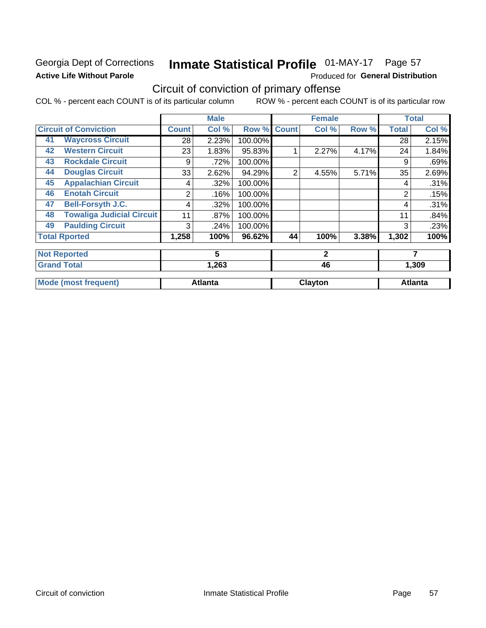### **Georgia Dept of Corrections Active Life Without Parole**

## Inmate Statistical Profile 01-MAY-17 Page 57

Produced for General Distribution

## Circuit of conviction of primary offense

|    |                                  |              | <b>Male</b>    |         |                | <b>Female</b> |       |                | <b>Total</b>   |
|----|----------------------------------|--------------|----------------|---------|----------------|---------------|-------|----------------|----------------|
|    | <b>Circuit of Conviction</b>     | <b>Count</b> | Col %          | Row %   | <b>Count</b>   | Col %         | Row % | <b>Total</b>   | Col %          |
| 41 | <b>Waycross Circuit</b>          | 28           | 2.23%          | 100.00% |                |               |       | 28             | 2.15%          |
| 42 | <b>Western Circuit</b>           | 23           | 1.83%          | 95.83%  |                | 2.27%         | 4.17% | 24             | 1.84%          |
| 43 | <b>Rockdale Circuit</b>          | 9            | .72%           | 100.00% |                |               |       | 9              | .69%           |
| 44 | <b>Douglas Circuit</b>           | 33           | 2.62%          | 94.29%  | $\overline{2}$ | 4.55%         | 5.71% | 35             | 2.69%          |
| 45 | <b>Appalachian Circuit</b>       | 4            | .32%           | 100.00% |                |               |       | 4              | .31%           |
| 46 | <b>Enotah Circuit</b>            | 2            | .16%           | 100.00% |                |               |       | $\overline{2}$ | .15%           |
| 47 | <b>Bell-Forsyth J.C.</b>         | 4            | .32%           | 100.00% |                |               |       | 4              | .31%           |
| 48 | <b>Towaliga Judicial Circuit</b> | 11           | .87%           | 100.00% |                |               |       | 11             | .84%           |
| 49 | <b>Paulding Circuit</b>          | 3            | .24%           | 100.00% |                |               |       | 3              | .23%           |
|    | <b>Total Rported</b>             | 1,258        | 100%           | 96.62%  | 44             | 100%          | 3.38% | 1,302          | 100%           |
|    | <b>Not Reported</b>              |              | 5              |         |                | $\mathbf{2}$  |       |                | 7              |
|    | <b>Grand Total</b>               |              | 1,263          |         |                | 46            |       |                | 1,309          |
|    | <b>Mode (most frequent)</b>      |              | <b>Atlanta</b> |         |                | Clayton       |       |                | <b>Atlanta</b> |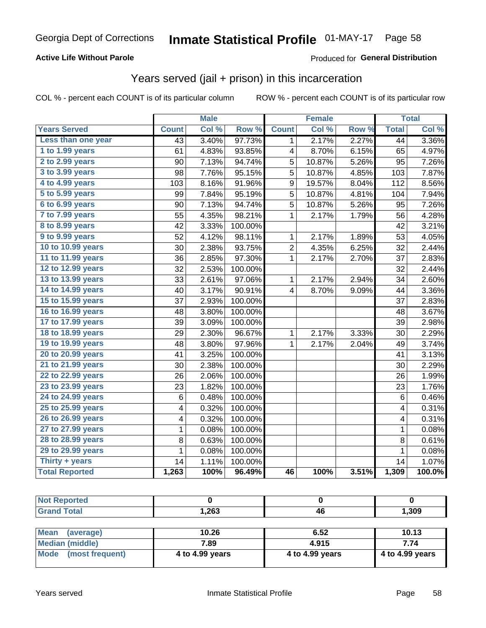#### **Active Life Without Parole**

### Produced for General Distribution

## Years served (jail + prison) in this incarceration

COL % - percent each COUNT is of its particular column

|                       |                 | <b>Male</b> |                  |                | <b>Female</b> |       |                 | <b>Total</b> |
|-----------------------|-----------------|-------------|------------------|----------------|---------------|-------|-----------------|--------------|
| <b>Years Served</b>   | <b>Count</b>    | Col %       | Row <sup>%</sup> | <b>Count</b>   | Col %         | Row % | <b>Total</b>    | Col %        |
| Less than one year    | $\overline{43}$ | 3.40%       | 97.73%           | 1              | 2.17%         | 2.27% | $\overline{44}$ | 3.36%        |
| 1 to 1.99 years       | 61              | 4.83%       | 93.85%           | 4              | 8.70%         | 6.15% | 65              | 4.97%        |
| 2 to 2.99 years       | 90              | 7.13%       | 94.74%           | 5              | 10.87%        | 5.26% | 95              | 7.26%        |
| 3 to 3.99 years       | 98              | 7.76%       | 95.15%           | $\overline{5}$ | 10.87%        | 4.85% | 103             | 7.87%        |
| 4 to 4.99 years       | 103             | 8.16%       | 91.96%           | 9              | 19.57%        | 8.04% | 112             | 8.56%        |
| 5 to 5.99 years       | 99              | 7.84%       | 95.19%           | 5              | 10.87%        | 4.81% | 104             | 7.94%        |
| 6 to 6.99 years       | 90              | 7.13%       | 94.74%           | 5              | 10.87%        | 5.26% | 95              | 7.26%        |
| 7 to 7.99 years       | 55              | 4.35%       | 98.21%           | 1              | 2.17%         | 1.79% | 56              | 4.28%        |
| 8 to 8.99 years       | 42              | 3.33%       | 100.00%          |                |               |       | 42              | 3.21%        |
| 9 to 9.99 years       | 52              | 4.12%       | 98.11%           | 1              | 2.17%         | 1.89% | 53              | 4.05%        |
| 10 to 10.99 years     | 30              | 2.38%       | 93.75%           | $\overline{c}$ | 4.35%         | 6.25% | 32              | 2.44%        |
| 11 to 11.99 years     | 36              | 2.85%       | 97.30%           | 1              | 2.17%         | 2.70% | 37              | 2.83%        |
| 12 to 12.99 years     | 32              | 2.53%       | 100.00%          |                |               |       | 32              | 2.44%        |
| 13 to 13.99 years     | 33              | 2.61%       | 97.06%           | $\mathbf{1}$   | 2.17%         | 2.94% | 34              | 2.60%        |
| 14 to 14.99 years     | 40              | 3.17%       | 90.91%           | 4              | 8.70%         | 9.09% | 44              | 3.36%        |
| 15 to 15.99 years     | 37              | 2.93%       | 100.00%          |                |               |       | 37              | 2.83%        |
| 16 to 16.99 years     | 48              | 3.80%       | 100.00%          |                |               |       | 48              | 3.67%        |
| 17 to 17.99 years     | 39              | 3.09%       | 100.00%          |                |               |       | 39              | 2.98%        |
| 18 to 18.99 years     | 29              | 2.30%       | 96.67%           | 1              | 2.17%         | 3.33% | 30              | 2.29%        |
| 19 to 19.99 years     | 48              | 3.80%       | 97.96%           | 1              | 2.17%         | 2.04% | 49              | 3.74%        |
| 20 to 20.99 years     | 41              | 3.25%       | 100.00%          |                |               |       | 41              | 3.13%        |
| 21 to 21.99 years     | 30              | 2.38%       | 100.00%          |                |               |       | 30              | 2.29%        |
| 22 to 22.99 years     | 26              | 2.06%       | 100.00%          |                |               |       | 26              | 1.99%        |
| 23 to 23.99 years     | 23              | 1.82%       | 100.00%          |                |               |       | 23              | 1.76%        |
| 24 to 24.99 years     | 6               | 0.48%       | 100.00%          |                |               |       | 6               | 0.46%        |
| 25 to 25.99 years     | 4               | 0.32%       | 100.00%          |                |               |       | 4               | 0.31%        |
| 26 to 26.99 years     | 4               | 0.32%       | 100.00%          |                |               |       | 4               | 0.31%        |
| 27 to 27.99 years     | 1               | 0.08%       | 100.00%          |                |               |       | 1               | 0.08%        |
| 28 to 28.99 years     | 8               | 0.63%       | 100.00%          |                |               |       | 8               | 0.61%        |
| 29 to 29.99 years     | 1               | 0.08%       | 100.00%          |                |               |       | $\mathbf 1$     | 0.08%        |
| Thirty + years        | 14              | 1.11%       | 100.00%          |                |               |       | 14              | 1.07%        |
| <b>Total Reported</b> | 1,263           | 100%        | 96.49%           | 46             | 100%          | 3.51% | 1,309           | 100.0%       |

| rtea<br>w   |      |          |       |
|-------------|------|----------|-------|
| $C = 4 - 7$ | 263, | ΔF<br>−∪ | 1,309 |

| <b>Mean</b><br>(average) | 10.26           | 6.52            | 10.13           |
|--------------------------|-----------------|-----------------|-----------------|
| Median (middle)          | 7.89            | 4.915           | 7.74            |
| Mode (most frequent)     | 4 to 4.99 years | 4 to 4.99 years | 4 to 4.99 years |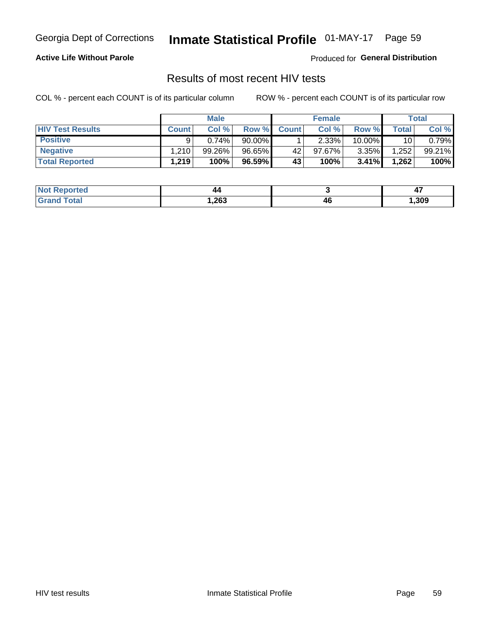## Inmate Statistical Profile 01-MAY-17 Page 59

#### **Active Life Without Parole**

Produced for General Distribution

### Results of most recent HIV tests

COL % - percent each COUNT is of its particular column

|                         |              | <b>Male</b> |           |              | <b>Female</b> |          |             | Total  |
|-------------------------|--------------|-------------|-----------|--------------|---------------|----------|-------------|--------|
| <b>HIV Test Results</b> | <b>Count</b> | Col%        | Row %     | <b>Count</b> | Col %         | Row %    | $\tau$ otal | Col %  |
| <b>Positive</b>         | a            | 0.74%       | $90.00\%$ |              | $2.33\%$      | 10.00%   | 10          | 0.79%  |
| <b>Negative</b>         | .210         | $99.26\%$   | 96.65%    | 42           | $97.67\%$     | $3.35\%$ | .252        | 99.21% |
| <b>Total Reported</b>   | 1,219        | 100%        | 96.59%    | 43           | 100%          | 3.41%    | 1,262       | 100%   |

| <b>Not Reported</b> | 44     |    |      |
|---------------------|--------|----|------|
| Total               | 263, ا | 46 | ,309 |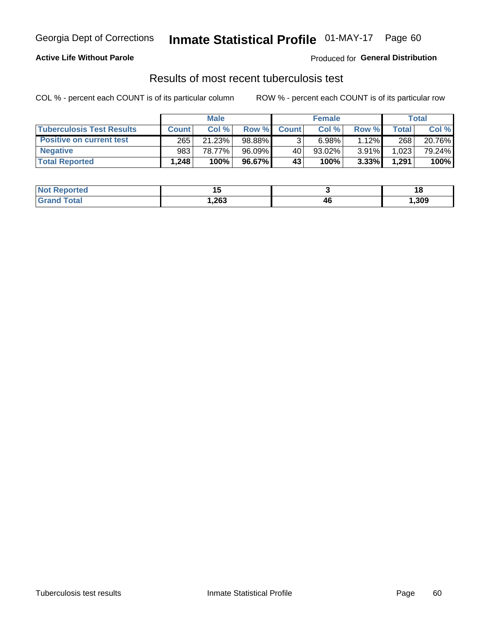## Georgia Dept of Corrections **Inmate Statistical Profile** 01-MAY-17 Page 60

#### **Active Life Without Parole**

Produced for **General Distribution**

### Results of most recent tuberculosis test

|                                  | <b>Male</b>  |        |           |              | <b>Female</b> |       |              | Total  |  |
|----------------------------------|--------------|--------|-----------|--------------|---------------|-------|--------------|--------|--|
| <b>Tuberculosis Test Results</b> | <b>Count</b> | Col%   | Row %I    | <b>Count</b> | Col %         | Row % | <b>Total</b> | Col %  |  |
| <b>Positive on current test</b>  | 265          | 21.23% | 98.88%    |              | 6.98%         | 1.12% | 268          | 20.76% |  |
| <b>Negative</b>                  | 983          | 78.77% | $96.09\%$ | 40           | 93.02%        | 3.91% | 1,023        | 79.24% |  |
| <b>Total Reported</b>            | .248         | 100%   | 96.67%    | 43           | 100%          | 3.33% | 1,291        | 100%   |  |

| <b>Not Reported</b>              |        |                      | 10     |
|----------------------------------|--------|----------------------|--------|
| <b>Total</b><br>Gra <sup>r</sup> | 263, ا | /I 6<br>−~<br>$\sim$ | 309, ا |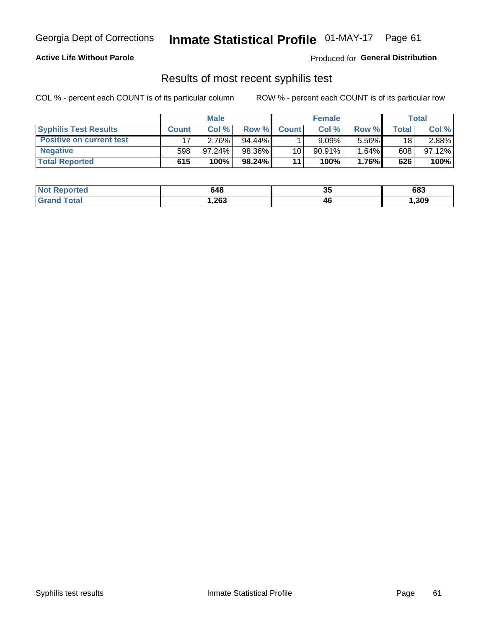## Georgia Dept of Corrections **Inmate Statistical Profile** 01-MAY-17 Page 61

#### **Active Life Without Parole**

Produced for **General Distribution**

### Results of most recent syphilis test

|                                 | <b>Male</b>  |           |           | <b>Female</b>   |           |       | Total |        |
|---------------------------------|--------------|-----------|-----------|-----------------|-----------|-------|-------|--------|
| <b>Syphilis Test Results</b>    | <b>Count</b> | Col%      | Row %I    | <b>Count</b>    | Col %     | Row % | Total | Col %  |
| <b>Positive on current test</b> |              | 2.76%     | $94.44\%$ |                 | 9.09%     | 5.56% | 18    | 2.88%  |
| <b>Negative</b>                 | 598          | $97.24\%$ | 98.36%    | 10 <sub>1</sub> | $90.91\%$ | 1.64% | 608   | 97.12% |
| <b>Total Reported</b>           | 615          | 100%      | 98.24%    | 11              | 100%      | 1.76% | 626   | 100%   |

| <b>Not Reported</b>                | 648    | 21<br>◡ | 683  |
|------------------------------------|--------|---------|------|
| <b>Total</b><br>Grand <sup>1</sup> | 263, ا | 46      | ,309 |